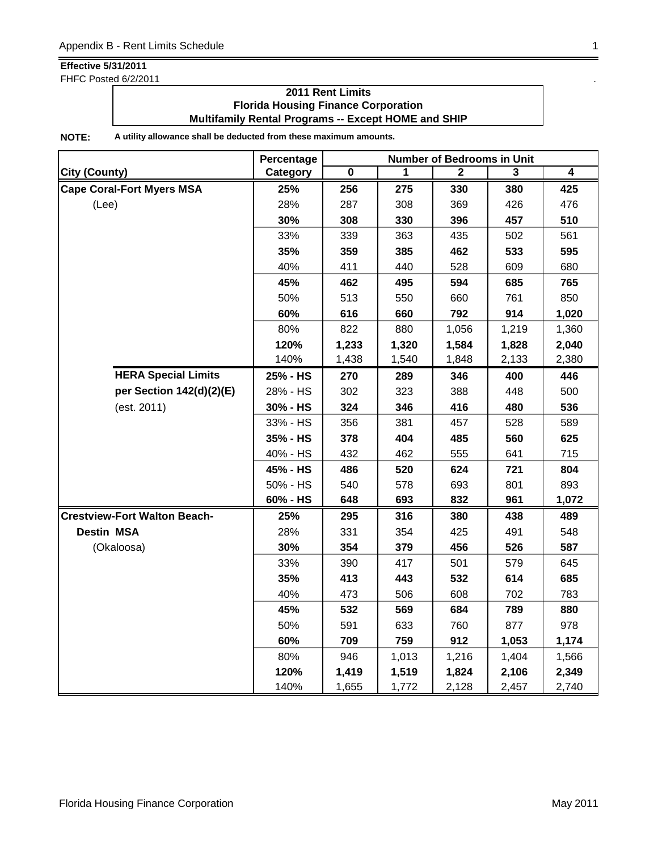FHFC Posted 6/2/2011

## **2011 Rent Limits Florida Housing Finance Corporation Multifamily Rental Programs -- Except HOME and SHIP**

|                                     | Percentage | <b>Number of Bedrooms in Unit</b> |       |       |       |                |  |
|-------------------------------------|------------|-----------------------------------|-------|-------|-------|----------------|--|
| <b>City (County)</b>                | Category   | $\pmb{0}$                         | 1     | 2     | 3     | $\overline{4}$ |  |
| <b>Cape Coral-Fort Myers MSA</b>    | 25%        | 256                               | 275   | 330   | 380   | 425            |  |
| (Lee)                               | 28%        | 287                               | 308   | 369   | 426   | 476            |  |
|                                     | 30%        | 308                               | 330   | 396   | 457   | 510            |  |
|                                     | 33%        | 339                               | 363   | 435   | 502   | 561            |  |
|                                     | 35%        | 359                               | 385   | 462   | 533   | 595            |  |
|                                     | 40%        | 411                               | 440   | 528   | 609   | 680            |  |
|                                     | 45%        | 462                               | 495   | 594   | 685   | 765            |  |
|                                     | 50%        | 513                               | 550   | 660   | 761   | 850            |  |
|                                     | 60%        | 616                               | 660   | 792   | 914   | 1,020          |  |
|                                     | 80%        | 822                               | 880   | 1,056 | 1,219 | 1,360          |  |
|                                     | 120%       | 1,233                             | 1,320 | 1,584 | 1,828 | 2,040          |  |
|                                     | 140%       | 1,438                             | 1,540 | 1,848 | 2,133 | 2,380          |  |
| <b>HERA Special Limits</b>          | 25% - HS   | 270                               | 289   | 346   | 400   | 446            |  |
| per Section 142(d)(2)(E)            | 28% - HS   | 302                               | 323   | 388   | 448   | 500            |  |
| (est. 2011)                         | 30% - HS   | 324                               | 346   | 416   | 480   | 536            |  |
|                                     | 33% - HS   | 356                               | 381   | 457   | 528   | 589            |  |
|                                     | 35% - HS   | 378                               | 404   | 485   | 560   | 625            |  |
|                                     | 40% - HS   | 432                               | 462   | 555   | 641   | 715            |  |
|                                     | 45% - HS   | 486                               | 520   | 624   | 721   | 804            |  |
|                                     | 50% - HS   | 540                               | 578   | 693   | 801   | 893            |  |
|                                     | 60% - HS   | 648                               | 693   | 832   | 961   | 1,072          |  |
| <b>Crestview-Fort Walton Beach-</b> | 25%        | 295                               | 316   | 380   | 438   | 489            |  |
| <b>Destin MSA</b>                   | 28%        | 331                               | 354   | 425   | 491   | 548            |  |
| (Okaloosa)                          | 30%        | 354                               | 379   | 456   | 526   | 587            |  |
|                                     | 33%        | 390                               | 417   | 501   | 579   | 645            |  |
|                                     | 35%        | 413                               | 443   | 532   | 614   | 685            |  |
|                                     | 40%        | 473                               | 506   | 608   | 702   | 783            |  |
|                                     | 45%        | 532                               | 569   | 684   | 789   | 880            |  |
|                                     | 50%        | 591                               | 633   | 760   | 877   | 978            |  |
|                                     | 60%        | 709                               | 759   | 912   | 1,053 | 1,174          |  |
|                                     | 80%        | 946                               | 1,013 | 1,216 | 1,404 | 1,566          |  |
|                                     | 120%       | 1,419                             | 1,519 | 1,824 | 2,106 | 2,349          |  |
|                                     | 140%       | 1,655                             | 1,772 | 2,128 | 2,457 | 2,740          |  |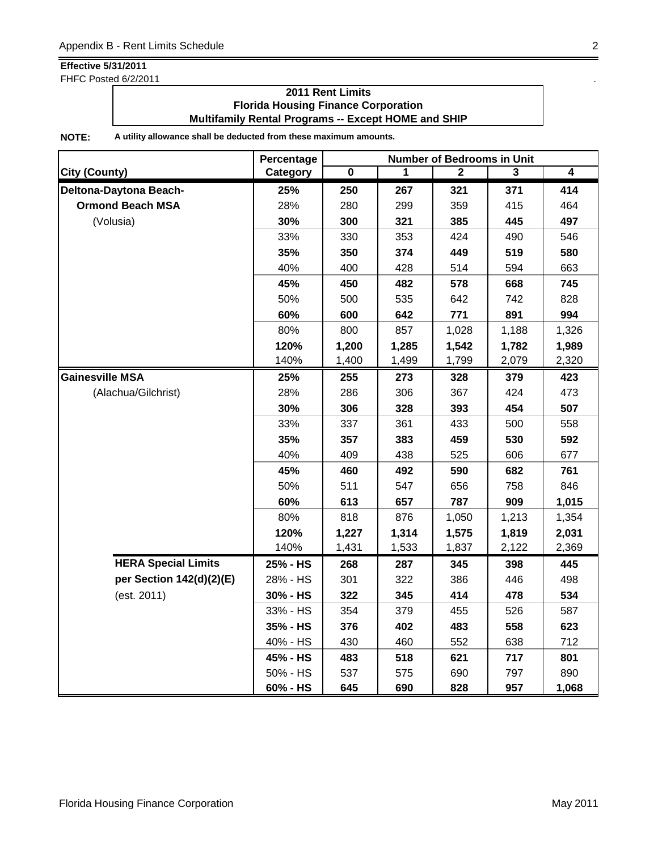FHFC Posted 6/2/2011 . The state of the state of the state of the state of the state of the state of the state of the state of the state of the state of the state of the state of the state of the state of the state of the

### **2011 Rent Limits Florida Housing Finance Corporation Multifamily Rental Programs -- Except HOME and SHIP**

|                            | Percentage | <b>Number of Bedrooms in Unit</b> |       |       |       |                         |  |
|----------------------------|------------|-----------------------------------|-------|-------|-------|-------------------------|--|
| <b>City (County)</b>       | Category   | 0                                 |       | 2     | 3     | $\overline{\mathbf{4}}$ |  |
| Deltona-Daytona Beach-     | 25%        | 250                               | 267   | 321   | 371   | 414                     |  |
| <b>Ormond Beach MSA</b>    | 28%        | 280                               | 299   | 359   | 415   | 464                     |  |
| (Volusia)                  | 30%        | 300                               | 321   | 385   | 445   | 497                     |  |
|                            | 33%        | 330                               | 353   | 424   | 490   | 546                     |  |
|                            | 35%        | 350                               | 374   | 449   | 519   | 580                     |  |
|                            | 40%        | 400                               | 428   | 514   | 594   | 663                     |  |
|                            | 45%        | 450                               | 482   | 578   | 668   | 745                     |  |
|                            | 50%        | 500                               | 535   | 642   | 742   | 828                     |  |
|                            | 60%        | 600                               | 642   | 771   | 891   | 994                     |  |
|                            | 80%        | 800                               | 857   | 1,028 | 1,188 | 1,326                   |  |
|                            | 120%       | 1,200                             | 1,285 | 1,542 | 1,782 | 1,989                   |  |
|                            | 140%       | 1,400                             | 1,499 | 1,799 | 2,079 | 2,320                   |  |
| <b>Gainesville MSA</b>     | 25%        | 255                               | 273   | 328   | 379   | 423                     |  |
| (Alachua/Gilchrist)        | 28%        | 286                               | 306   | 367   | 424   | 473                     |  |
|                            | 30%        | 306                               | 328   | 393   | 454   | 507                     |  |
|                            | 33%        | 337                               | 361   | 433   | 500   | 558                     |  |
|                            | 35%        | 357                               | 383   | 459   | 530   | 592                     |  |
|                            | 40%        | 409                               | 438   | 525   | 606   | 677                     |  |
|                            | 45%        | 460                               | 492   | 590   | 682   | 761                     |  |
|                            | 50%        | 511                               | 547   | 656   | 758   | 846                     |  |
|                            | 60%        | 613                               | 657   | 787   | 909   | 1,015                   |  |
|                            | 80%        | 818                               | 876   | 1,050 | 1,213 | 1,354                   |  |
|                            | 120%       | 1,227                             | 1,314 | 1,575 | 1,819 | 2,031                   |  |
|                            | 140%       | 1,431                             | 1,533 | 1,837 | 2,122 | 2,369                   |  |
| <b>HERA Special Limits</b> | 25% - HS   | 268                               | 287   | 345   | 398   | 445                     |  |
| per Section 142(d)(2)(E)   | 28% - HS   | 301                               | 322   | 386   | 446   | 498                     |  |
| (est. 2011)                | 30% - HS   | 322                               | 345   | 414   | 478   | 534                     |  |
|                            | 33% - HS   | 354                               | 379   | 455   | 526   | 587                     |  |
|                            | 35% - HS   | 376                               | 402   | 483   | 558   | 623                     |  |
|                            | 40% - HS   | 430                               | 460   | 552   | 638   | 712                     |  |
|                            | 45% - HS   | 483                               | 518   | 621   | 717   | 801                     |  |
|                            | 50% - HS   | 537                               | 575   | 690   | 797   | 890                     |  |
|                            | 60% - HS   | 645                               | 690   | 828   | 957   | 1,068                   |  |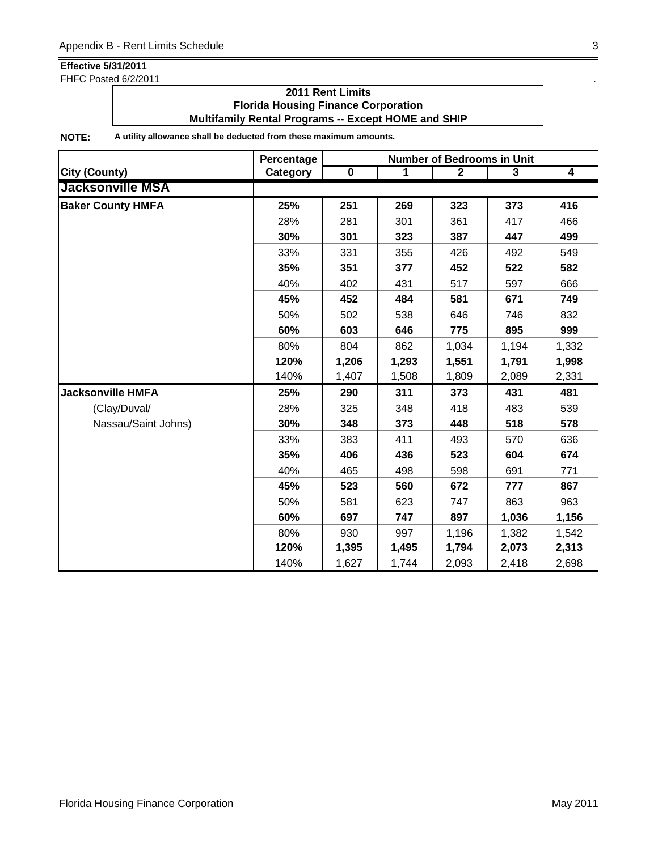FHFC Posted 6/2/2011

### **2011 Rent Limits Florida Housing Finance Corporation Multifamily Rental Programs -- Except HOME and SHIP**

|                          | Percentage | <b>Number of Bedrooms in Unit</b> |       |              |       |                         |  |
|--------------------------|------------|-----------------------------------|-------|--------------|-------|-------------------------|--|
| <b>City (County)</b>     | Category   | $\pmb{0}$                         | 1     | $\mathbf{2}$ | 3     | $\overline{\mathbf{4}}$ |  |
| <b>Jacksonville MSA</b>  |            |                                   |       |              |       |                         |  |
| <b>Baker County HMFA</b> | 25%        | 251                               | 269   | 323          | 373   | 416                     |  |
|                          | 28%        | 281                               | 301   | 361          | 417   | 466                     |  |
|                          | 30%        | 301                               | 323   | 387          | 447   | 499                     |  |
|                          | 33%        | 331                               | 355   | 426          | 492   | 549                     |  |
|                          | 35%        | 351                               | 377   | 452          | 522   | 582                     |  |
|                          | 40%        | 402                               | 431   | 517          | 597   | 666                     |  |
|                          | 45%        | 452                               | 484   | 581          | 671   | 749                     |  |
|                          | 50%        | 502                               | 538   | 646          | 746   | 832                     |  |
|                          | 60%        | 603                               | 646   | 775          | 895   | 999                     |  |
|                          | 80%        | 804                               | 862   | 1,034        | 1,194 | 1,332                   |  |
|                          | 120%       | 1,206                             | 1,293 | 1,551        | 1,791 | 1,998                   |  |
|                          | 140%       | 1,407                             | 1,508 | 1,809        | 2,089 | 2,331                   |  |
| <b>Jacksonville HMFA</b> | 25%        | 290                               | 311   | 373          | 431   | 481                     |  |
| (Clay/Duval/             | 28%        | 325                               | 348   | 418          | 483   | 539                     |  |
| Nassau/Saint Johns)      | 30%        | 348                               | 373   | 448          | 518   | 578                     |  |
|                          | 33%        | 383                               | 411   | 493          | 570   | 636                     |  |
|                          | 35%        | 406                               | 436   | 523          | 604   | 674                     |  |
|                          | 40%        | 465                               | 498   | 598          | 691   | 771                     |  |
|                          | 45%        | 523                               | 560   | 672          | 777   | 867                     |  |
|                          | 50%        | 581                               | 623   | 747          | 863   | 963                     |  |
|                          | 60%        | 697                               | 747   | 897          | 1,036 | 1,156                   |  |
|                          | 80%        | 930                               | 997   | 1,196        | 1,382 | 1,542                   |  |
|                          | 120%       | 1,395                             | 1,495 | 1,794        | 2,073 | 2,313                   |  |
|                          | 140%       | 1,627                             | 1,744 | 2,093        | 2,418 | 2,698                   |  |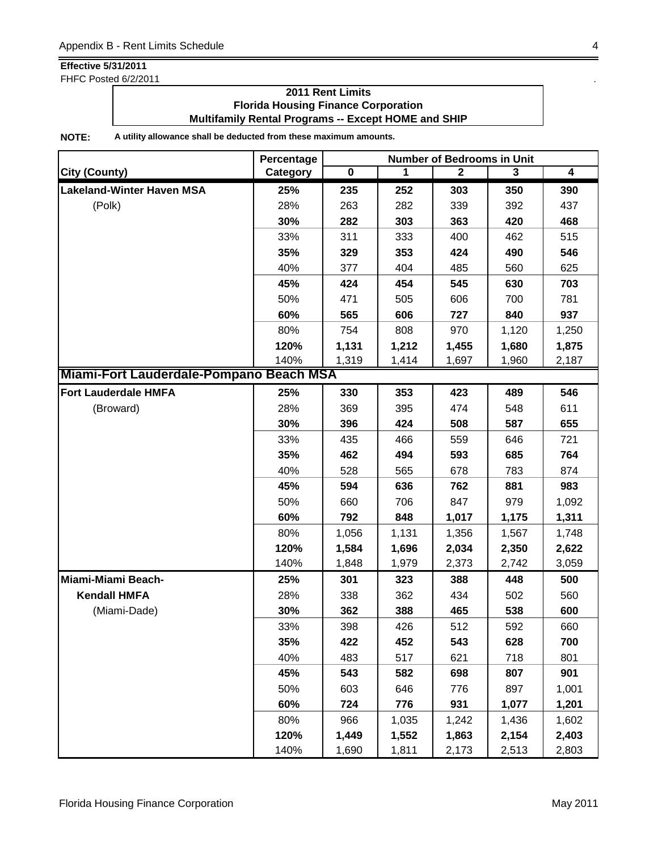FHFC Posted 6/2/2011

### **2011 Rent Limits Florida Housing Finance Corporation Multifamily Rental Programs -- Except HOME and SHIP**

|                                         | Percentage | <b>Number of Bedrooms in Unit</b> |       |              |       |       |  |
|-----------------------------------------|------------|-----------------------------------|-------|--------------|-------|-------|--|
| <b>City (County)</b>                    | Category   | $\mathbf 0$                       | 1     | $\mathbf{2}$ | 3     | 4     |  |
| <b>Lakeland-Winter Haven MSA</b>        | 25%        | 235                               | 252   | 303          | 350   | 390   |  |
| (Polk)                                  | 28%        | 263                               | 282   | 339          | 392   | 437   |  |
|                                         | 30%        | 282                               | 303   | 363          | 420   | 468   |  |
|                                         | 33%        | 311                               | 333   | 400          | 462   | 515   |  |
|                                         | 35%        | 329                               | 353   | 424          | 490   | 546   |  |
|                                         | 40%        | 377                               | 404   | 485          | 560   | 625   |  |
|                                         | 45%        | 424                               | 454   | 545          | 630   | 703   |  |
|                                         | 50%        | 471                               | 505   | 606          | 700   | 781   |  |
|                                         | 60%        | 565                               | 606   | 727          | 840   | 937   |  |
|                                         | 80%        | 754                               | 808   | 970          | 1,120 | 1,250 |  |
|                                         | 120%       | 1,131                             | 1,212 | 1,455        | 1,680 | 1,875 |  |
|                                         | 140%       | 1,319                             | 1,414 | 1,697        | 1,960 | 2,187 |  |
| Miami-Fort Lauderdale-Pompano Beach MSA |            |                                   |       |              |       |       |  |
| <b>Fort Lauderdale HMFA</b>             | 25%        | 330                               | 353   | 423          | 489   | 546   |  |
| (Broward)                               | 28%        | 369                               | 395   | 474          | 548   | 611   |  |
|                                         | 30%        | 396                               | 424   | 508          | 587   | 655   |  |
|                                         | 33%        | 435                               | 466   | 559          | 646   | 721   |  |
|                                         | 35%        | 462                               | 494   | 593          | 685   | 764   |  |
|                                         | 40%        | 528                               | 565   | 678          | 783   | 874   |  |
|                                         | 45%        | 594                               | 636   | 762          | 881   | 983   |  |
|                                         | 50%        | 660                               | 706   | 847          | 979   | 1,092 |  |
|                                         | 60%        | 792                               | 848   | 1,017        | 1,175 | 1,311 |  |
|                                         | 80%        | 1,056                             | 1,131 | 1,356        | 1,567 | 1,748 |  |
|                                         | 120%       | 1,584                             | 1,696 | 2,034        | 2,350 | 2,622 |  |
|                                         | 140%       | 1,848                             | 1,979 | 2,373        | 2,742 | 3,059 |  |
| Miami-Miami Beach-                      | 25%        | 301                               | 323   | 388          | 448   | 500   |  |
| <b>Kendall HMFA</b>                     | 28%        | 338                               | 362   | 434          | 502   | 560   |  |
| (Miami-Dade)                            | 30%        | 362                               | 388   | 465          | 538   | 600   |  |
|                                         | 33%        | 398                               | 426   | 512          | 592   | 660   |  |
|                                         | 35%        | 422                               | 452   | 543          | 628   | 700   |  |
|                                         | 40%        | 483                               | 517   | 621          | 718   | 801   |  |
|                                         | 45%        | 543                               | 582   | 698          | 807   | 901   |  |
|                                         | 50%        | 603                               | 646   | 776          | 897   | 1,001 |  |
|                                         | 60%        | 724                               | 776   | 931          | 1,077 | 1,201 |  |
|                                         | 80%        | 966                               | 1,035 | 1,242        | 1,436 | 1,602 |  |
|                                         | 120%       | 1,449                             | 1,552 | 1,863        | 2,154 | 2,403 |  |
|                                         | 140%       | 1,690                             | 1,811 | 2,173        | 2,513 | 2,803 |  |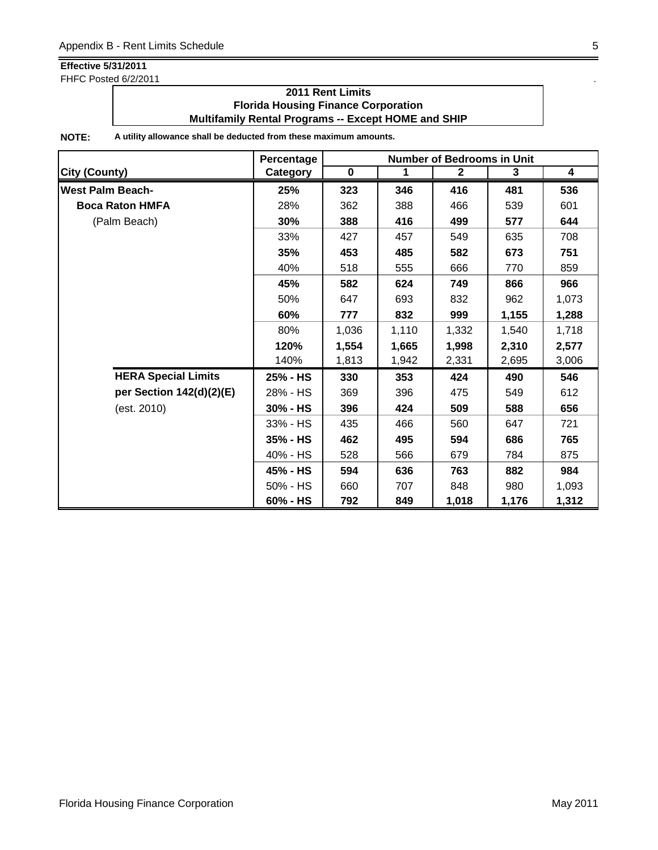FHFC Posted 6/2/2011 . The state of the state of the state of the state of the state of the state of the state of the state of the state of the state of the state of the state of the state of the state of the state of the

### **2011 Rent Limits Florida Housing Finance Corporation Multifamily Rental Programs -- Except HOME and SHIP**

|                            | Percentage  | <b>Number of Bedrooms in Unit</b> |       |              |       |                         |  |
|----------------------------|-------------|-----------------------------------|-------|--------------|-------|-------------------------|--|
| <b>City (County)</b>       | Category    | $\mathbf 0$                       | 1     | $\mathbf{2}$ | 3     | $\overline{\mathbf{4}}$ |  |
| <b>West Palm Beach-</b>    | 25%         | 323                               | 346   | 416          | 481   | 536                     |  |
| <b>Boca Raton HMFA</b>     | 28%         | 362                               | 388   | 466          | 539   | 601                     |  |
| (Palm Beach)               | 30%         | 388                               | 416   | 499          | 577   | 644                     |  |
|                            | 33%         | 427                               | 457   | 549          | 635   | 708                     |  |
|                            | 35%         | 453                               | 485   | 582          | 673   | 751                     |  |
|                            | 40%         | 518                               | 555   | 666          | 770   | 859                     |  |
|                            | 45%         | 582                               | 624   | 749          | 866   | 966                     |  |
|                            | 50%         | 647                               | 693   | 832          | 962   | 1,073                   |  |
|                            | 60%         | 777                               | 832   | 999          | 1,155 | 1,288                   |  |
|                            | 80%         | 1,036                             | 1,110 | 1,332        | 1,540 | 1,718                   |  |
|                            | 120%        | 1,554                             | 1,665 | 1,998        | 2,310 | 2,577                   |  |
|                            | 140%        | 1,813                             | 1,942 | 2,331        | 2,695 | 3,006                   |  |
| <b>HERA Special Limits</b> | 25% - HS    | 330                               | 353   | 424          | 490   | 546                     |  |
| per Section 142(d)(2)(E)   | 28% - HS    | 369                               | 396   | 475          | 549   | 612                     |  |
| (est. 2010)                | $30\%$ - HS | 396                               | 424   | 509          | 588   | 656                     |  |
|                            | 33% - HS    | 435                               | 466   | 560          | 647   | 721                     |  |
|                            | $35% - HS$  | 462                               | 495   | 594          | 686   | 765                     |  |
|                            | 40% - HS    | 528                               | 566   | 679          | 784   | 875                     |  |
|                            | 45% - HS    | 594                               | 636   | 763          | 882   | 984                     |  |
|                            | 50% - HS    | 660                               | 707   | 848          | 980   | 1,093                   |  |
|                            | 60% - HS    | 792                               | 849   | 1,018        | 1,176 | 1,312                   |  |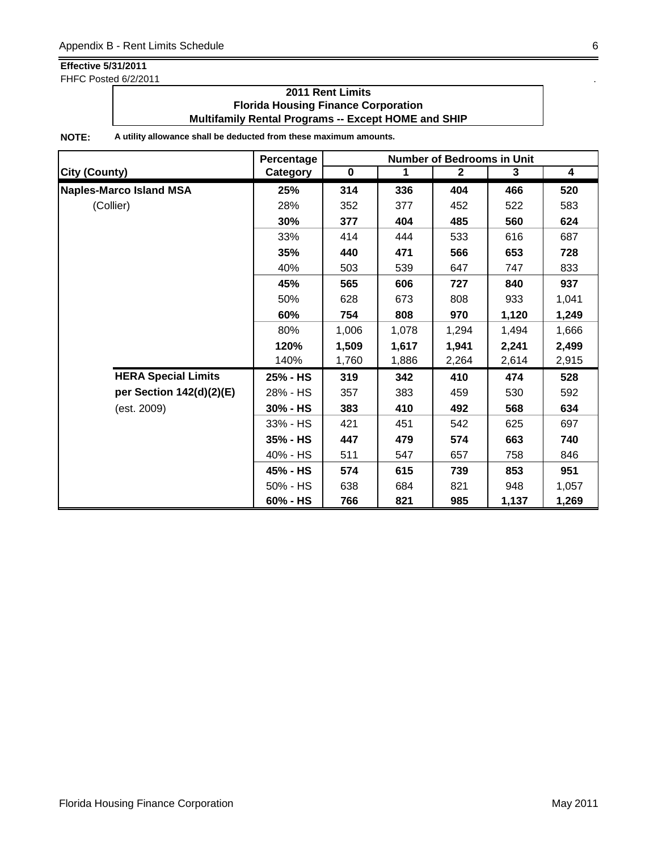FHFC Posted 6/2/2011

### **2011 Rent Limits Florida Housing Finance Corporation Multifamily Rental Programs -- Except HOME and SHIP**

|                                | Percentage | <b>Number of Bedrooms in Unit</b> |       |              |       |       |  |
|--------------------------------|------------|-----------------------------------|-------|--------------|-------|-------|--|
| <b>City (County)</b>           | Category   | $\mathbf 0$                       | 1     | $\mathbf{2}$ | 3     | 4     |  |
| <b>Naples-Marco Island MSA</b> | 25%        | 314                               | 336   | 404          | 466   | 520   |  |
| (Collier)                      | 28%        | 352                               | 377   | 452          | 522   | 583   |  |
|                                | 30%        | 377                               | 404   | 485          | 560   | 624   |  |
|                                | 33%        | 414                               | 444   | 533          | 616   | 687   |  |
|                                | 35%        | 440                               | 471   | 566          | 653   | 728   |  |
|                                | 40%        | 503                               | 539   | 647          | 747   | 833   |  |
|                                | 45%        | 565                               | 606   | 727          | 840   | 937   |  |
|                                | 50%        | 628                               | 673   | 808          | 933   | 1,041 |  |
|                                | 60%        | 754                               | 808   | 970          | 1,120 | 1,249 |  |
|                                | 80%        | 1,006                             | 1,078 | 1,294        | 1,494 | 1,666 |  |
|                                | 120%       | 1,509                             | 1,617 | 1,941        | 2,241 | 2,499 |  |
|                                | 140%       | 1,760                             | 1,886 | 2,264        | 2,614 | 2,915 |  |
| <b>HERA Special Limits</b>     | 25% - HS   | 319                               | 342   | 410          | 474   | 528   |  |
| per Section 142(d)(2)(E)       | 28% - HS   | 357                               | 383   | 459          | 530   | 592   |  |
| (est. 2009)                    | 30% - HS   | 383                               | 410   | 492          | 568   | 634   |  |
|                                | 33% - HS   | 421                               | 451   | 542          | 625   | 697   |  |
|                                | 35% - HS   | 447                               | 479   | 574          | 663   | 740   |  |
|                                | 40% - HS   | 511                               | 547   | 657          | 758   | 846   |  |
|                                | 45% - HS   | 574                               | 615   | 739          | 853   | 951   |  |
|                                | 50% - HS   | 638                               | 684   | 821          | 948   | 1,057 |  |
|                                | 60% - HS   | 766                               | 821   | 985          | 1,137 | 1,269 |  |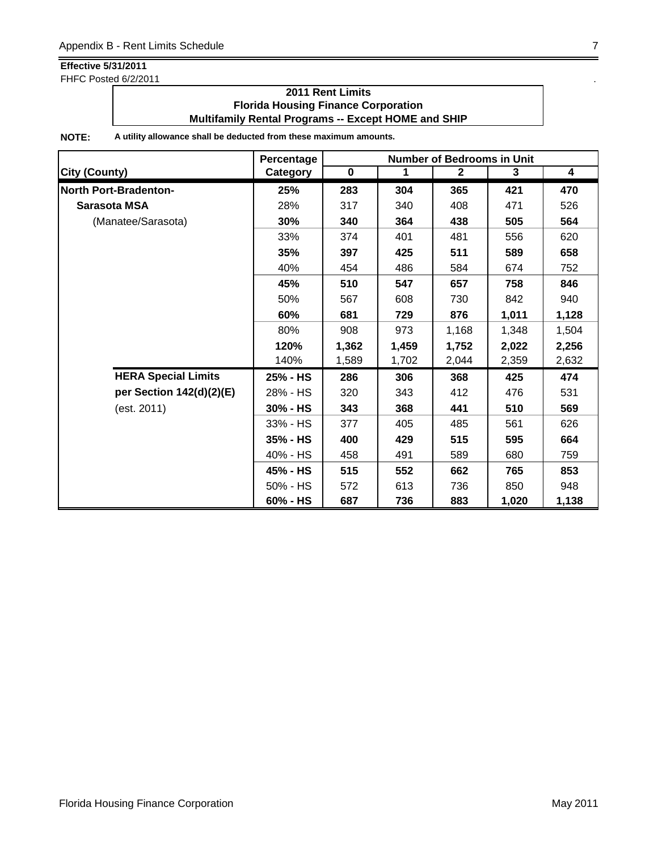FHFC Posted 6/2/2011

## **2011 Rent Limits Florida Housing Finance Corporation Multifamily Rental Programs -- Except HOME and SHIP**

|                              | Percentage  |             | <b>Number of Bedrooms in Unit</b> |              |       |                         |  |  |
|------------------------------|-------------|-------------|-----------------------------------|--------------|-------|-------------------------|--|--|
| <b>City (County)</b>         | Category    | $\mathbf 0$ | 1                                 | $\mathbf{2}$ | 3     | $\overline{\mathbf{4}}$ |  |  |
| <b>North Port-Bradenton-</b> | 25%         | 283         | 304                               | 365          | 421   | 470                     |  |  |
| Sarasota MSA                 | 28%         | 317         | 340                               | 408          | 471   | 526                     |  |  |
| (Manatee/Sarasota)           | 30%         | 340         | 364                               | 438          | 505   | 564                     |  |  |
|                              | 33%         | 374         | 401                               | 481          | 556   | 620                     |  |  |
|                              | 35%         | 397         | 425                               | 511          | 589   | 658                     |  |  |
|                              | 40%         | 454         | 486                               | 584          | 674   | 752                     |  |  |
|                              | 45%         | 510         | 547                               | 657          | 758   | 846                     |  |  |
|                              | 50%         | 567         | 608                               | 730          | 842   | 940                     |  |  |
|                              | 60%         | 681         | 729                               | 876          | 1,011 | 1,128                   |  |  |
|                              | 80%         | 908         | 973                               | 1,168        | 1,348 | 1,504                   |  |  |
|                              | 120%        | 1,362       | 1,459                             | 1,752        | 2,022 | 2,256                   |  |  |
|                              | 140%        | 1,589       | 1,702                             | 2,044        | 2,359 | 2,632                   |  |  |
| <b>HERA Special Limits</b>   | 25% - HS    | 286         | 306                               | 368          | 425   | 474                     |  |  |
| per Section 142(d)(2)(E)     | 28% - HS    | 320         | 343                               | 412          | 476   | 531                     |  |  |
| (est. 2011)                  | $30\%$ - HS | 343         | 368                               | 441          | 510   | 569                     |  |  |
|                              | 33% - HS    | 377         | 405                               | 485          | 561   | 626                     |  |  |
|                              | 35% - HS    | 400         | 429                               | 515          | 595   | 664                     |  |  |
|                              | 40% - HS    | 458         | 491                               | 589          | 680   | 759                     |  |  |
|                              | 45% - HS    | 515         | 552                               | 662          | 765   | 853                     |  |  |
|                              | 50% - HS    | 572         | 613                               | 736          | 850   | 948                     |  |  |
|                              | 60% - HS    | 687         | 736                               | 883          | 1,020 | 1,138                   |  |  |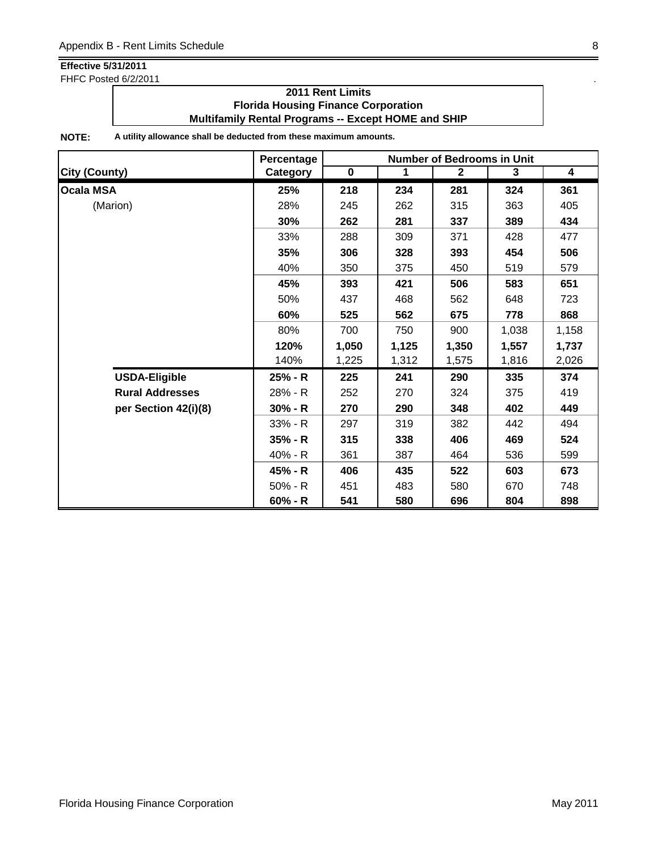FHFC Posted 6/2/2011

### **2011 Rent Limits Florida Housing Finance Corporation Multifamily Rental Programs -- Except HOME and SHIP**

|                        | Percentage |             |       | <b>Number of Bedrooms in Unit</b> |       |       |
|------------------------|------------|-------------|-------|-----------------------------------|-------|-------|
| <b>City (County)</b>   | Category   | $\mathbf 0$ | 1     | $\mathbf{2}$                      | 3     | 4     |
| <b>Ocala MSA</b>       | 25%        | 218         | 234   | 281                               | 324   | 361   |
| (Marion)               | 28%        | 245         | 262   | 315                               | 363   | 405   |
|                        | 30%        | 262         | 281   | 337                               | 389   | 434   |
|                        | 33%        | 288         | 309   | 371                               | 428   | 477   |
|                        | 35%        | 306         | 328   | 393                               | 454   | 506   |
|                        | 40%        | 350         | 375   | 450                               | 519   | 579   |
|                        | 45%        | 393         | 421   | 506                               | 583   | 651   |
|                        | 50%        | 437         | 468   | 562                               | 648   | 723   |
|                        | 60%        | 525         | 562   | 675                               | 778   | 868   |
|                        | 80%        | 700         | 750   | 900                               | 1,038 | 1,158 |
|                        | 120%       | 1,050       | 1,125 | 1,350                             | 1,557 | 1,737 |
|                        | 140%       | 1,225       | 1,312 | 1,575                             | 1,816 | 2,026 |
| <b>USDA-Eligible</b>   | 25% - R    | 225         | 241   | 290                               | 335   | 374   |
| <b>Rural Addresses</b> | 28% - R    | 252         | 270   | 324                               | 375   | 419   |
| per Section 42(i)(8)   | $30% - R$  | 270         | 290   | 348                               | 402   | 449   |
|                        | 33% - R    | 297         | 319   | 382                               | 442   | 494   |
|                        | $35% - R$  | 315         | 338   | 406                               | 469   | 524   |
|                        | 40% - R    | 361         | 387   | 464                               | 536   | 599   |
|                        | 45% - R    | 406         | 435   | 522                               | 603   | 673   |
|                        | $50% - R$  | 451         | 483   | 580                               | 670   | 748   |
|                        | $60% - R$  | 541         | 580   | 696                               | 804   | 898   |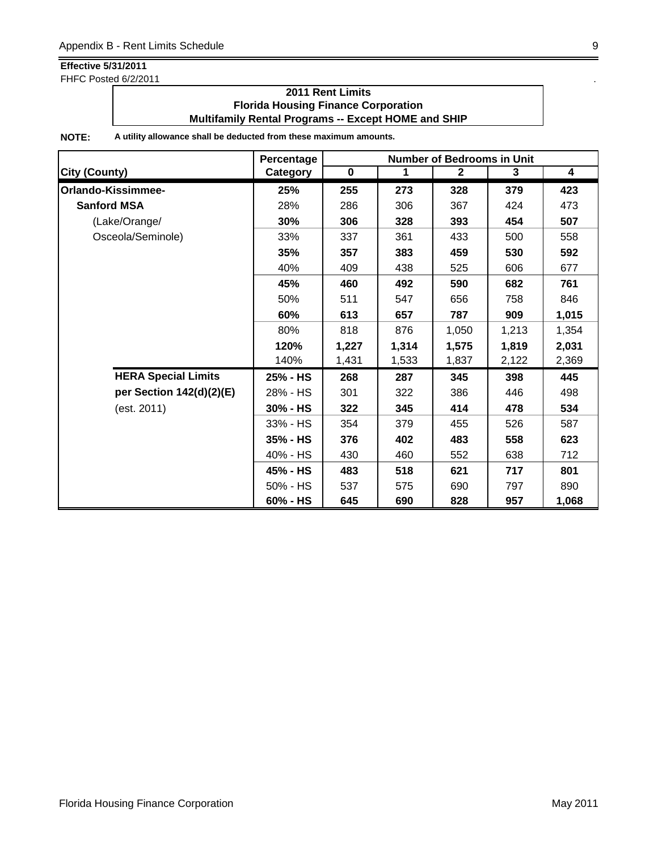FHFC Posted 6/2/2011

### **2011 Rent Limits Florida Housing Finance Corporation Multifamily Rental Programs -- Except HOME and SHIP**

|                            | Percentage<br><b>Number of Bedrooms in Unit</b> |             |       |              |       |                         |
|----------------------------|-------------------------------------------------|-------------|-------|--------------|-------|-------------------------|
| <b>City (County)</b>       | Category                                        | $\mathbf 0$ | 1     | $\mathbf{2}$ | 3     | $\overline{\mathbf{4}}$ |
| Orlando-Kissimmee-         | 25%                                             | 255         | 273   | 328          | 379   | 423                     |
| <b>Sanford MSA</b>         | 28%                                             | 286         | 306   | 367          | 424   | 473                     |
| (Lake/Orange/              | 30%                                             | 306         | 328   | 393          | 454   | 507                     |
| Osceola/Seminole)          | 33%                                             | 337         | 361   | 433          | 500   | 558                     |
|                            | 35%                                             | 357         | 383   | 459          | 530   | 592                     |
|                            | 40%                                             | 409         | 438   | 525          | 606   | 677                     |
|                            | 45%                                             | 460         | 492   | 590          | 682   | 761                     |
|                            | 50%                                             | 511         | 547   | 656          | 758   | 846                     |
|                            | 60%                                             | 613         | 657   | 787          | 909   | 1,015                   |
|                            | 80%                                             | 818         | 876   | 1,050        | 1,213 | 1,354                   |
|                            | 120%                                            | 1,227       | 1,314 | 1,575        | 1,819 | 2,031                   |
|                            | 140%                                            | 1,431       | 1,533 | 1,837        | 2,122 | 2,369                   |
| <b>HERA Special Limits</b> | 25% - HS                                        | 268         | 287   | 345          | 398   | 445                     |
| per Section 142(d)(2)(E)   | 28% - HS                                        | 301         | 322   | 386          | 446   | 498                     |
| (est. 2011)                | 30% - HS                                        | 322         | 345   | 414          | 478   | 534                     |
|                            | 33% - HS                                        | 354         | 379   | 455          | 526   | 587                     |
|                            | 35% - HS                                        | 376         | 402   | 483          | 558   | 623                     |
|                            | 40% - HS                                        | 430         | 460   | 552          | 638   | 712                     |
|                            | 45% - HS                                        | 483         | 518   | 621          | 717   | 801                     |
|                            | 50% - HS                                        | 537         | 575   | 690          | 797   | 890                     |
|                            | 60% - HS                                        | 645         | 690   | 828          | 957   | 1,068                   |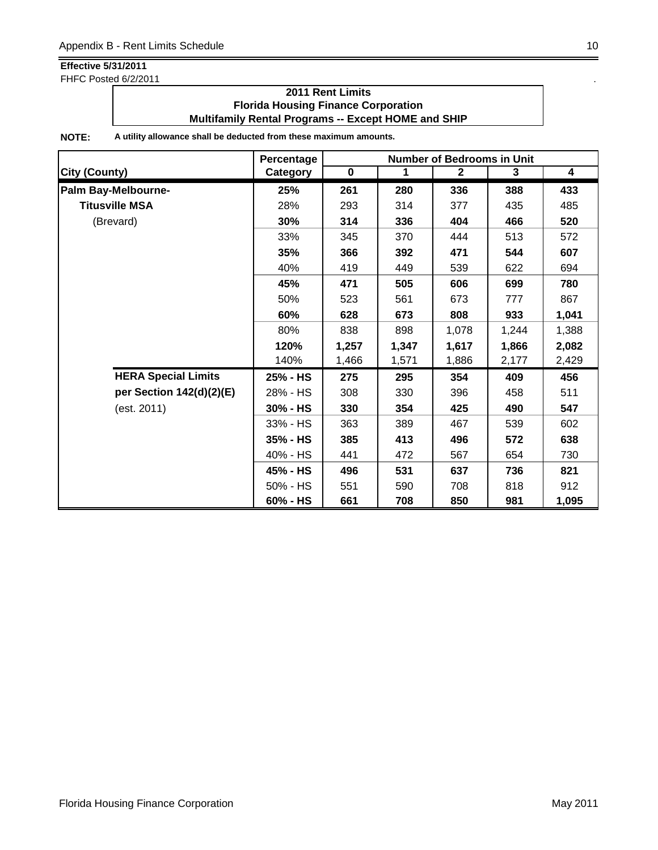FHFC Posted 6/2/2011 . The state of the state of the state of the state of the state of the state of the state of the state of the state of the state of the state of the state of the state of the state of the state of the

### **2011 Rent Limits Florida Housing Finance Corporation Multifamily Rental Programs -- Except HOME and SHIP**

|                            | Percentage | <b>Number of Bedrooms in Unit</b> |       |              |       |                         |  |
|----------------------------|------------|-----------------------------------|-------|--------------|-------|-------------------------|--|
| <b>City (County)</b>       | Category   | $\mathbf 0$                       | 1     | $\mathbf{2}$ | 3     | $\overline{\mathbf{4}}$ |  |
| Palm Bay-Melbourne-        | 25%        | 261                               | 280   | 336          | 388   | 433                     |  |
| <b>Titusville MSA</b>      | 28%        | 293                               | 314   | 377          | 435   | 485                     |  |
| (Brevard)                  | 30%        | 314                               | 336   | 404          | 466   | 520                     |  |
|                            | 33%        | 345                               | 370   | 444          | 513   | 572                     |  |
|                            | 35%        | 366                               | 392   | 471          | 544   | 607                     |  |
|                            | 40%        | 419                               | 449   | 539          | 622   | 694                     |  |
|                            | 45%        | 471                               | 505   | 606          | 699   | 780                     |  |
|                            | 50%        | 523                               | 561   | 673          | 777   | 867                     |  |
|                            | 60%        | 628                               | 673   | 808          | 933   | 1,041                   |  |
|                            | 80%        | 838                               | 898   | 1,078        | 1,244 | 1,388                   |  |
|                            | 120%       | 1,257                             | 1,347 | 1,617        | 1,866 | 2,082                   |  |
|                            | 140%       | 1,466                             | 1,571 | 1,886        | 2,177 | 2,429                   |  |
| <b>HERA Special Limits</b> | 25% - HS   | 275                               | 295   | 354          | 409   | 456                     |  |
| per Section 142(d)(2)(E)   | 28% - HS   | 308                               | 330   | 396          | 458   | 511                     |  |
| (est. 2011)                | 30% - HS   | 330                               | 354   | 425          | 490   | 547                     |  |
|                            | 33% - HS   | 363                               | 389   | 467          | 539   | 602                     |  |
|                            | 35% - HS   | 385                               | 413   | 496          | 572   | 638                     |  |
|                            | 40% - HS   | 441                               | 472   | 567          | 654   | 730                     |  |
|                            | 45% - HS   | 496                               | 531   | 637          | 736   | 821                     |  |
|                            | 50% - HS   | 551                               | 590   | 708          | 818   | 912                     |  |
|                            | 60% - HS   | 661                               | 708   | 850          | 981   | 1,095                   |  |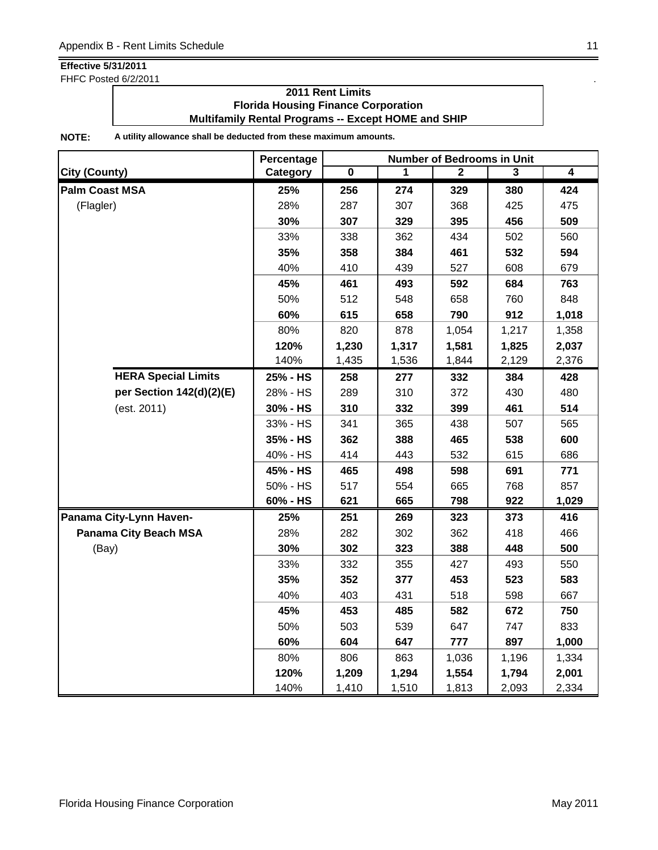FHFC Posted 6/2/2011

## **2011 Rent Limits Florida Housing Finance Corporation Multifamily Rental Programs -- Except HOME and SHIP**

|                            | Percentage | <b>Number of Bedrooms in Unit</b> |       |              |       |                |  |
|----------------------------|------------|-----------------------------------|-------|--------------|-------|----------------|--|
| <b>City (County)</b>       | Category   | $\pmb{0}$                         | 1     | $\mathbf{2}$ | 3     | $\overline{4}$ |  |
| <b>Palm Coast MSA</b>      | 25%        | 256                               | 274   | 329          | 380   | 424            |  |
| (Flagler)                  | 28%        | 287                               | 307   | 368          | 425   | 475            |  |
|                            | 30%        | 307                               | 329   | 395          | 456   | 509            |  |
|                            | 33%        | 338                               | 362   | 434          | 502   | 560            |  |
|                            | 35%        | 358                               | 384   | 461          | 532   | 594            |  |
|                            | 40%        | 410                               | 439   | 527          | 608   | 679            |  |
|                            | 45%        | 461                               | 493   | 592          | 684   | 763            |  |
|                            | 50%        | 512                               | 548   | 658          | 760   | 848            |  |
|                            | 60%        | 615                               | 658   | 790          | 912   | 1,018          |  |
|                            | 80%        | 820                               | 878   | 1,054        | 1,217 | 1,358          |  |
|                            | 120%       | 1,230                             | 1,317 | 1,581        | 1,825 | 2,037          |  |
|                            | 140%       | 1,435                             | 1,536 | 1,844        | 2,129 | 2,376          |  |
| <b>HERA Special Limits</b> | 25% - HS   | 258                               | 277   | 332          | 384   | 428            |  |
| per Section 142(d)(2)(E)   | 28% - HS   | 289                               | 310   | 372          | 430   | 480            |  |
| (est. 2011)                | 30% - HS   | 310                               | 332   | 399          | 461   | 514            |  |
|                            | 33% - HS   | 341                               | 365   | 438          | 507   | 565            |  |
|                            | 35% - HS   | 362                               | 388   | 465          | 538   | 600            |  |
|                            | 40% - HS   | 414                               | 443   | 532          | 615   | 686            |  |
|                            | 45% - HS   | 465                               | 498   | 598          | 691   | 771            |  |
|                            | 50% - HS   | 517                               | 554   | 665          | 768   | 857            |  |
|                            | 60% - HS   | 621                               | 665   | 798          | 922   | 1,029          |  |
| Panama City-Lynn Haven-    | 25%        | 251                               | 269   | 323          | 373   | 416            |  |
| Panama City Beach MSA      | 28%        | 282                               | 302   | 362          | 418   | 466            |  |
| (Bay)                      | 30%        | 302                               | 323   | 388          | 448   | 500            |  |
|                            | 33%        | 332                               | 355   | 427          | 493   | 550            |  |
|                            | 35%        | 352                               | 377   | 453          | 523   | 583            |  |
|                            | 40%        | 403                               | 431   | 518          | 598   | 667            |  |
|                            | 45%        | 453                               | 485   | 582          | 672   | 750            |  |
|                            | 50%        | 503                               | 539   | 647          | 747   | 833            |  |
|                            | 60%        | 604                               | 647   | 777          | 897   | 1,000          |  |
|                            | 80%        | 806                               | 863   | 1,036        | 1,196 | 1,334          |  |
|                            | 120%       | 1,209                             | 1,294 | 1,554        | 1,794 | 2,001          |  |
|                            | 140%       | 1,410                             | 1,510 | 1,813        | 2,093 | 2,334          |  |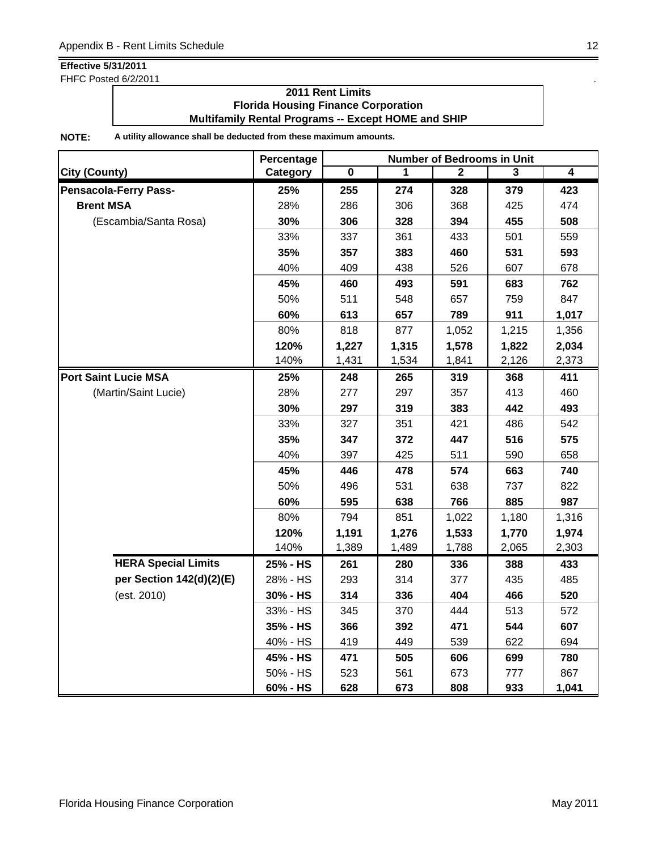FHFC Posted 6/2/2011 . The state of the state of the state of the state of the state of the state of the state of the state of the state of the state of the state of the state of the state of the state of the state of the

### **2011 Rent Limits Florida Housing Finance Corporation Multifamily Rental Programs -- Except HOME and SHIP**

|                              | Percentage | <b>Number of Bedrooms in Unit</b> |       |              |       |       |  |
|------------------------------|------------|-----------------------------------|-------|--------------|-------|-------|--|
| <b>City (County)</b>         | Category   | 0                                 | 1     | $\mathbf{2}$ | 3     | 4     |  |
| <b>Pensacola-Ferry Pass-</b> | 25%        | 255                               | 274   | 328          | 379   | 423   |  |
| <b>Brent MSA</b>             | 28%        | 286                               | 306   | 368          | 425   | 474   |  |
| (Escambia/Santa Rosa)        | 30%        | 306                               | 328   | 394          | 455   | 508   |  |
|                              | 33%        | 337                               | 361   | 433          | 501   | 559   |  |
|                              | 35%        | 357                               | 383   | 460          | 531   | 593   |  |
|                              | 40%        | 409                               | 438   | 526          | 607   | 678   |  |
|                              | 45%        | 460                               | 493   | 591          | 683   | 762   |  |
|                              | 50%        | 511                               | 548   | 657          | 759   | 847   |  |
|                              | 60%        | 613                               | 657   | 789          | 911   | 1,017 |  |
|                              | 80%        | 818                               | 877   | 1,052        | 1,215 | 1,356 |  |
|                              | 120%       | 1,227                             | 1,315 | 1,578        | 1,822 | 2,034 |  |
|                              | 140%       | 1,431                             | 1,534 | 1,841        | 2,126 | 2,373 |  |
| <b>Port Saint Lucie MSA</b>  | 25%        | 248                               | 265   | 319          | 368   | 411   |  |
| (Martin/Saint Lucie)         | 28%        | 277                               | 297   | 357          | 413   | 460   |  |
|                              | 30%        | 297                               | 319   | 383          | 442   | 493   |  |
|                              | 33%        | 327                               | 351   | 421          | 486   | 542   |  |
|                              | 35%        | 347                               | 372   | 447          | 516   | 575   |  |
|                              | 40%        | 397                               | 425   | 511          | 590   | 658   |  |
|                              | 45%        | 446                               | 478   | 574          | 663   | 740   |  |
|                              | 50%        | 496                               | 531   | 638          | 737   | 822   |  |
|                              | 60%        | 595                               | 638   | 766          | 885   | 987   |  |
|                              | 80%        | 794                               | 851   | 1,022        | 1,180 | 1,316 |  |
|                              | 120%       | 1,191                             | 1,276 | 1,533        | 1,770 | 1,974 |  |
|                              | 140%       | 1,389                             | 1,489 | 1,788        | 2,065 | 2,303 |  |
| <b>HERA Special Limits</b>   | 25% - HS   | 261                               | 280   | 336          | 388   | 433   |  |
| per Section 142(d)(2)(E)     | 28% - HS   | 293                               | 314   | 377          | 435   | 485   |  |
| (est. 2010)                  | 30% - HS   | 314                               | 336   | 404          | 466   | 520   |  |
|                              | 33% - HS   | 345                               | 370   | 444          | 513   | 572   |  |
|                              | 35% - HS   | 366                               | 392   | 471          | 544   | 607   |  |
|                              | 40% - HS   | 419                               | 449   | 539          | 622   | 694   |  |
|                              | 45% - HS   | 471                               | 505   | 606          | 699   | 780   |  |
|                              | 50% - HS   | 523                               | 561   | 673          | 777   | 867   |  |
|                              | 60% - HS   | 628                               | 673   | 808          | 933   | 1,041 |  |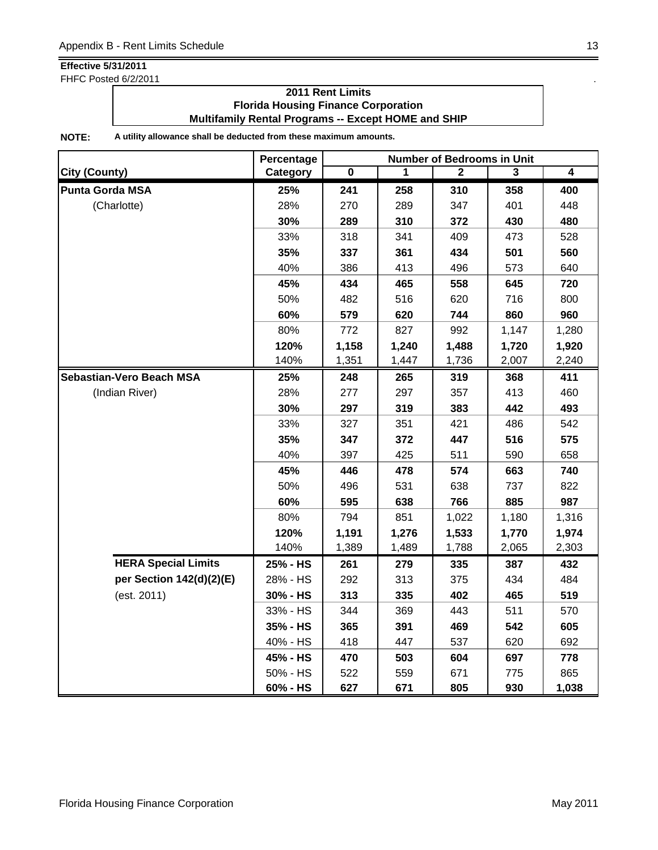FHFC Posted 6/2/2011 . The state of the state of the state of the state of the state of the state of the state of the state of the state of the state of the state of the state of the state of the state of the state of the

### **2011 Rent Limits Florida Housing Finance Corporation Multifamily Rental Programs -- Except HOME and SHIP**

|                            | Percentage |           |       | <b>Number of Bedrooms in Unit</b> |       |                |
|----------------------------|------------|-----------|-------|-----------------------------------|-------|----------------|
| <b>City (County)</b>       | Category   | $\pmb{0}$ | 1     | $\mathbf{2}$                      | 3     | $\overline{4}$ |
| <b>Punta Gorda MSA</b>     | 25%        | 241       | 258   | 310                               | 358   | 400            |
| (Charlotte)                | 28%        | 270       | 289   | 347                               | 401   | 448            |
|                            | 30%        | 289       | 310   | 372                               | 430   | 480            |
|                            | 33%        | 318       | 341   | 409                               | 473   | 528            |
|                            | 35%        | 337       | 361   | 434                               | 501   | 560            |
|                            | 40%        | 386       | 413   | 496                               | 573   | 640            |
|                            | 45%        | 434       | 465   | 558                               | 645   | 720            |
|                            | 50%        | 482       | 516   | 620                               | 716   | 800            |
|                            | 60%        | 579       | 620   | 744                               | 860   | 960            |
|                            | 80%        | 772       | 827   | 992                               | 1,147 | 1,280          |
|                            | 120%       | 1,158     | 1,240 | 1,488                             | 1,720 | 1,920          |
|                            | 140%       | 1,351     | 1,447 | 1,736                             | 2,007 | 2,240          |
| Sebastian-Vero Beach MSA   | 25%        | 248       | 265   | 319                               | 368   | 411            |
| (Indian River)             | 28%        | 277       | 297   | 357                               | 413   | 460            |
|                            | 30%        | 297       | 319   | 383                               | 442   | 493            |
|                            | 33%        | 327       | 351   | 421                               | 486   | 542            |
|                            | 35%        | 347       | 372   | 447                               | 516   | 575            |
|                            | 40%        | 397       | 425   | 511                               | 590   | 658            |
|                            | 45%        | 446       | 478   | 574                               | 663   | 740            |
|                            | 50%        | 496       | 531   | 638                               | 737   | 822            |
|                            | 60%        | 595       | 638   | 766                               | 885   | 987            |
|                            | 80%        | 794       | 851   | 1,022                             | 1,180 | 1,316          |
|                            | 120%       | 1,191     | 1,276 | 1,533                             | 1,770 | 1,974          |
|                            | 140%       | 1,389     | 1,489 | 1,788                             | 2,065 | 2,303          |
| <b>HERA Special Limits</b> | 25% - HS   | 261       | 279   | 335                               | 387   | 432            |
| per Section 142(d)(2)(E)   | 28% - HS   | 292       | 313   | 375                               | 434   | 484            |
| (est. 2011)                | 30% - HS   | 313       | 335   | 402                               | 465   | 519            |
|                            | 33% - HS   | 344       | 369   | 443                               | 511   | 570            |
|                            | 35% - HS   | 365       | 391   | 469                               | 542   | 605            |
|                            | 40% - HS   | 418       | 447   | 537                               | 620   | 692            |
|                            | 45% - HS   | 470       | 503   | 604                               | 697   | 778            |
|                            | 50% - HS   | 522       | 559   | 671                               | 775   | 865            |
|                            | 60% - HS   | 627       | 671   | 805                               | 930   | 1,038          |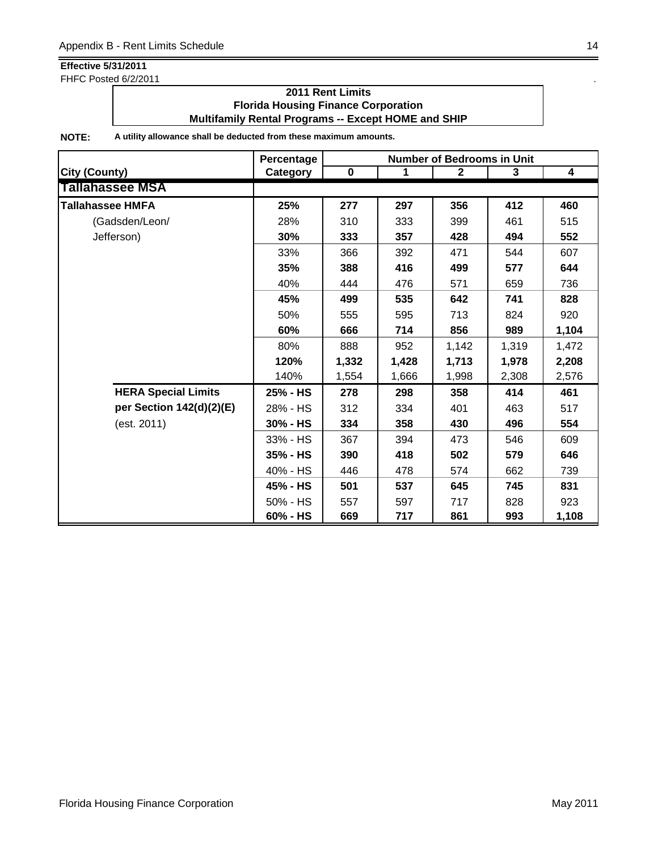FHFC Posted 6/2/2011 . The state of the state of the state of the state of the state of the state of the state of the state of the state of the state of the state of the state of the state of the state of the state of the

### **2011 Rent Limits Florida Housing Finance Corporation Multifamily Rental Programs -- Except HOME and SHIP**

|                            | Percentage | <b>Number of Bedrooms in Unit</b> |       |              |       |                         |  |
|----------------------------|------------|-----------------------------------|-------|--------------|-------|-------------------------|--|
| <b>City (County)</b>       | Category   | $\pmb{0}$                         | 1     | $\mathbf{2}$ | 3     | $\overline{\mathbf{4}}$ |  |
| <b>Tallahassee MSA</b>     |            |                                   |       |              |       |                         |  |
| <b>Tallahassee HMFA</b>    | 25%        | 277                               | 297   | 356          | 412   | 460                     |  |
| (Gadsden/Leon/             | 28%        | 310                               | 333   | 399          | 461   | 515                     |  |
| Jefferson)                 | 30%        | 333                               | 357   | 428          | 494   | 552                     |  |
|                            | 33%        | 366                               | 392   | 471          | 544   | 607                     |  |
|                            | 35%        | 388                               | 416   | 499          | 577   | 644                     |  |
|                            | 40%        | 444                               | 476   | 571          | 659   | 736                     |  |
|                            | 45%        | 499                               | 535   | 642          | 741   | 828                     |  |
|                            | 50%        | 555                               | 595   | 713          | 824   | 920                     |  |
|                            | 60%        | 666                               | 714   | 856          | 989   | 1,104                   |  |
|                            | 80%        | 888                               | 952   | 1,142        | 1,319 | 1,472                   |  |
|                            | 120%       | 1,332                             | 1,428 | 1,713        | 1,978 | 2,208                   |  |
|                            | 140%       | 1,554                             | 1,666 | 1,998        | 2,308 | 2,576                   |  |
| <b>HERA Special Limits</b> | 25% - HS   | 278                               | 298   | 358          | 414   | 461                     |  |
| per Section 142(d)(2)(E)   | 28% - HS   | 312                               | 334   | 401          | 463   | 517                     |  |
| (est. 2011)                | 30% - HS   | 334                               | 358   | 430          | 496   | 554                     |  |
|                            | 33% - HS   | 367                               | 394   | 473          | 546   | 609                     |  |
|                            | 35% - HS   | 390                               | 418   | 502          | 579   | 646                     |  |
|                            | 40% - HS   | 446                               | 478   | 574          | 662   | 739                     |  |
|                            | 45% - HS   | 501                               | 537   | 645          | 745   | 831                     |  |
|                            | 50% - HS   | 557                               | 597   | 717          | 828   | 923                     |  |
|                            | 60% - HS   | 669                               | 717   | 861          | 993   | 1,108                   |  |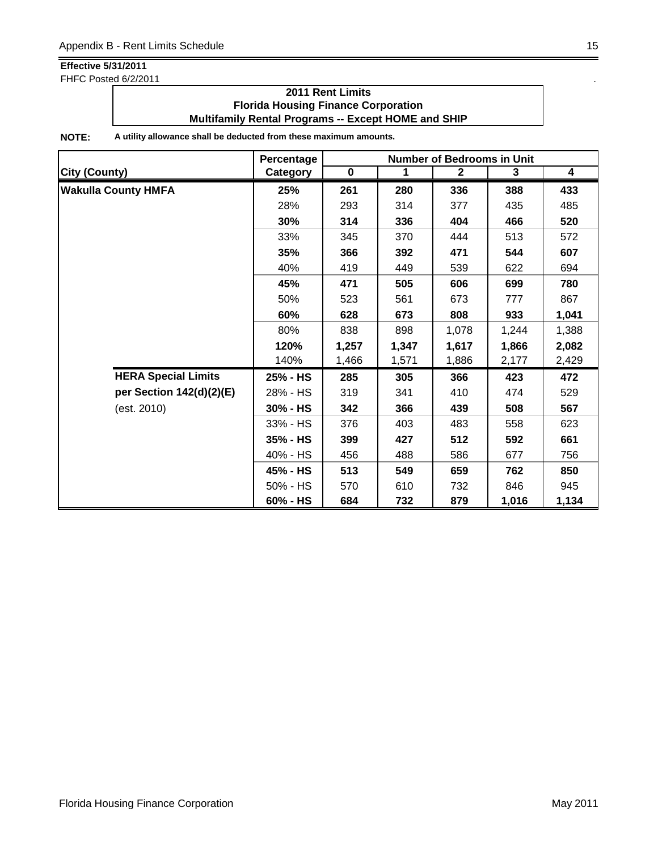FHFC Posted 6/2/2011 . The state of the state of the state of the state of the state of the state of the state of the state of the state of the state of the state of the state of the state of the state of the state of the

### **2011 Rent Limits Florida Housing Finance Corporation Multifamily Rental Programs -- Except HOME and SHIP**

|                            | Percentage | <b>Number of Bedrooms in Unit</b> |       |              |       |       |  |
|----------------------------|------------|-----------------------------------|-------|--------------|-------|-------|--|
| <b>City (County)</b>       | Category   | $\mathbf 0$                       | 1     | $\mathbf{2}$ | 3     | 4     |  |
| <b>Wakulla County HMFA</b> | 25%        | 261                               | 280   | 336          | 388   | 433   |  |
|                            | 28%        | 293                               | 314   | 377          | 435   | 485   |  |
|                            | 30%        | 314                               | 336   | 404          | 466   | 520   |  |
|                            | 33%        | 345                               | 370   | 444          | 513   | 572   |  |
|                            | 35%        | 366                               | 392   | 471          | 544   | 607   |  |
|                            | 40%        | 419                               | 449   | 539          | 622   | 694   |  |
|                            | 45%        | 471                               | 505   | 606          | 699   | 780   |  |
|                            | 50%        | 523                               | 561   | 673          | 777   | 867   |  |
|                            | 60%        | 628                               | 673   | 808          | 933   | 1,041 |  |
|                            | 80%        | 838                               | 898   | 1,078        | 1,244 | 1,388 |  |
|                            | 120%       | 1,257                             | 1,347 | 1,617        | 1,866 | 2,082 |  |
|                            | 140%       | 1,466                             | 1,571 | 1,886        | 2,177 | 2,429 |  |
| <b>HERA Special Limits</b> | 25% - HS   | 285                               | 305   | 366          | 423   | 472   |  |
| per Section 142(d)(2)(E)   | 28% - HS   | 319                               | 341   | 410          | 474   | 529   |  |
| (est. 2010)                | 30% - HS   | 342                               | 366   | 439          | 508   | 567   |  |
|                            | 33% - HS   | 376                               | 403   | 483          | 558   | 623   |  |
|                            | 35% - HS   | 399                               | 427   | 512          | 592   | 661   |  |
|                            | 40% - HS   | 456                               | 488   | 586          | 677   | 756   |  |
|                            | 45% - HS   | 513                               | 549   | 659          | 762   | 850   |  |
|                            | 50% - HS   | 570                               | 610   | 732          | 846   | 945   |  |
|                            | 60% - HS   | 684                               | 732   | 879          | 1,016 | 1,134 |  |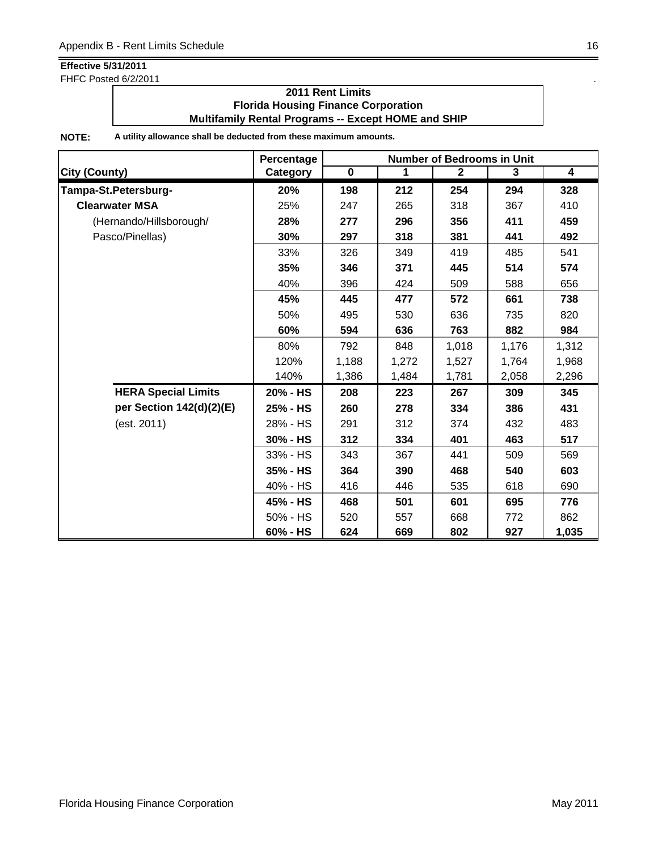FHFC Posted 6/2/2011 . The state of the state of the state of the state of the state of the state of the state of the state of the state of the state of the state of the state of the state of the state of the state of the

### **2011 Rent Limits Florida Housing Finance Corporation Multifamily Rental Programs -- Except HOME and SHIP**

|                            | Percentage | <b>Number of Bedrooms in Unit</b> |       |                |       |       |  |
|----------------------------|------------|-----------------------------------|-------|----------------|-------|-------|--|
| <b>City (County)</b>       | Category   | $\overline{\mathbf{0}}$           | 1     | $\overline{2}$ | 3     | 4     |  |
| Tampa-St.Petersburg-       | 20%        | 198                               | 212   | 254            | 294   | 328   |  |
| <b>Clearwater MSA</b>      | 25%        | 247                               | 265   | 318            | 367   | 410   |  |
| (Hernando/Hillsborough/    | 28%        | 277                               | 296   | 356            | 411   | 459   |  |
| Pasco/Pinellas)            | 30%        | 297                               | 318   | 381            | 441   | 492   |  |
|                            | 33%        | 326                               | 349   | 419            | 485   | 541   |  |
|                            | 35%        | 346                               | 371   | 445            | 514   | 574   |  |
|                            | 40%        | 396                               | 424   | 509            | 588   | 656   |  |
|                            | 45%        | 445                               | 477   | 572            | 661   | 738   |  |
|                            | 50%        | 495                               | 530   | 636            | 735   | 820   |  |
|                            | 60%        | 594                               | 636   | 763            | 882   | 984   |  |
|                            | 80%        | 792                               | 848   | 1,018          | 1,176 | 1,312 |  |
|                            | 120%       | 1,188                             | 1,272 | 1,527          | 1,764 | 1,968 |  |
|                            | 140%       | 1,386                             | 1,484 | 1,781          | 2,058 | 2,296 |  |
| <b>HERA Special Limits</b> | 20% - HS   | 208                               | 223   | 267            | 309   | 345   |  |
| per Section 142(d)(2)(E)   | 25% - HS   | 260                               | 278   | 334            | 386   | 431   |  |
| (est. 2011)                | 28% - HS   | 291                               | 312   | 374            | 432   | 483   |  |
|                            | 30% - HS   | 312                               | 334   | 401            | 463   | 517   |  |
|                            | 33% - HS   | 343                               | 367   | 441            | 509   | 569   |  |
|                            | 35% - HS   | 364                               | 390   | 468            | 540   | 603   |  |
|                            | 40% - HS   | 416                               | 446   | 535            | 618   | 690   |  |
|                            | 45% - HS   | 468                               | 501   | 601            | 695   | 776   |  |
|                            | 50% - HS   | 520                               | 557   | 668            | 772   | 862   |  |
|                            | 60% - HS   | 624                               | 669   | 802            | 927   | 1,035 |  |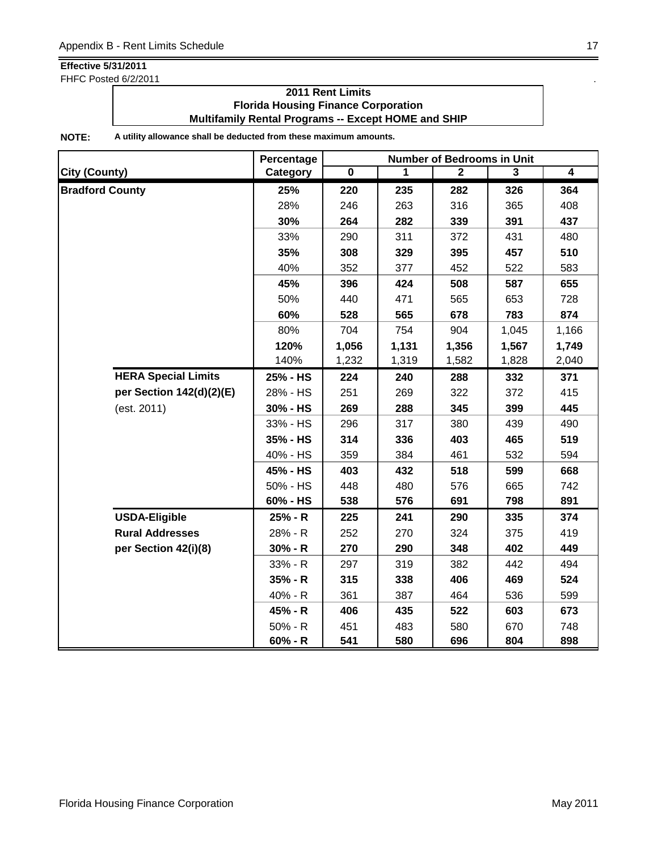FHFC Posted 6/2/2011 . The state of the state of the state of the state of the state of the state of the state of the state of the state of the state of the state of the state of the state of the state of the state of the

## **2011 Rent Limits Florida Housing Finance Corporation Multifamily Rental Programs -- Except HOME and SHIP**

|                            | Percentage | <b>Number of Bedrooms in Unit</b> |       |                |       |                |  |
|----------------------------|------------|-----------------------------------|-------|----------------|-------|----------------|--|
| <b>City (County)</b>       | Category   | $\overline{\mathbf{0}}$           | 1     | $\overline{2}$ | 3     | $\overline{4}$ |  |
| <b>Bradford County</b>     | 25%        | 220                               | 235   | 282            | 326   | 364            |  |
|                            | 28%        | 246                               | 263   | 316            | 365   | 408            |  |
|                            | 30%        | 264                               | 282   | 339            | 391   | 437            |  |
|                            | 33%        | 290                               | 311   | 372            | 431   | 480            |  |
|                            | 35%        | 308                               | 329   | 395            | 457   | 510            |  |
|                            | 40%        | 352                               | 377   | 452            | 522   | 583            |  |
|                            | 45%        | 396                               | 424   | 508            | 587   | 655            |  |
|                            | 50%        | 440                               | 471   | 565            | 653   | 728            |  |
|                            | 60%        | 528                               | 565   | 678            | 783   | 874            |  |
|                            | 80%        | 704                               | 754   | 904            | 1,045 | 1,166          |  |
|                            | 120%       | 1,056                             | 1,131 | 1,356          | 1,567 | 1,749          |  |
|                            | 140%       | 1,232                             | 1,319 | 1,582          | 1,828 | 2,040          |  |
| <b>HERA Special Limits</b> | 25% - HS   | 224                               | 240   | 288            | 332   | 371            |  |
| per Section 142(d)(2)(E)   | 28% - HS   | 251                               | 269   | 322            | 372   | 415            |  |
| (est. 2011)                | 30% - HS   | 269                               | 288   | 345            | 399   | 445            |  |
|                            | 33% - HS   | 296                               | 317   | 380            | 439   | 490            |  |
|                            | 35% - HS   | 314                               | 336   | 403            | 465   | 519            |  |
|                            | 40% - HS   | 359                               | 384   | 461            | 532   | 594            |  |
|                            | 45% - HS   | 403                               | 432   | 518            | 599   | 668            |  |
|                            | 50% - HS   | 448                               | 480   | 576            | 665   | 742            |  |
|                            | 60% - HS   | 538                               | 576   | 691            | 798   | 891            |  |
| <b>USDA-Eligible</b>       | 25% - R    | 225                               | 241   | 290            | 335   | 374            |  |
| <b>Rural Addresses</b>     | 28% - R    | 252                               | 270   | 324            | 375   | 419            |  |
| per Section 42(i)(8)       | $30% - R$  | 270                               | 290   | 348            | 402   | 449            |  |
|                            | 33% - R    | 297                               | 319   | 382            | 442   | 494            |  |
|                            | $35% - R$  | 315                               | 338   | 406            | 469   | 524            |  |
|                            | 40% - R    | 361                               | 387   | 464            | 536   | 599            |  |
|                            | 45% - R    | 406                               | 435   | 522            | 603   | 673            |  |
|                            | $50% - R$  | 451                               | 483   | 580            | 670   | 748            |  |
|                            | $60% - R$  | 541                               | 580   | 696            | 804   | 898            |  |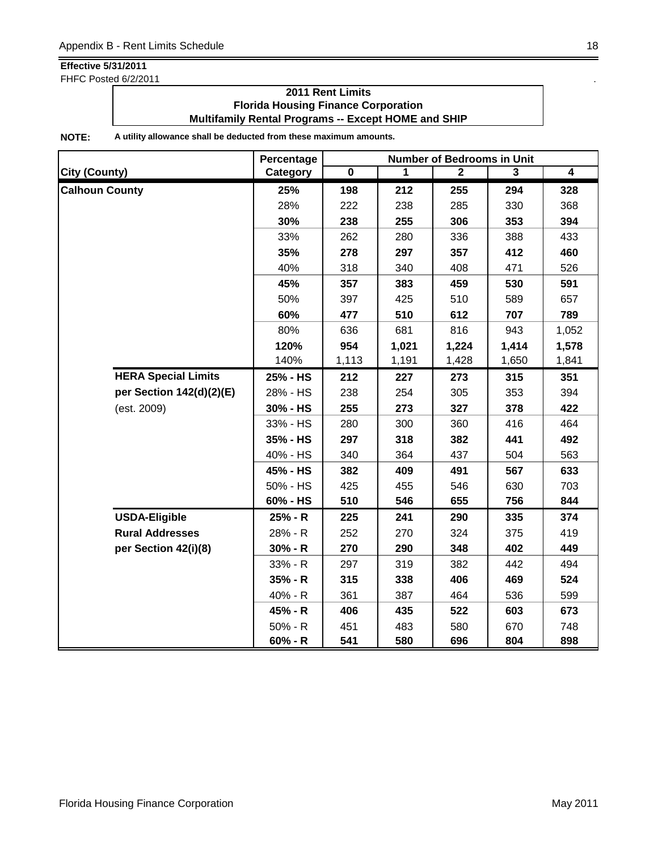FHFC Posted 6/2/2011 . The state of the state of the state of the state of the state of the state of the state of the state of the state of the state of the state of the state of the state of the state of the state of the

### **2011 Rent Limits Florida Housing Finance Corporation Multifamily Rental Programs -- Except HOME and SHIP**

|                       |                            | Percentage | <b>Number of Bedrooms in Unit</b> |       |                |       |                |  |
|-----------------------|----------------------------|------------|-----------------------------------|-------|----------------|-------|----------------|--|
| <b>City (County)</b>  |                            | Category   | $\overline{\mathbf{0}}$           | 1     | $\overline{2}$ | 3     | $\overline{4}$ |  |
| <b>Calhoun County</b> |                            | 25%        | 198                               | 212   | 255            | 294   | 328            |  |
|                       |                            | 28%        | 222                               | 238   | 285            | 330   | 368            |  |
|                       |                            | 30%        | 238                               | 255   | 306            | 353   | 394            |  |
|                       |                            | 33%        | 262                               | 280   | 336            | 388   | 433            |  |
|                       |                            | 35%        | 278                               | 297   | 357            | 412   | 460            |  |
|                       |                            | 40%        | 318                               | 340   | 408            | 471   | 526            |  |
|                       |                            | 45%        | 357                               | 383   | 459            | 530   | 591            |  |
|                       |                            | 50%        | 397                               | 425   | 510            | 589   | 657            |  |
|                       |                            | 60%        | 477                               | 510   | 612            | 707   | 789            |  |
|                       |                            | 80%        | 636                               | 681   | 816            | 943   | 1,052          |  |
|                       | 120%                       | 954        | 1,021                             | 1,224 | 1,414          | 1,578 |                |  |
|                       |                            | 140%       | 1,113                             | 1,191 | 1,428          | 1,650 | 1,841          |  |
|                       | <b>HERA Special Limits</b> | 25% - HS   | 212                               | 227   | 273            | 315   | 351            |  |
|                       | per Section 142(d)(2)(E)   | 28% - HS   | 238                               | 254   | 305            | 353   | 394            |  |
|                       | (est. 2009)                | 30% - HS   | 255                               | 273   | 327            | 378   | 422            |  |
|                       |                            | 33% - HS   | 280                               | 300   | 360            | 416   | 464            |  |
|                       |                            | 35% - HS   | 297                               | 318   | 382            | 441   | 492            |  |
|                       |                            | 40% - HS   | 340                               | 364   | 437            | 504   | 563            |  |
|                       |                            | 45% - HS   | 382                               | 409   | 491            | 567   | 633            |  |
|                       |                            | 50% - HS   | 425                               | 455   | 546            | 630   | 703            |  |
|                       |                            | 60% - HS   | 510                               | 546   | 655            | 756   | 844            |  |
|                       | <b>USDA-Eligible</b>       | 25% - R    | 225                               | 241   | 290            | 335   | 374            |  |
|                       | <b>Rural Addresses</b>     | 28% - R    | 252                               | 270   | 324            | 375   | 419            |  |
|                       | per Section 42(i)(8)       | $30% - R$  | 270                               | 290   | 348            | 402   | 449            |  |
|                       |                            | 33% - R    | 297                               | 319   | 382            | 442   | 494            |  |
|                       |                            | 35% - R    | 315                               | 338   | 406            | 469   | 524            |  |
|                       |                            | 40% - R    | 361                               | 387   | 464            | 536   | 599            |  |
|                       |                            | 45% - R    | 406                               | 435   | 522            | 603   | 673            |  |
|                       |                            | 50% - R    | 451                               | 483   | 580            | 670   | 748            |  |
|                       |                            | $60% - R$  | 541                               | 580   | 696            | 804   | 898            |  |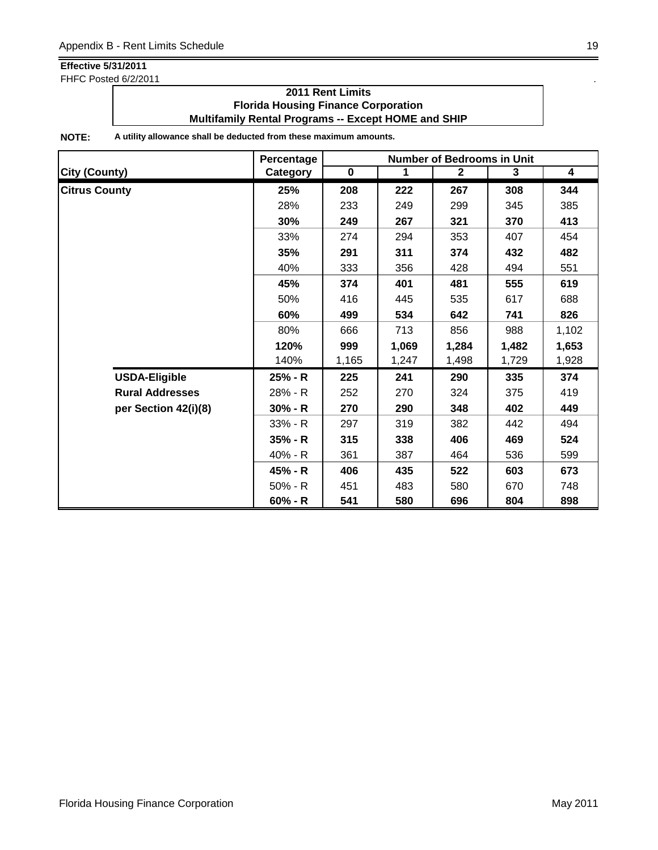FHFC Posted 6/2/2011 . The state of the state of the state of the state of the state of the state of the state of the state of the state of the state of the state of the state of the state of the state of the state of the

### **2011 Rent Limits Florida Housing Finance Corporation Multifamily Rental Programs -- Except HOME and SHIP**

|                        | Percentage |             | <b>Number of Bedrooms in Unit</b> |              |       |                         |  |  |
|------------------------|------------|-------------|-----------------------------------|--------------|-------|-------------------------|--|--|
| City (County)          | Category   | $\mathbf 0$ | $\mathbf 1$                       | $\mathbf{2}$ | 3     | $\overline{\mathbf{4}}$ |  |  |
| <b>Citrus County</b>   | 25%        | 208         | 222                               | 267          | 308   | 344                     |  |  |
|                        | 28%        | 233         | 249                               | 299          | 345   | 385                     |  |  |
|                        | 30%        | 249         | 267                               | 321          | 370   | 413                     |  |  |
|                        | 33%        | 274         | 294                               | 353          | 407   | 454                     |  |  |
|                        | 35%        | 291         | 311                               | 374          | 432   | 482                     |  |  |
|                        | 40%        | 333         | 356                               | 428          | 494   | 551                     |  |  |
|                        | 45%        | 374         | 401                               | 481          | 555   | 619                     |  |  |
|                        | 50%        | 416         | 445                               | 535          | 617   | 688                     |  |  |
|                        | 60%        | 499         | 534                               | 642          | 741   | 826                     |  |  |
|                        | 80%        | 666         | 713                               | 856          | 988   | 1,102                   |  |  |
|                        | 120%       | 999         | 1,069                             | 1,284        | 1,482 | 1,653                   |  |  |
|                        | 140%       | 1,165       | 1,247                             | 1,498        | 1,729 | 1,928                   |  |  |
| <b>USDA-Eligible</b>   | 25% - R    | 225         | 241                               | 290          | 335   | 374                     |  |  |
| <b>Rural Addresses</b> | 28% - R    | 252         | 270                               | 324          | 375   | 419                     |  |  |
| per Section 42(i)(8)   | $30% - R$  | 270         | 290                               | 348          | 402   | 449                     |  |  |
|                        | $33% - R$  | 297         | 319                               | 382          | 442   | 494                     |  |  |
|                        | 35% - R    | 315         | 338                               | 406          | 469   | 524                     |  |  |
|                        | 40% - R    | 361         | 387                               | 464          | 536   | 599                     |  |  |
|                        | 45% - R    | 406         | 435                               | 522          | 603   | 673                     |  |  |
|                        | $50% - R$  | 451         | 483                               | 580          | 670   | 748                     |  |  |
|                        | $60% - R$  | 541         | 580                               | 696          | 804   | 898                     |  |  |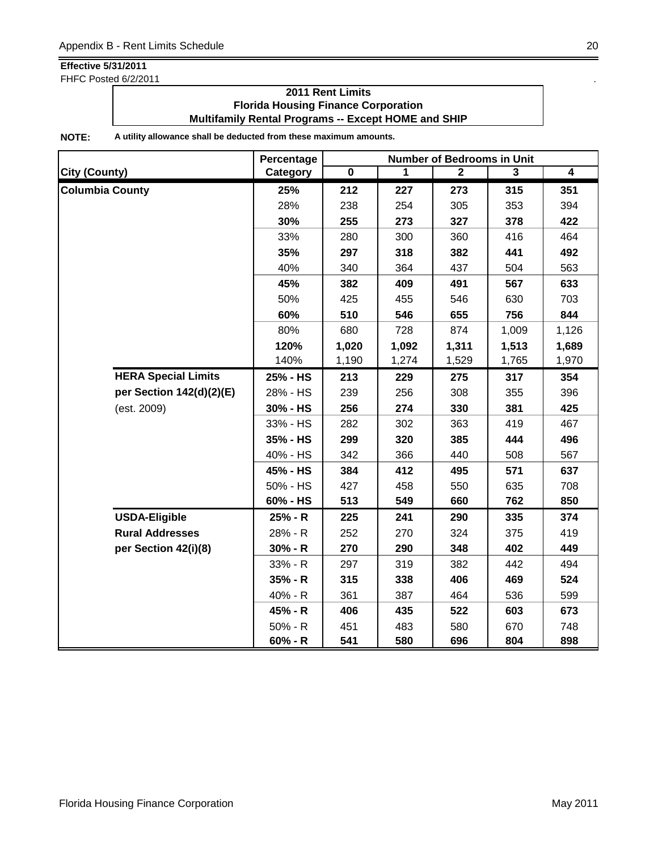FHFC Posted 6/2/2011 . The state of the state of the state of the state of the state of the state of the state of the state of the state of the state of the state of the state of the state of the state of the state of the

### **2011 Rent Limits Florida Housing Finance Corporation Multifamily Rental Programs -- Except HOME and SHIP**

|                        |                            | Percentage |                         |       | <b>Number of Bedrooms in Unit</b> |       |                |
|------------------------|----------------------------|------------|-------------------------|-------|-----------------------------------|-------|----------------|
| <b>City (County)</b>   |                            | Category   | $\overline{\mathbf{0}}$ | 1     | $\mathbf{2}$                      | 3     | $\overline{4}$ |
| <b>Columbia County</b> |                            | 25%        | 212                     | 227   | 273                               | 315   | 351            |
|                        |                            | 28%        | 238                     | 254   | 305                               | 353   | 394            |
|                        |                            | 30%        | 255                     | 273   | 327                               | 378   | 422            |
|                        |                            | 33%        | 280                     | 300   | 360                               | 416   | 464            |
|                        |                            | 35%        | 297                     | 318   | 382                               | 441   | 492            |
|                        |                            | 40%        | 340                     | 364   | 437                               | 504   | 563            |
|                        |                            | 45%        | 382                     | 409   | 491                               | 567   | 633            |
|                        |                            | 50%        | 425                     | 455   | 546                               | 630   | 703            |
|                        |                            | 60%        | 510                     | 546   | 655                               | 756   | 844            |
|                        |                            | 80%        | 680                     | 728   | 874                               | 1,009 | 1,126          |
|                        |                            | 120%       | 1,020                   | 1,092 | 1,311                             | 1,513 | 1,689          |
|                        |                            | 140%       | 1,190                   | 1,274 | 1,529                             | 1,765 | 1,970          |
|                        | <b>HERA Special Limits</b> | 25% - HS   | 213                     | 229   | 275                               | 317   | 354            |
|                        | per Section 142(d)(2)(E)   | 28% - HS   | 239                     | 256   | 308                               | 355   | 396            |
|                        | (est. 2009)                | 30% - HS   | 256                     | 274   | 330                               | 381   | 425            |
|                        |                            | 33% - HS   | 282                     | 302   | 363                               | 419   | 467            |
|                        |                            | 35% - HS   | 299                     | 320   | 385                               | 444   | 496            |
|                        |                            | 40% - HS   | 342                     | 366   | 440                               | 508   | 567            |
|                        |                            | 45% - HS   | 384                     | 412   | 495                               | 571   | 637            |
|                        |                            | 50% - HS   | 427                     | 458   | 550                               | 635   | 708            |
|                        |                            | 60% - HS   | 513                     | 549   | 660                               | 762   | 850            |
|                        | <b>USDA-Eligible</b>       | 25% - R    | 225                     | 241   | 290                               | 335   | 374            |
|                        | <b>Rural Addresses</b>     | 28% - R    | 252                     | 270   | 324                               | 375   | 419            |
|                        | per Section 42(i)(8)       | $30% - R$  | 270                     | 290   | 348                               | 402   | 449            |
|                        |                            | 33% - R    | 297                     | 319   | 382                               | 442   | 494            |
|                        |                            | $35% - R$  | 315                     | 338   | 406                               | 469   | 524            |
|                        |                            | 40% - R    | 361                     | 387   | 464                               | 536   | 599            |
|                        |                            | 45% - R    | 406                     | 435   | 522                               | 603   | 673            |
|                        |                            | 50% - R    | 451                     | 483   | 580                               | 670   | 748            |
|                        |                            | $60% - R$  | 541                     | 580   | 696                               | 804   | 898            |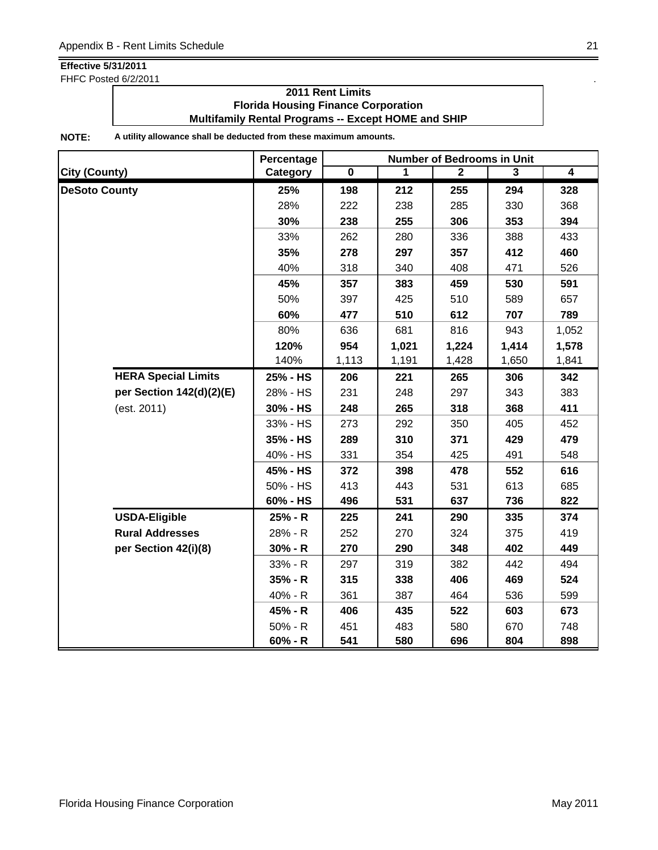FHFC Posted 6/2/2011 . The state of the state of the state of the state of the state of the state of the state of the state of the state of the state of the state of the state of the state of the state of the state of the

### **2011 Rent Limits Florida Housing Finance Corporation Multifamily Rental Programs -- Except HOME and SHIP**

|                            | Percentage | <b>Number of Bedrooms in Unit</b> |       |                |       |                |  |
|----------------------------|------------|-----------------------------------|-------|----------------|-------|----------------|--|
| <b>City (County)</b>       | Category   | $\overline{\mathbf{0}}$           | 1     | $\overline{2}$ | 3     | $\overline{4}$ |  |
| <b>DeSoto County</b>       | 25%        | 198                               | 212   | 255            | 294   | 328            |  |
|                            | 28%        | 222                               | 238   | 285            | 330   | 368            |  |
|                            | 30%        | 238                               | 255   | 306            | 353   | 394            |  |
|                            | 33%        | 262                               | 280   | 336            | 388   | 433            |  |
|                            | 35%        | 278                               | 297   | 357            | 412   | 460            |  |
|                            | 40%        | 318                               | 340   | 408            | 471   | 526            |  |
|                            | 45%        | 357                               | 383   | 459            | 530   | 591            |  |
|                            | 50%        | 397                               | 425   | 510            | 589   | 657            |  |
|                            | 60%        | 477                               | 510   | 612            | 707   | 789            |  |
|                            | 80%        | 636                               | 681   | 816            | 943   | 1,052          |  |
|                            | 120%       | 954                               | 1,021 | 1,224          | 1,414 | 1,578          |  |
|                            | 140%       | 1,113                             | 1,191 | 1,428          | 1,650 | 1,841          |  |
| <b>HERA Special Limits</b> | 25% - HS   | 206                               | 221   | 265            | 306   | 342            |  |
| per Section 142(d)(2)(E)   | 28% - HS   | 231                               | 248   | 297            | 343   | 383            |  |
| (est. 2011)                | 30% - HS   | 248                               | 265   | 318            | 368   | 411            |  |
|                            | 33% - HS   | 273                               | 292   | 350            | 405   | 452            |  |
|                            | 35% - HS   | 289                               | 310   | 371            | 429   | 479            |  |
|                            | 40% - HS   | 331                               | 354   | 425            | 491   | 548            |  |
|                            | 45% - HS   | 372                               | 398   | 478            | 552   | 616            |  |
|                            | 50% - HS   | 413                               | 443   | 531            | 613   | 685            |  |
|                            | 60% - HS   | 496                               | 531   | 637            | 736   | 822            |  |
| <b>USDA-Eligible</b>       | 25% - R    | 225                               | 241   | 290            | 335   | 374            |  |
| <b>Rural Addresses</b>     | 28% - R    | 252                               | 270   | 324            | 375   | 419            |  |
| per Section 42(i)(8)       | $30% - R$  | 270                               | 290   | 348            | 402   | 449            |  |
|                            | 33% - R    | 297                               | 319   | 382            | 442   | 494            |  |
|                            | $35% - R$  | 315                               | 338   | 406            | 469   | 524            |  |
|                            | 40% - R    | 361                               | 387   | 464            | 536   | 599            |  |
|                            | 45% - R    | 406                               | 435   | 522            | 603   | 673            |  |
|                            | 50% - R    | 451                               | 483   | 580            | 670   | 748            |  |
|                            | $60% - R$  | 541                               | 580   | 696            | 804   | 898            |  |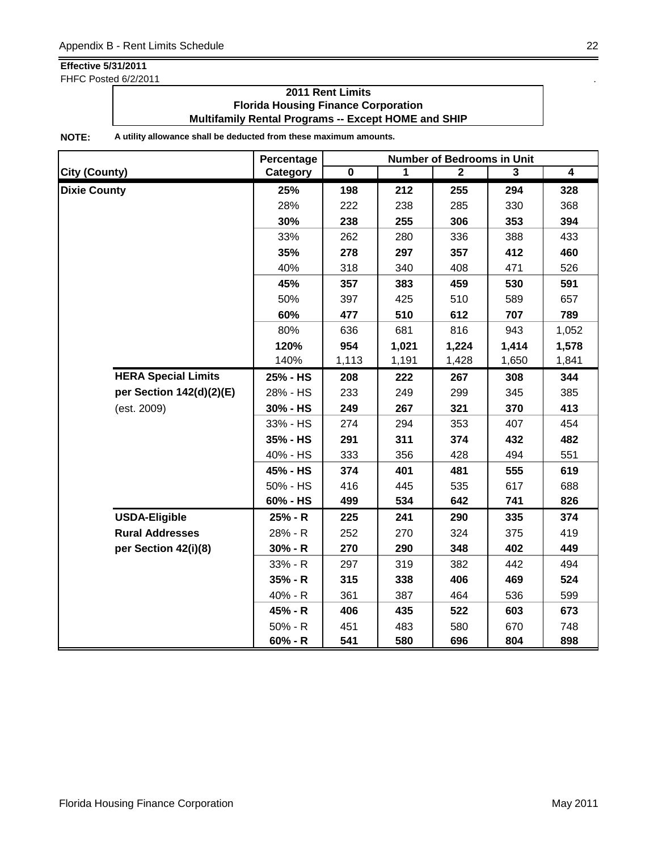FHFC Posted 6/2/2011 . The state of the state of the state of the state of the state of the state of the state of the state of the state of the state of the state of the state of the state of the state of the state of the

### **2011 Rent Limits Florida Housing Finance Corporation Multifamily Rental Programs -- Except HOME and SHIP**

|                      |                            | Percentage | <b>Number of Bedrooms in Unit</b> |       |                |       |                |  |
|----------------------|----------------------------|------------|-----------------------------------|-------|----------------|-------|----------------|--|
| <b>City (County)</b> |                            | Category   | $\overline{\mathbf{0}}$           | 1     | $\overline{2}$ | 3     | $\overline{4}$ |  |
| <b>Dixie County</b>  |                            | 25%        | 198                               | 212   | 255            | 294   | 328            |  |
|                      |                            | 28%        | 222                               | 238   | 285            | 330   | 368            |  |
|                      |                            | 30%        | 238                               | 255   | 306            | 353   | 394            |  |
|                      |                            | 33%        | 262                               | 280   | 336            | 388   | 433            |  |
|                      |                            | 35%        | 278                               | 297   | 357            | 412   | 460            |  |
|                      |                            | 40%        | 318                               | 340   | 408            | 471   | 526            |  |
|                      |                            | 45%        | 357                               | 383   | 459            | 530   | 591            |  |
|                      |                            | 50%        | 397                               | 425   | 510            | 589   | 657            |  |
|                      |                            | 60%        | 477                               | 510   | 612            | 707   | 789            |  |
|                      |                            | 80%        | 636                               | 681   | 816            | 943   | 1,052          |  |
|                      | 120%                       | 954        | 1,021                             | 1,224 | 1,414          | 1,578 |                |  |
|                      |                            | 140%       | 1,113                             | 1,191 | 1,428          | 1,650 | 1,841          |  |
|                      | <b>HERA Special Limits</b> | 25% - HS   | 208                               | 222   | 267            | 308   | 344            |  |
|                      | per Section 142(d)(2)(E)   | 28% - HS   | 233                               | 249   | 299            | 345   | 385            |  |
|                      | (est. 2009)                | 30% - HS   | 249                               | 267   | 321            | 370   | 413            |  |
|                      |                            | 33% - HS   | 274                               | 294   | 353            | 407   | 454            |  |
|                      |                            | 35% - HS   | 291                               | 311   | 374            | 432   | 482            |  |
|                      |                            | 40% - HS   | 333                               | 356   | 428            | 494   | 551            |  |
|                      |                            | 45% - HS   | 374                               | 401   | 481            | 555   | 619            |  |
|                      |                            | 50% - HS   | 416                               | 445   | 535            | 617   | 688            |  |
|                      |                            | 60% - HS   | 499                               | 534   | 642            | 741   | 826            |  |
|                      | <b>USDA-Eligible</b>       | 25% - R    | 225                               | 241   | 290            | 335   | 374            |  |
|                      | <b>Rural Addresses</b>     | 28% - R    | 252                               | 270   | 324            | 375   | 419            |  |
|                      | per Section 42(i)(8)       | $30% - R$  | 270                               | 290   | 348            | 402   | 449            |  |
|                      |                            | 33% - R    | 297                               | 319   | 382            | 442   | 494            |  |
|                      |                            | $35% - R$  | 315                               | 338   | 406            | 469   | 524            |  |
|                      |                            | 40% - R    | 361                               | 387   | 464            | 536   | 599            |  |
|                      |                            | 45% - R    | 406                               | 435   | 522            | 603   | 673            |  |
|                      |                            | $50% - R$  | 451                               | 483   | 580            | 670   | 748            |  |
|                      |                            | $60% - R$  | 541                               | 580   | 696            | 804   | 898            |  |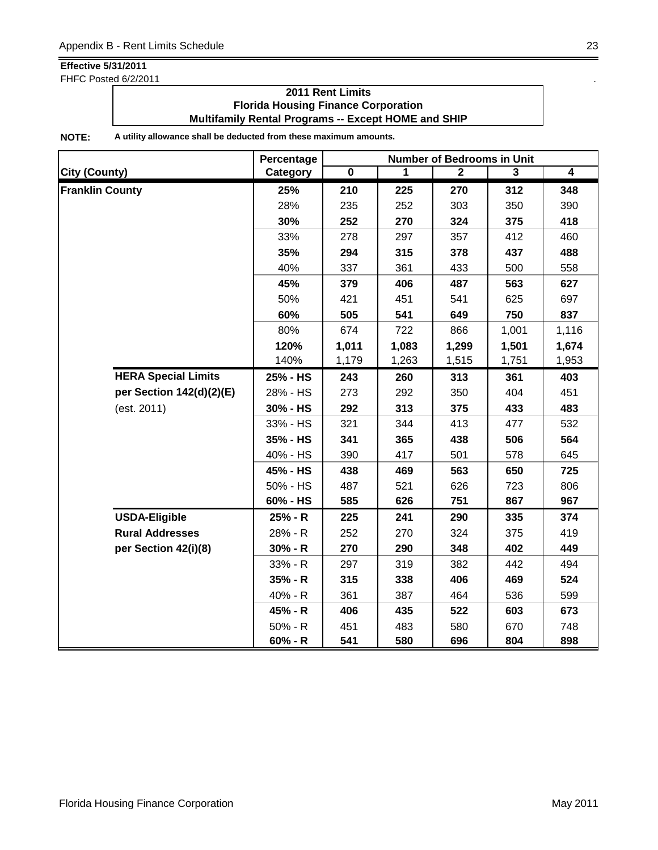FHFC Posted 6/2/2011 . The state of the state of the state of the state of the state of the state of the state of the state of the state of the state of the state of the state of the state of the state of the state of the

### **2011 Rent Limits Florida Housing Finance Corporation Multifamily Rental Programs -- Except HOME and SHIP**

|                            | Percentage | <b>Number of Bedrooms in Unit</b> |       |                |                |                |  |
|----------------------------|------------|-----------------------------------|-------|----------------|----------------|----------------|--|
| City (County)              | Category   | $\overline{\mathbf{0}}$           | 1     | $\overline{2}$ | $\overline{3}$ | $\overline{4}$ |  |
| <b>Franklin County</b>     | 25%        | 210                               | 225   | 270            | 312            | 348            |  |
|                            | 28%        | 235                               | 252   | 303            | 350            | 390            |  |
|                            | 30%        | 252                               | 270   | 324            | 375            | 418            |  |
|                            | 33%        | 278                               | 297   | 357            | 412            | 460            |  |
|                            | 35%        | 294                               | 315   | 378            | 437            | 488            |  |
|                            | 40%        | 337                               | 361   | 433            | 500            | 558            |  |
|                            | 45%        | 379                               | 406   | 487            | 563            | 627            |  |
|                            | 50%        | 421                               | 451   | 541            | 625            | 697            |  |
|                            | 60%        | 505                               | 541   | 649            | 750            | 837            |  |
|                            | 80%        | 674                               | 722   | 866            | 1,001          | 1,116          |  |
|                            | 120%       | 1,011                             | 1,083 | 1,299          | 1,501          | 1,674          |  |
|                            | 140%       | 1,179                             | 1,263 | 1,515          | 1,751          | 1,953          |  |
| <b>HERA Special Limits</b> | 25% - HS   | 243                               | 260   | 313            | 361            | 403            |  |
| per Section 142(d)(2)(E)   | 28% - HS   | 273                               | 292   | 350            | 404            | 451            |  |
| (est. 2011)                | 30% - HS   | 292                               | 313   | 375            | 433            | 483            |  |
|                            | 33% - HS   | 321                               | 344   | 413            | 477            | 532            |  |
|                            | 35% - HS   | 341                               | 365   | 438            | 506            | 564            |  |
|                            | 40% - HS   | 390                               | 417   | 501            | 578            | 645            |  |
|                            | 45% - HS   | 438                               | 469   | 563            | 650            | 725            |  |
|                            | 50% - HS   | 487                               | 521   | 626            | 723            | 806            |  |
|                            | 60% - HS   | 585                               | 626   | 751            | 867            | 967            |  |
| <b>USDA-Eligible</b>       | 25% - R    | 225                               | 241   | 290            | 335            | 374            |  |
| <b>Rural Addresses</b>     | 28% - R    | 252                               | 270   | 324            | 375            | 419            |  |
| per Section 42(i)(8)       | $30% - R$  | 270                               | 290   | 348            | 402            | 449            |  |
|                            | 33% - R    | 297                               | 319   | 382            | 442            | 494            |  |
|                            | $35% - R$  | 315                               | 338   | 406            | 469            | 524            |  |
|                            | 40% - R    | 361                               | 387   | 464            | 536            | 599            |  |
|                            | 45% - R    | 406                               | 435   | 522            | 603            | 673            |  |
|                            | $50% - R$  | 451                               | 483   | 580            | 670            | 748            |  |
|                            | $60% - R$  | 541                               | 580   | 696            | 804            | 898            |  |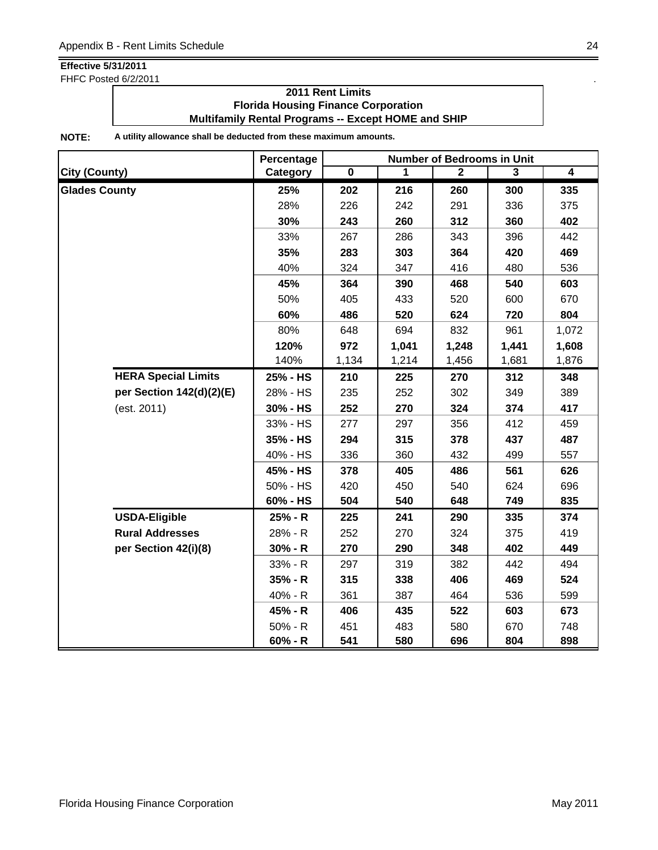FHFC Posted 6/2/2011 **.** The same state of the state of the state of the state of the state of the state of the state of the state of the state of the state of the state of the state of the state of the state of the state

### **2011 Rent Limits Florida Housing Finance Corporation Multifamily Rental Programs -- Except HOME and SHIP**

|                            | Percentage | <b>Number of Bedrooms in Unit</b> |       |                |                |                |  |
|----------------------------|------------|-----------------------------------|-------|----------------|----------------|----------------|--|
| <b>City (County)</b>       | Category   | $\overline{\mathbf{0}}$           | 1     | $\overline{2}$ | $\overline{3}$ | $\overline{4}$ |  |
| <b>Glades County</b>       | 25%        | 202                               | 216   | 260            | 300            | 335            |  |
|                            | 28%        | 226                               | 242   | 291            | 336            | 375            |  |
|                            | 30%        | 243                               | 260   | 312            | 360            | 402            |  |
|                            | 33%        | 267                               | 286   | 343            | 396            | 442            |  |
|                            | 35%        | 283                               | 303   | 364            | 420            | 469            |  |
|                            | 40%        | 324                               | 347   | 416            | 480            | 536            |  |
|                            | 45%        | 364                               | 390   | 468            | 540            | 603            |  |
|                            | 50%        | 405                               | 433   | 520            | 600            | 670            |  |
|                            | 60%        | 486                               | 520   | 624            | 720            | 804            |  |
|                            | 80%        | 648                               | 694   | 832            | 961            | 1,072          |  |
|                            | 120%       | 972                               | 1,041 | 1,248          | 1,441          | 1,608          |  |
|                            | 140%       | 1,134                             | 1,214 | 1,456          | 1,681          | 1,876          |  |
| <b>HERA Special Limits</b> | 25% - HS   | 210                               | 225   | 270            | 312            | 348            |  |
| per Section 142(d)(2)(E)   | 28% - HS   | 235                               | 252   | 302            | 349            | 389            |  |
| (est. 2011)                | 30% - HS   | 252                               | 270   | 324            | 374            | 417            |  |
|                            | 33% - HS   | 277                               | 297   | 356            | 412            | 459            |  |
|                            | 35% - HS   | 294                               | 315   | 378            | 437            | 487            |  |
|                            | 40% - HS   | 336                               | 360   | 432            | 499            | 557            |  |
|                            | 45% - HS   | 378                               | 405   | 486            | 561            | 626            |  |
|                            | 50% - HS   | 420                               | 450   | 540            | 624            | 696            |  |
|                            | 60% - HS   | 504                               | 540   | 648            | 749            | 835            |  |
| <b>USDA-Eligible</b>       | 25% - R    | 225                               | 241   | 290            | 335            | 374            |  |
| <b>Rural Addresses</b>     | 28% - R    | 252                               | 270   | 324            | 375            | 419            |  |
| per Section 42(i)(8)       | $30% - R$  | 270                               | 290   | 348            | 402            | 449            |  |
|                            | 33% - R    | 297                               | 319   | 382            | 442            | 494            |  |
|                            | $35% - R$  | 315                               | 338   | 406            | 469            | 524            |  |
|                            | 40% - R    | 361                               | 387   | 464            | 536            | 599            |  |
|                            | 45% - R    | 406                               | 435   | 522            | 603            | 673            |  |
|                            | $50% - R$  | 451                               | 483   | 580            | 670            | 748            |  |
|                            | $60% - R$  | 541                               | 580   | 696            | 804            | 898            |  |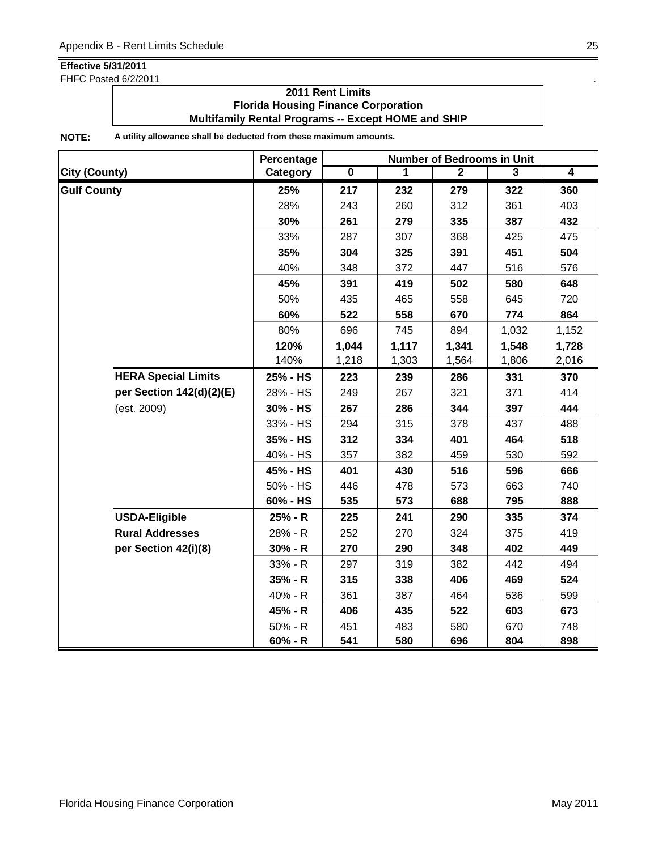FHFC Posted 6/2/2011 . The state of the state of the state of the state of the state of the state of the state of the state of the state of the state of the state of the state of the state of the state of the state of the

### **2011 Rent Limits Florida Housing Finance Corporation Multifamily Rental Programs -- Except HOME and SHIP**

|                            | Percentage |                         |       | <b>Number of Bedrooms in Unit</b> |       |                |
|----------------------------|------------|-------------------------|-------|-----------------------------------|-------|----------------|
| <b>City (County)</b>       | Category   | $\overline{\mathbf{0}}$ | 1     | $\mathbf{2}$                      | 3     | $\overline{4}$ |
| <b>Gulf County</b>         | 25%        | 217                     | 232   | 279                               | 322   | 360            |
|                            | 28%        | 243                     | 260   | 312                               | 361   | 403            |
|                            | 30%        | 261                     | 279   | 335                               | 387   | 432            |
|                            | 33%        | 287                     | 307   | 368                               | 425   | 475            |
|                            | 35%        | 304                     | 325   | 391                               | 451   | 504            |
|                            | 40%        | 348                     | 372   | 447                               | 516   | 576            |
|                            | 45%        | 391                     | 419   | 502                               | 580   | 648            |
|                            | 50%        | 435                     | 465   | 558                               | 645   | 720            |
|                            | 60%        | 522                     | 558   | 670                               | 774   | 864            |
|                            | 80%        | 696                     | 745   | 894                               | 1,032 | 1,152          |
|                            | 120%       | 1,044                   | 1,117 | 1,341                             | 1,548 | 1,728          |
|                            | 140%       | 1,218                   | 1,303 | 1,564                             | 1,806 | 2,016          |
| <b>HERA Special Limits</b> | 25% - HS   | 223                     | 239   | 286                               | 331   | 370            |
| per Section 142(d)(2)(E)   | 28% - HS   | 249                     | 267   | 321                               | 371   | 414            |
| (est. 2009)                | 30% - HS   | 267                     | 286   | 344                               | 397   | 444            |
|                            | 33% - HS   | 294                     | 315   | 378                               | 437   | 488            |
|                            | 35% - HS   | 312                     | 334   | 401                               | 464   | 518            |
|                            | 40% - HS   | 357                     | 382   | 459                               | 530   | 592            |
|                            | 45% - HS   | 401                     | 430   | 516                               | 596   | 666            |
|                            | 50% - HS   | 446                     | 478   | 573                               | 663   | 740            |
|                            | 60% - HS   | 535                     | 573   | 688                               | 795   | 888            |
| <b>USDA-Eligible</b>       | 25% - R    | 225                     | 241   | 290                               | 335   | 374            |
| <b>Rural Addresses</b>     | 28% - R    | 252                     | 270   | 324                               | 375   | 419            |
| per Section 42(i)(8)       | $30% - R$  | 270                     | 290   | 348                               | 402   | 449            |
|                            | 33% - R    | 297                     | 319   | 382                               | 442   | 494            |
|                            | 35% - R    | 315                     | 338   | 406                               | 469   | 524            |
|                            | 40% - R    | 361                     | 387   | 464                               | 536   | 599            |
|                            | 45% - R    | 406                     | 435   | 522                               | 603   | 673            |
|                            | $50% - R$  | 451                     | 483   | 580                               | 670   | 748            |
|                            | $60% - R$  | 541                     | 580   | 696                               | 804   | 898            |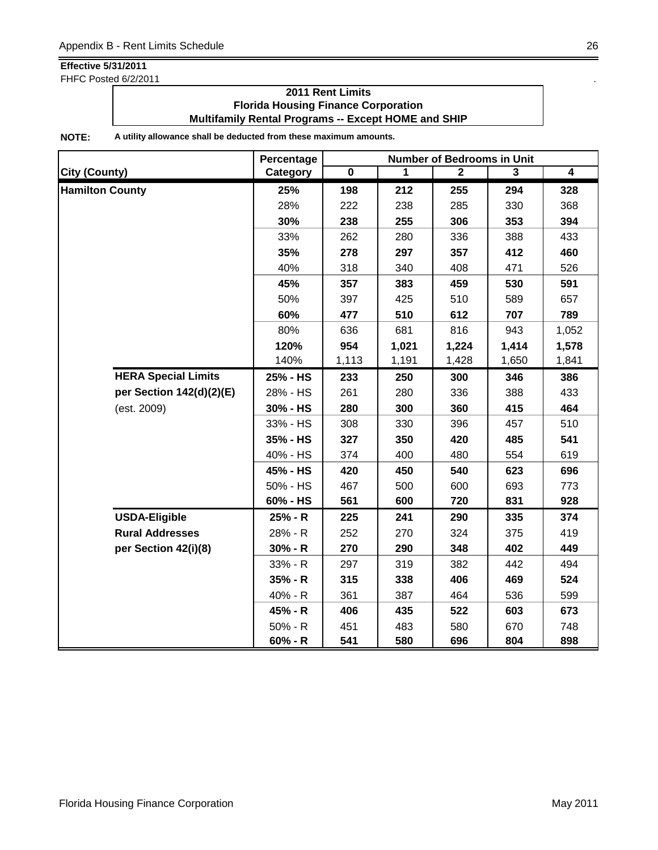FHFC Posted 6/2/2011 . The state of the state of the state of the state of the state of the state of the state of the state of the state of the state of the state of the state of the state of the state of the state of the

### **2011 Rent Limits Florida Housing Finance Corporation Multifamily Rental Programs -- Except HOME and SHIP**

|                            | Percentage |                         |       | <b>Number of Bedrooms in Unit</b> |       |                |
|----------------------------|------------|-------------------------|-------|-----------------------------------|-------|----------------|
| <b>City (County)</b>       | Category   | $\overline{\mathbf{0}}$ | 1     | $\mathbf{2}$                      | 3     | $\overline{4}$ |
| <b>Hamilton County</b>     | 25%        | 198                     | 212   | 255                               | 294   | 328            |
|                            | 28%        | 222                     | 238   | 285                               | 330   | 368            |
|                            | 30%        | 238                     | 255   | 306                               | 353   | 394            |
|                            | 33%        | 262                     | 280   | 336                               | 388   | 433            |
|                            | 35%        | 278                     | 297   | 357                               | 412   | 460            |
|                            | 40%        | 318                     | 340   | 408                               | 471   | 526            |
|                            | 45%        | 357                     | 383   | 459                               | 530   | 591            |
|                            | 50%        | 397                     | 425   | 510                               | 589   | 657            |
|                            | 60%        | 477                     | 510   | 612                               | 707   | 789            |
|                            | 80%        | 636                     | 681   | 816                               | 943   | 1,052          |
|                            | 120%       | 954                     | 1,021 | 1,224                             | 1,414 | 1,578          |
|                            | 140%       | 1,113                   | 1,191 | 1,428                             | 1,650 | 1,841          |
| <b>HERA Special Limits</b> | 25% - HS   | 233                     | 250   | 300                               | 346   | 386            |
| per Section 142(d)(2)(E)   | 28% - HS   | 261                     | 280   | 336                               | 388   | 433            |
| (est. 2009)                | 30% - HS   | 280                     | 300   | 360                               | 415   | 464            |
|                            | 33% - HS   | 308                     | 330   | 396                               | 457   | 510            |
|                            | 35% - HS   | 327                     | 350   | 420                               | 485   | 541            |
|                            | 40% - HS   | 374                     | 400   | 480                               | 554   | 619            |
|                            | 45% - HS   | 420                     | 450   | 540                               | 623   | 696            |
|                            | 50% - HS   | 467                     | 500   | 600                               | 693   | 773            |
|                            | 60% - HS   | 561                     | 600   | 720                               | 831   | 928            |
| <b>USDA-Eligible</b>       | 25% - R    | 225                     | 241   | 290                               | 335   | 374            |
| <b>Rural Addresses</b>     | 28% - R    | 252                     | 270   | 324                               | 375   | 419            |
| per Section 42(i)(8)       | $30% - R$  | 270                     | 290   | 348                               | 402   | 449            |
|                            | 33% - R    | 297                     | 319   | 382                               | 442   | 494            |
|                            | 35% - R    | 315                     | 338   | 406                               | 469   | 524            |
|                            | 40% - R    | 361                     | 387   | 464                               | 536   | 599            |
|                            | 45% - R    | 406                     | 435   | 522                               | 603   | 673            |
|                            | 50% - R    | 451                     | 483   | 580                               | 670   | 748            |
|                            | $60% - R$  | 541                     | 580   | 696                               | 804   | 898            |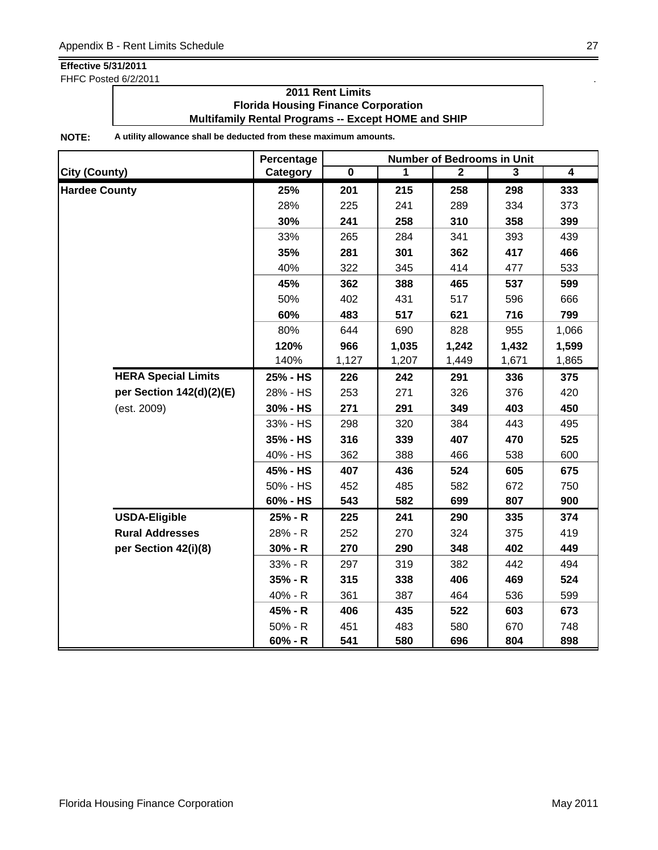FHFC Posted 6/2/2011 **.** The same state of the state of the state of the state of the state of the state of the state of the state of the state of the state of the state of the state of the state of the state of the state

## **2011 Rent Limits Florida Housing Finance Corporation Multifamily Rental Programs -- Except HOME and SHIP**

|                      |                            | Percentage |                         |       | <b>Number of Bedrooms in Unit</b> |                |                |
|----------------------|----------------------------|------------|-------------------------|-------|-----------------------------------|----------------|----------------|
| <b>City (County)</b> |                            | Category   | $\overline{\mathbf{0}}$ | 1     | $\mathbf{2}$                      | $\overline{3}$ | $\overline{4}$ |
| <b>Hardee County</b> |                            | 25%        | 201                     | 215   | 258                               | 298            | 333            |
|                      |                            | 28%        | 225                     | 241   | 289                               | 334            | 373            |
|                      |                            | 30%        | 241                     | 258   | 310                               | 358            | 399            |
|                      |                            | 33%        | 265                     | 284   | 341                               | 393            | 439            |
|                      |                            | 35%        | 281                     | 301   | 362                               | 417            | 466            |
|                      |                            | 40%        | 322                     | 345   | 414                               | 477            | 533            |
|                      |                            | 45%        | 362                     | 388   | 465                               | 537            | 599            |
|                      |                            | 50%        | 402                     | 431   | 517                               | 596            | 666            |
|                      |                            | 60%        | 483                     | 517   | 621                               | 716            | 799            |
|                      |                            | 80%        | 644                     | 690   | 828                               | 955            | 1,066          |
|                      |                            | 120%       | 966                     | 1,035 | 1,242                             | 1,432          | 1,599          |
|                      |                            | 140%       | 1,127                   | 1,207 | 1,449                             | 1,671          | 1,865          |
|                      | <b>HERA Special Limits</b> | 25% - HS   | 226                     | 242   | 291                               | 336            | 375            |
|                      | per Section 142(d)(2)(E)   | 28% - HS   | 253                     | 271   | 326                               | 376            | 420            |
|                      | (est. 2009)                | 30% - HS   | 271                     | 291   | 349                               | 403            | 450            |
|                      |                            | 33% - HS   | 298                     | 320   | 384                               | 443            | 495            |
|                      |                            | 35% - HS   | 316                     | 339   | 407                               | 470            | 525            |
|                      |                            | 40% - HS   | 362                     | 388   | 466                               | 538            | 600            |
|                      |                            | 45% - HS   | 407                     | 436   | 524                               | 605            | 675            |
|                      |                            | 50% - HS   | 452                     | 485   | 582                               | 672            | 750            |
|                      |                            | 60% - HS   | 543                     | 582   | 699                               | 807            | 900            |
|                      | <b>USDA-Eligible</b>       | 25% - R    | 225                     | 241   | 290                               | 335            | 374            |
|                      | <b>Rural Addresses</b>     | 28% - R    | 252                     | 270   | 324                               | 375            | 419            |
|                      | per Section 42(i)(8)       | $30% - R$  | 270                     | 290   | 348                               | 402            | 449            |
|                      |                            | 33% - R    | 297                     | 319   | 382                               | 442            | 494            |
|                      |                            | 35% - R    | 315                     | 338   | 406                               | 469            | 524            |
|                      |                            | 40% - R    | 361                     | 387   | 464                               | 536            | 599            |
|                      |                            | 45% - R    | 406                     | 435   | 522                               | 603            | 673            |
|                      |                            | $50% - R$  | 451                     | 483   | 580                               | 670            | 748            |
|                      |                            | $60% - R$  | 541                     | 580   | 696                               | 804            | 898            |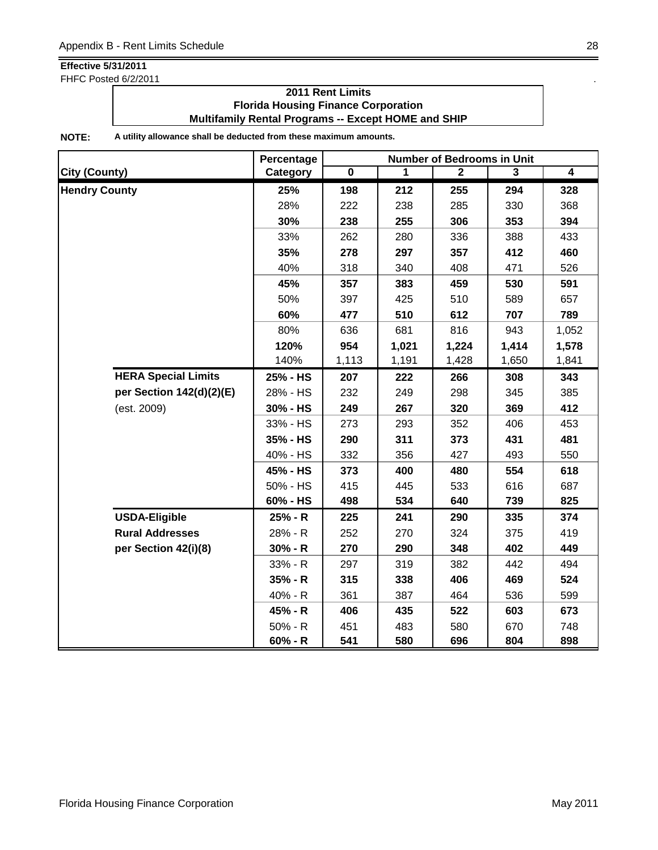FHFC Posted 6/2/2011 . The state of the state of the state of the state of the state of the state of the state of the state of the state of the state of the state of the state of the state of the state of the state of the

### **2011 Rent Limits Florida Housing Finance Corporation Multifamily Rental Programs -- Except HOME and SHIP**

|                            | Percentage |                         |       | <b>Number of Bedrooms in Unit</b> |       |                |
|----------------------------|------------|-------------------------|-------|-----------------------------------|-------|----------------|
| <b>City (County)</b>       | Category   | $\overline{\mathbf{0}}$ | 1     | $\mathbf{2}$                      | 3     | $\overline{4}$ |
| <b>Hendry County</b>       | 25%        | 198                     | 212   | 255                               | 294   | 328            |
|                            | 28%        | 222                     | 238   | 285                               | 330   | 368            |
|                            | 30%        | 238                     | 255   | 306                               | 353   | 394            |
|                            | 33%        | 262                     | 280   | 336                               | 388   | 433            |
|                            | 35%        | 278                     | 297   | 357                               | 412   | 460            |
|                            | 40%        | 318                     | 340   | 408                               | 471   | 526            |
|                            | 45%        | 357                     | 383   | 459                               | 530   | 591            |
|                            | 50%        | 397                     | 425   | 510                               | 589   | 657            |
|                            | 60%        | 477                     | 510   | 612                               | 707   | 789            |
|                            | 80%        | 636                     | 681   | 816                               | 943   | 1,052          |
|                            | 120%       | 954                     | 1,021 | 1,224                             | 1,414 | 1,578          |
|                            | 140%       | 1,113                   | 1,191 | 1,428                             | 1,650 | 1,841          |
| <b>HERA Special Limits</b> | 25% - HS   | 207                     | 222   | 266                               | 308   | 343            |
| per Section 142(d)(2)(E)   | 28% - HS   | 232                     | 249   | 298                               | 345   | 385            |
| (est. 2009)                | 30% - HS   | 249                     | 267   | 320                               | 369   | 412            |
|                            | 33% - HS   | 273                     | 293   | 352                               | 406   | 453            |
|                            | 35% - HS   | 290                     | 311   | 373                               | 431   | 481            |
|                            | 40% - HS   | 332                     | 356   | 427                               | 493   | 550            |
|                            | 45% - HS   | 373                     | 400   | 480                               | 554   | 618            |
|                            | 50% - HS   | 415                     | 445   | 533                               | 616   | 687            |
|                            | 60% - HS   | 498                     | 534   | 640                               | 739   | 825            |
| <b>USDA-Eligible</b>       | 25% - R    | 225                     | 241   | 290                               | 335   | 374            |
| <b>Rural Addresses</b>     | 28% - R    | 252                     | 270   | 324                               | 375   | 419            |
| per Section 42(i)(8)       | $30% - R$  | 270                     | 290   | 348                               | 402   | 449            |
|                            | 33% - R    | 297                     | 319   | 382                               | 442   | 494            |
|                            | 35% - R    | 315                     | 338   | 406                               | 469   | 524            |
|                            | 40% - R    | 361                     | 387   | 464                               | 536   | 599            |
|                            | 45% - R    | 406                     | 435   | 522                               | 603   | 673            |
|                            | $50% - R$  | 451                     | 483   | 580                               | 670   | 748            |
|                            | $60% - R$  | 541                     | 580   | 696                               | 804   | 898            |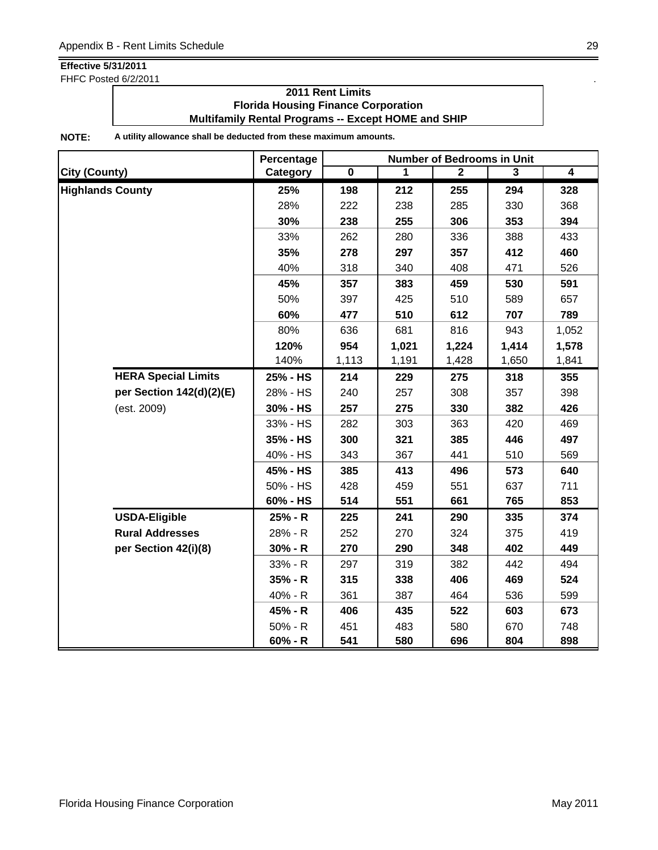FHFC Posted 6/2/2011 . The state of the state of the state of the state of the state of the state of the state of the state of the state of the state of the state of the state of the state of the state of the state of the

### **2011 Rent Limits Florida Housing Finance Corporation Multifamily Rental Programs -- Except HOME and SHIP**

|                         |                            | Percentage | <b>Number of Bedrooms in Unit</b> |       |              |       |                |  |
|-------------------------|----------------------------|------------|-----------------------------------|-------|--------------|-------|----------------|--|
| <b>City (County)</b>    |                            | Category   | $\overline{\mathbf{0}}$           | 1     | $\mathbf{2}$ | 3     | $\overline{4}$ |  |
| <b>Highlands County</b> |                            | 25%        | 198                               | 212   | 255          | 294   | 328            |  |
|                         |                            | 28%        | 222                               | 238   | 285          | 330   | 368            |  |
|                         |                            | 30%        | 238                               | 255   | 306          | 353   | 394            |  |
|                         |                            | 33%        | 262                               | 280   | 336          | 388   | 433            |  |
|                         |                            | 35%        | 278                               | 297   | 357          | 412   | 460            |  |
|                         |                            | 40%        | 318                               | 340   | 408          | 471   | 526            |  |
|                         |                            | 45%        | 357                               | 383   | 459          | 530   | 591            |  |
|                         |                            | 50%        | 397                               | 425   | 510          | 589   | 657            |  |
|                         |                            | 60%        | 477                               | 510   | 612          | 707   | 789            |  |
|                         |                            | 80%        | 636                               | 681   | 816          | 943   | 1,052          |  |
|                         |                            | 120%       | 954                               | 1,021 | 1,224        | 1,414 | 1,578          |  |
|                         |                            | 140%       | 1,113                             | 1,191 | 1,428        | 1,650 | 1,841          |  |
|                         | <b>HERA Special Limits</b> | 25% - HS   | 214                               | 229   | 275          | 318   | 355            |  |
|                         | per Section 142(d)(2)(E)   | 28% - HS   | 240                               | 257   | 308          | 357   | 398            |  |
|                         | (est. 2009)                | 30% - HS   | 257                               | 275   | 330          | 382   | 426            |  |
|                         |                            | 33% - HS   | 282                               | 303   | 363          | 420   | 469            |  |
|                         |                            | 35% - HS   | 300                               | 321   | 385          | 446   | 497            |  |
|                         |                            | 40% - HS   | 343                               | 367   | 441          | 510   | 569            |  |
|                         |                            | 45% - HS   | 385                               | 413   | 496          | 573   | 640            |  |
|                         |                            | 50% - HS   | 428                               | 459   | 551          | 637   | 711            |  |
|                         |                            | 60% - HS   | 514                               | 551   | 661          | 765   | 853            |  |
|                         | <b>USDA-Eligible</b>       | 25% - R    | 225                               | 241   | 290          | 335   | 374            |  |
|                         | <b>Rural Addresses</b>     | 28% - R    | 252                               | 270   | 324          | 375   | 419            |  |
|                         | per Section 42(i)(8)       | $30% - R$  | 270                               | 290   | 348          | 402   | 449            |  |
|                         |                            | 33% - R    | 297                               | 319   | 382          | 442   | 494            |  |
|                         |                            | 35% - R    | 315                               | 338   | 406          | 469   | 524            |  |
|                         |                            | 40% - R    | 361                               | 387   | 464          | 536   | 599            |  |
|                         |                            | 45% - R    | 406                               | 435   | 522          | 603   | 673            |  |
|                         |                            | 50% - R    | 451                               | 483   | 580          | 670   | 748            |  |
|                         |                            | $60% - R$  | 541                               | 580   | 696          | 804   | 898            |  |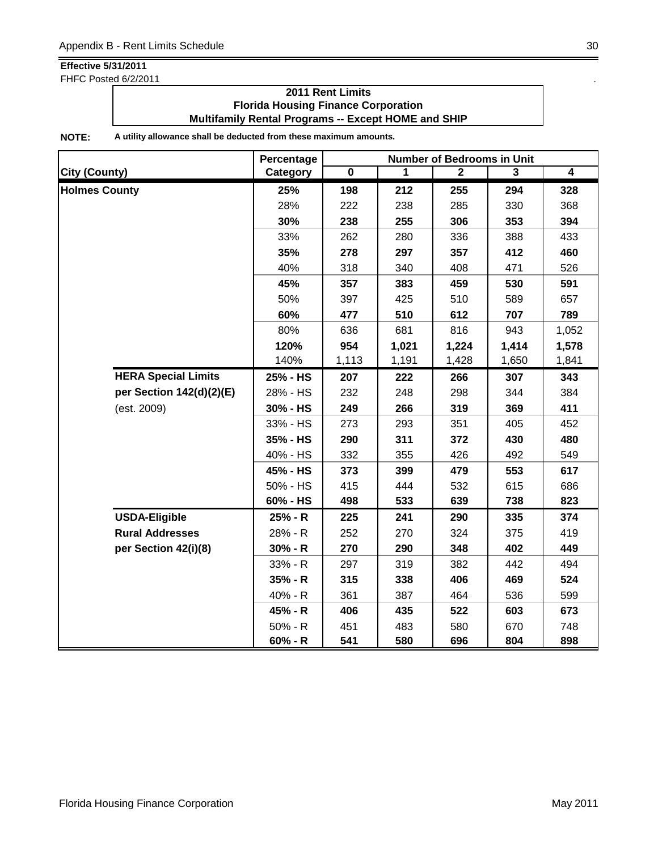FHFC Posted 6/2/2011 . The state of the state of the state of the state of the state of the state of the state of the state of the state of the state of the state of the state of the state of the state of the state of the

### **2011 Rent Limits Florida Housing Finance Corporation Multifamily Rental Programs -- Except HOME and SHIP**

|                      |                            | Percentage | <b>Number of Bedrooms in Unit</b> |       |                |       |                |  |
|----------------------|----------------------------|------------|-----------------------------------|-------|----------------|-------|----------------|--|
| City (County)        |                            | Category   | $\overline{\mathbf{0}}$           | 1     | $\overline{2}$ | 3     | $\overline{4}$ |  |
| <b>Holmes County</b> |                            | 25%        | 198                               | 212   | 255            | 294   | 328            |  |
|                      |                            | 28%        | 222                               | 238   | 285            | 330   | 368            |  |
|                      |                            | 30%        | 238                               | 255   | 306            | 353   | 394            |  |
|                      |                            | 33%        | 262                               | 280   | 336            | 388   | 433            |  |
|                      |                            | 35%        | 278                               | 297   | 357            | 412   | 460            |  |
|                      |                            | 40%        | 318                               | 340   | 408            | 471   | 526            |  |
|                      |                            | 45%        | 357                               | 383   | 459            | 530   | 591            |  |
|                      |                            | 50%        | 397                               | 425   | 510            | 589   | 657            |  |
|                      |                            | 60%        | 477                               | 510   | 612            | 707   | 789            |  |
|                      |                            | 80%        | 636                               | 681   | 816            | 943   | 1,052          |  |
|                      |                            | 120%       | 954                               | 1,021 | 1,224          | 1,414 | 1,578          |  |
|                      |                            | 140%       | 1,113                             | 1,191 | 1,428          | 1,650 | 1,841          |  |
|                      | <b>HERA Special Limits</b> | 25% - HS   | 207                               | 222   | 266            | 307   | 343            |  |
|                      | per Section 142(d)(2)(E)   | 28% - HS   | 232                               | 248   | 298            | 344   | 384            |  |
|                      | (est. 2009)                | 30% - HS   | 249                               | 266   | 319            | 369   | 411            |  |
|                      |                            | 33% - HS   | 273                               | 293   | 351            | 405   | 452            |  |
|                      |                            | 35% - HS   | 290                               | 311   | 372            | 430   | 480            |  |
|                      |                            | 40% - HS   | 332                               | 355   | 426            | 492   | 549            |  |
|                      |                            | 45% - HS   | 373                               | 399   | 479            | 553   | 617            |  |
|                      |                            | 50% - HS   | 415                               | 444   | 532            | 615   | 686            |  |
|                      |                            | 60% - HS   | 498                               | 533   | 639            | 738   | 823            |  |
|                      | <b>USDA-Eligible</b>       | 25% - R    | 225                               | 241   | 290            | 335   | 374            |  |
|                      | <b>Rural Addresses</b>     | 28% - R    | 252                               | 270   | 324            | 375   | 419            |  |
|                      | per Section 42(i)(8)       | $30% - R$  | 270                               | 290   | 348            | 402   | 449            |  |
|                      |                            | 33% - R    | 297                               | 319   | 382            | 442   | 494            |  |
|                      |                            | 35% - R    | 315                               | 338   | 406            | 469   | 524            |  |
|                      |                            | 40% - R    | 361                               | 387   | 464            | 536   | 599            |  |
|                      |                            | 45% - R    | 406                               | 435   | 522            | 603   | 673            |  |
|                      |                            | 50% - R    | 451                               | 483   | 580            | 670   | 748            |  |
|                      |                            | $60% - R$  | 541                               | 580   | 696            | 804   | 898            |  |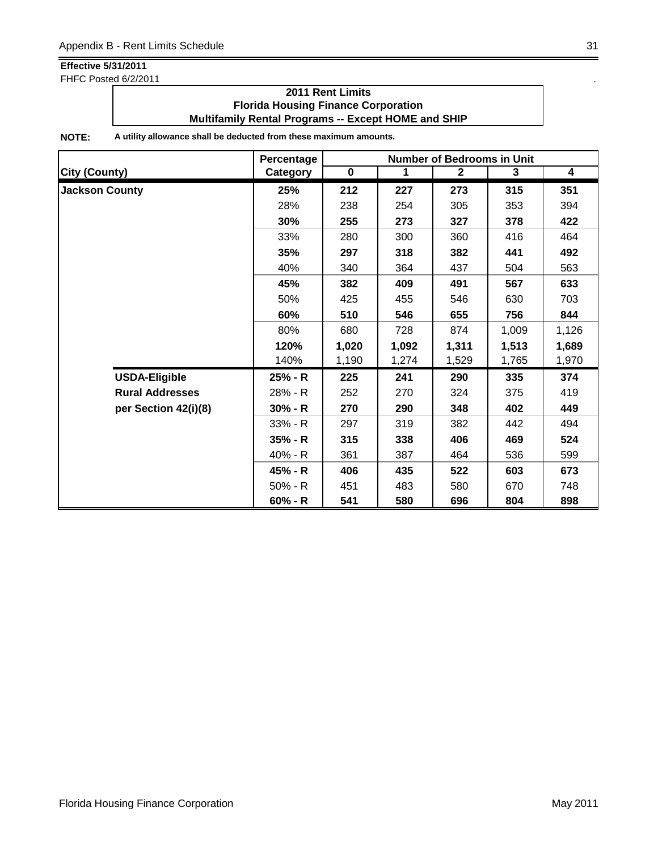FHFC Posted 6/2/2011 . The state of the state of the state of the state of the state of the state of the state of the state of the state of the state of the state of the state of the state of the state of the state of the

### **2011 Rent Limits Florida Housing Finance Corporation Multifamily Rental Programs -- Except HOME and SHIP**

|                        | Percentage |             |       | <b>Number of Bedrooms in Unit</b> |       |       |
|------------------------|------------|-------------|-------|-----------------------------------|-------|-------|
| <b>City (County)</b>   | Category   | $\mathbf 0$ | 1     | $\mathbf{2}$                      | 3     | 4     |
| <b>Jackson County</b>  | 25%        | 212         | 227   | 273                               | 315   | 351   |
|                        | 28%        | 238         | 254   | 305                               | 353   | 394   |
|                        | 30%        | 255         | 273   | 327                               | 378   | 422   |
|                        | 33%        | 280         | 300   | 360                               | 416   | 464   |
|                        | 35%        | 297         | 318   | 382                               | 441   | 492   |
|                        | 40%        | 340         | 364   | 437                               | 504   | 563   |
|                        | 45%        | 382         | 409   | 491                               | 567   | 633   |
|                        | 50%        | 425         | 455   | 546                               | 630   | 703   |
|                        | 60%        | 510         | 546   | 655                               | 756   | 844   |
|                        | 80%        | 680         | 728   | 874                               | 1,009 | 1,126 |
|                        | 120%       | 1,020       | 1,092 | 1,311                             | 1,513 | 1,689 |
|                        | 140%       | 1,190       | 1,274 | 1,529                             | 1,765 | 1,970 |
| <b>USDA-Eligible</b>   | 25% - R    | 225         | 241   | 290                               | 335   | 374   |
| <b>Rural Addresses</b> | 28% - R    | 252         | 270   | 324                               | 375   | 419   |
| per Section 42(i)(8)   | $30% - R$  | 270         | 290   | 348                               | 402   | 449   |
|                        | $33% - R$  | 297         | 319   | 382                               | 442   | 494   |
|                        | $35% - R$  | 315         | 338   | 406                               | 469   | 524   |
|                        | 40% - R    | 361         | 387   | 464                               | 536   | 599   |
|                        | 45% - R    | 406         | 435   | 522                               | 603   | 673   |
|                        | $50% - R$  | 451         | 483   | 580                               | 670   | 748   |
|                        | $60% - R$  | 541         | 580   | 696                               | 804   | 898   |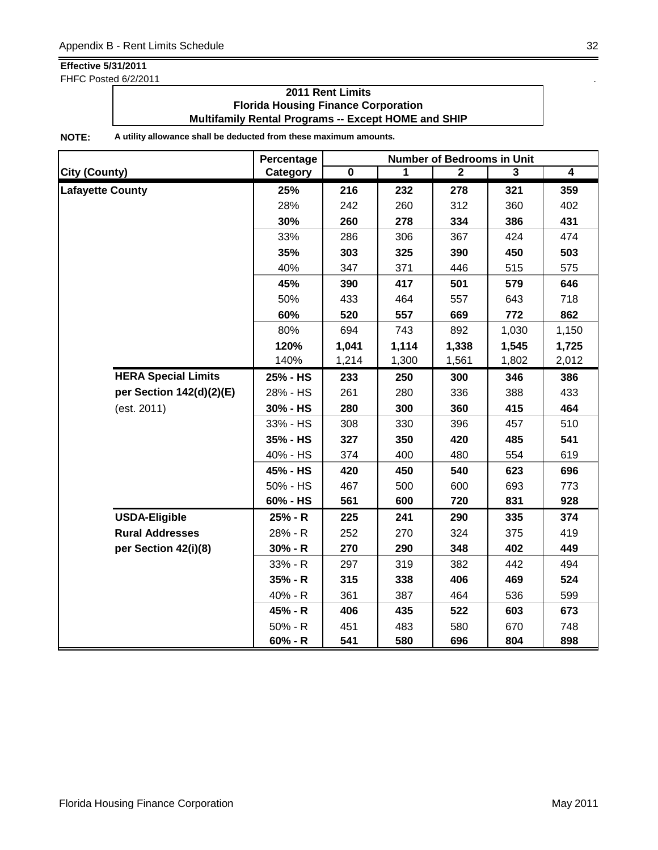FHFC Posted 6/2/2011 . The state of the state of the state of the state of the state of the state of the state of the state of the state of the state of the state of the state of the state of the state of the state of the

### **2011 Rent Limits Florida Housing Finance Corporation Multifamily Rental Programs -- Except HOME and SHIP**

|                            | Percentage | <b>Number of Bedrooms in Unit</b> |       |              |       |                |  |
|----------------------------|------------|-----------------------------------|-------|--------------|-------|----------------|--|
| City (County)              | Category   | $\overline{\mathbf{0}}$           | 1     | $\mathbf{2}$ | 3     | $\overline{4}$ |  |
| <b>Lafayette County</b>    | 25%        | 216                               | 232   | 278          | 321   | 359            |  |
|                            | 28%        | 242                               | 260   | 312          | 360   | 402            |  |
|                            | 30%        | 260                               | 278   | 334          | 386   | 431            |  |
|                            | 33%        | 286                               | 306   | 367          | 424   | 474            |  |
|                            | 35%        | 303                               | 325   | 390          | 450   | 503            |  |
|                            | 40%        | 347                               | 371   | 446          | 515   | 575            |  |
|                            | 45%        | 390                               | 417   | 501          | 579   | 646            |  |
|                            | 50%        | 433                               | 464   | 557          | 643   | 718            |  |
|                            | 60%        | 520                               | 557   | 669          | 772   | 862            |  |
|                            | 80%        | 694                               | 743   | 892          | 1,030 | 1,150          |  |
|                            | 120%       | 1,041                             | 1,114 | 1,338        | 1,545 | 1,725          |  |
|                            | 140%       | 1,214                             | 1,300 | 1,561        | 1,802 | 2,012          |  |
| <b>HERA Special Limits</b> | 25% - HS   | 233                               | 250   | 300          | 346   | 386            |  |
| per Section 142(d)(2)(E)   | 28% - HS   | 261                               | 280   | 336          | 388   | 433            |  |
| (est. 2011)                | 30% - HS   | 280                               | 300   | 360          | 415   | 464            |  |
|                            | 33% - HS   | 308                               | 330   | 396          | 457   | 510            |  |
|                            | 35% - HS   | 327                               | 350   | 420          | 485   | 541            |  |
|                            | 40% - HS   | 374                               | 400   | 480          | 554   | 619            |  |
|                            | 45% - HS   | 420                               | 450   | 540          | 623   | 696            |  |
|                            | 50% - HS   | 467                               | 500   | 600          | 693   | 773            |  |
|                            | 60% - HS   | 561                               | 600   | 720          | 831   | 928            |  |
| <b>USDA-Eligible</b>       | 25% - R    | 225                               | 241   | 290          | 335   | 374            |  |
| <b>Rural Addresses</b>     | 28% - R    | 252                               | 270   | 324          | 375   | 419            |  |
| per Section 42(i)(8)       | $30% - R$  | 270                               | 290   | 348          | 402   | 449            |  |
|                            | 33% - R    | 297                               | 319   | 382          | 442   | 494            |  |
|                            | $35% - R$  | 315                               | 338   | 406          | 469   | 524            |  |
|                            | 40% - R    | 361                               | 387   | 464          | 536   | 599            |  |
|                            | 45% - R    | 406                               | 435   | 522          | 603   | 673            |  |
|                            | $50% - R$  | 451                               | 483   | 580          | 670   | 748            |  |
|                            | $60% - R$  | 541                               | 580   | 696          | 804   | 898            |  |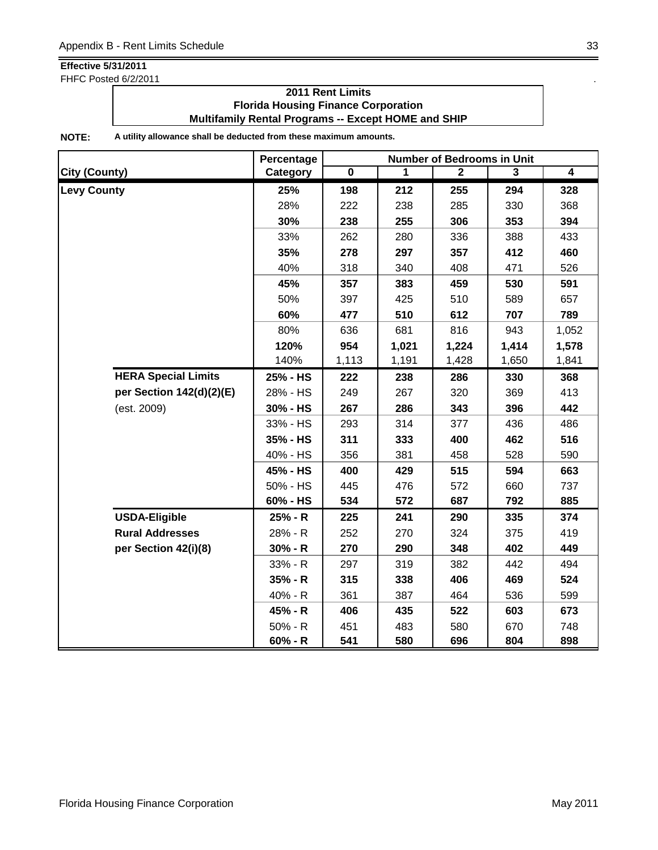FHFC Posted 6/2/2011 . The state of the state of the state of the state of the state of the state of the state of the state of the state of the state of the state of the state of the state of the state of the state of the

### **2011 Rent Limits Florida Housing Finance Corporation Multifamily Rental Programs -- Except HOME and SHIP**

|                      |                            | Percentage |                         |       | <b>Number of Bedrooms in Unit</b> |       |                |
|----------------------|----------------------------|------------|-------------------------|-------|-----------------------------------|-------|----------------|
| <b>City (County)</b> |                            | Category   | $\overline{\mathbf{0}}$ | 1     | $\mathbf{2}$                      | 3     | $\overline{4}$ |
| <b>Levy County</b>   |                            | 25%        | 198                     | 212   | 255                               | 294   | 328            |
|                      |                            | 28%        | 222                     | 238   | 285                               | 330   | 368            |
|                      |                            | 30%        | 238                     | 255   | 306                               | 353   | 394            |
|                      |                            | 33%        | 262                     | 280   | 336                               | 388   | 433            |
|                      |                            | 35%        | 278                     | 297   | 357                               | 412   | 460            |
|                      |                            | 40%        | 318                     | 340   | 408                               | 471   | 526            |
|                      |                            | 45%        | 357                     | 383   | 459                               | 530   | 591            |
|                      |                            | 50%        | 397                     | 425   | 510                               | 589   | 657            |
|                      |                            | 60%        | 477                     | 510   | 612                               | 707   | 789            |
|                      |                            | 80%        | 636                     | 681   | 816                               | 943   | 1,052          |
|                      |                            | 120%       | 954                     | 1,021 | 1,224                             | 1,414 | 1,578          |
|                      |                            | 140%       | 1,113                   | 1,191 | 1,428                             | 1,650 | 1,841          |
|                      | <b>HERA Special Limits</b> | 25% - HS   | 222                     | 238   | 286                               | 330   | 368            |
|                      | per Section 142(d)(2)(E)   | 28% - HS   | 249                     | 267   | 320                               | 369   | 413            |
|                      | (est. 2009)                | 30% - HS   | 267                     | 286   | 343                               | 396   | 442            |
|                      |                            | 33% - HS   | 293                     | 314   | 377                               | 436   | 486            |
|                      |                            | 35% - HS   | 311                     | 333   | 400                               | 462   | 516            |
|                      |                            | 40% - HS   | 356                     | 381   | 458                               | 528   | 590            |
|                      |                            | 45% - HS   | 400                     | 429   | 515                               | 594   | 663            |
|                      |                            | 50% - HS   | 445                     | 476   | 572                               | 660   | 737            |
|                      |                            | 60% - HS   | 534                     | 572   | 687                               | 792   | 885            |
|                      | <b>USDA-Eligible</b>       | 25% - R    | 225                     | 241   | 290                               | 335   | 374            |
|                      | <b>Rural Addresses</b>     | 28% - R    | 252                     | 270   | 324                               | 375   | 419            |
|                      | per Section 42(i)(8)       | $30% - R$  | 270                     | 290   | 348                               | 402   | 449            |
|                      |                            | 33% - R    | 297                     | 319   | 382                               | 442   | 494            |
|                      |                            | $35% - R$  | 315                     | 338   | 406                               | 469   | 524            |
|                      |                            | 40% - R    | 361                     | 387   | 464                               | 536   | 599            |
|                      |                            | 45% - R    | 406                     | 435   | 522                               | 603   | 673            |
|                      |                            | $50% - R$  | 451                     | 483   | 580                               | 670   | 748            |
|                      |                            | $60% - R$  | 541                     | 580   | 696                               | 804   | 898            |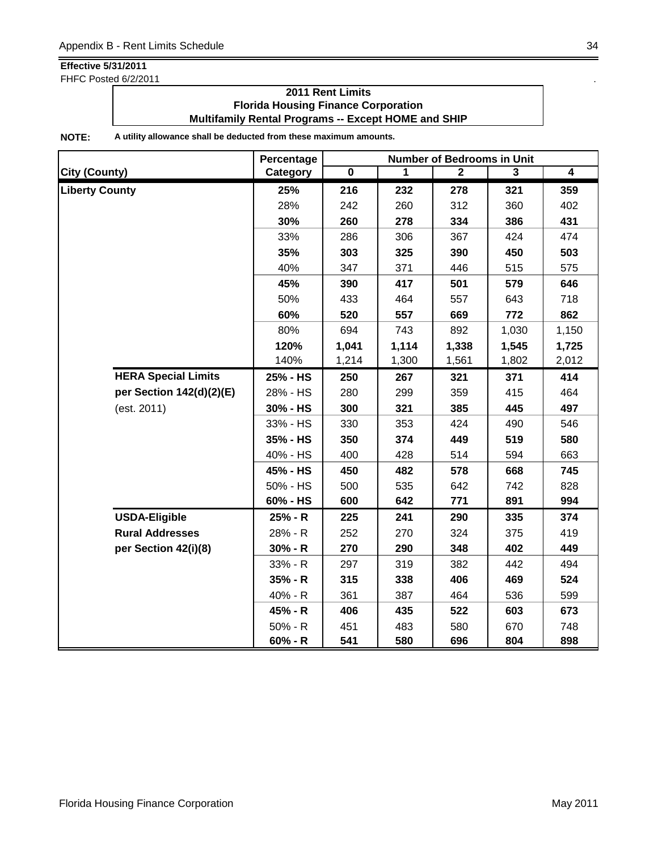FHFC Posted 6/2/2011 **.** The same state of the state of the state of the state of the state of the state of the state of the state of the state of the state of the state of the state of the state of the state of the state

### **2011 Rent Limits Florida Housing Finance Corporation Multifamily Rental Programs -- Except HOME and SHIP**

|                            | Percentage | <b>Number of Bedrooms in Unit</b> |       |              |       |                |  |
|----------------------------|------------|-----------------------------------|-------|--------------|-------|----------------|--|
| <b>City (County)</b>       | Category   | $\overline{\mathbf{0}}$           | 1     | $\mathbf{2}$ | 3     | $\overline{4}$ |  |
| <b>Liberty County</b>      | 25%        | 216                               | 232   | 278          | 321   | 359            |  |
|                            | 28%        | 242                               | 260   | 312          | 360   | 402            |  |
|                            | 30%        | 260                               | 278   | 334          | 386   | 431            |  |
|                            | 33%        | 286                               | 306   | 367          | 424   | 474            |  |
|                            | 35%        | 303                               | 325   | 390          | 450   | 503            |  |
|                            | 40%        | 347                               | 371   | 446          | 515   | 575            |  |
|                            | 45%        | 390                               | 417   | 501          | 579   | 646            |  |
|                            | 50%        | 433                               | 464   | 557          | 643   | 718            |  |
|                            | 60%        | 520                               | 557   | 669          | 772   | 862            |  |
|                            | 80%        | 694                               | 743   | 892          | 1,030 | 1,150          |  |
|                            | 120%       | 1,041                             | 1,114 | 1,338        | 1,545 | 1,725          |  |
|                            | 140%       | 1,214                             | 1,300 | 1,561        | 1,802 | 2,012          |  |
| <b>HERA Special Limits</b> | 25% - HS   | 250                               | 267   | 321          | 371   | 414            |  |
| per Section 142(d)(2)(E)   | 28% - HS   | 280                               | 299   | 359          | 415   | 464            |  |
| (est. 2011)                | 30% - HS   | 300                               | 321   | 385          | 445   | 497            |  |
|                            | 33% - HS   | 330                               | 353   | 424          | 490   | 546            |  |
|                            | 35% - HS   | 350                               | 374   | 449          | 519   | 580            |  |
|                            | 40% - HS   | 400                               | 428   | 514          | 594   | 663            |  |
|                            | 45% - HS   | 450                               | 482   | 578          | 668   | 745            |  |
|                            | 50% - HS   | 500                               | 535   | 642          | 742   | 828            |  |
|                            | 60% - HS   | 600                               | 642   | 771          | 891   | 994            |  |
| <b>USDA-Eligible</b>       | 25% - R    | 225                               | 241   | 290          | 335   | 374            |  |
| <b>Rural Addresses</b>     | 28% - R    | 252                               | 270   | 324          | 375   | 419            |  |
| per Section 42(i)(8)       | $30% - R$  | 270                               | 290   | 348          | 402   | 449            |  |
|                            | 33% - R    | 297                               | 319   | 382          | 442   | 494            |  |
|                            | $35% - R$  | 315                               | 338   | 406          | 469   | 524            |  |
|                            | 40% - R    | 361                               | 387   | 464          | 536   | 599            |  |
|                            | 45% - R    | 406                               | 435   | 522          | 603   | 673            |  |
|                            | $50% - R$  | 451                               | 483   | 580          | 670   | 748            |  |
|                            | $60% - R$  | 541                               | 580   | 696          | 804   | 898            |  |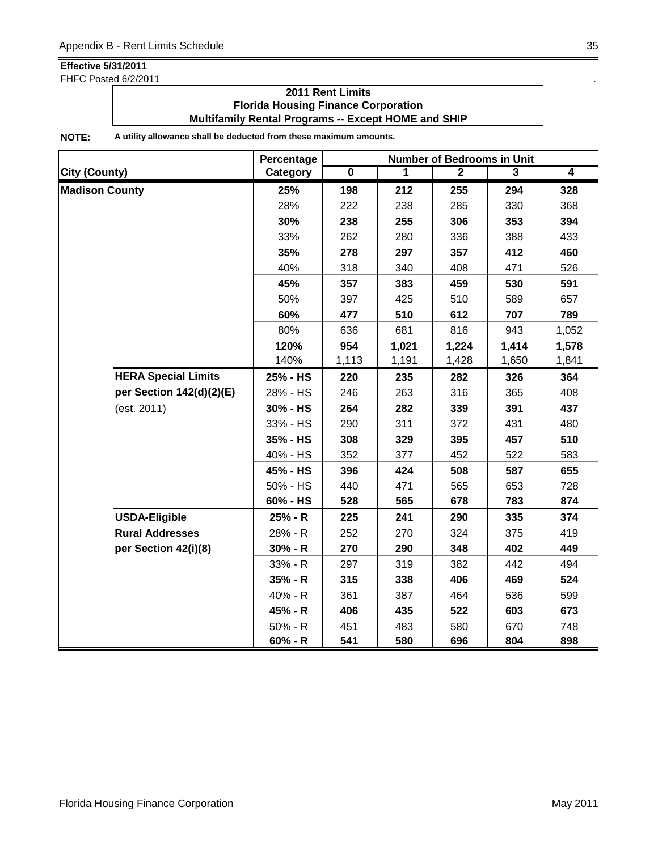FHFC Posted 6/2/2011 . The state of the state of the state of the state of the state of the state of the state of the state of the state of the state of the state of the state of the state of the state of the state of the

### **2011 Rent Limits Florida Housing Finance Corporation Multifamily Rental Programs -- Except HOME and SHIP**

|                            | Percentage | <b>Number of Bedrooms in Unit</b> |       |                |       |                |  |
|----------------------------|------------|-----------------------------------|-------|----------------|-------|----------------|--|
| <b>City (County)</b>       | Category   | $\overline{\mathbf{0}}$           | 1     | $\overline{2}$ | 3     | $\overline{4}$ |  |
| <b>Madison County</b>      | 25%        | 198                               | 212   | 255            | 294   | 328            |  |
|                            | 28%        | 222                               | 238   | 285            | 330   | 368            |  |
|                            | 30%        | 238                               | 255   | 306            | 353   | 394            |  |
|                            | 33%        | 262                               | 280   | 336            | 388   | 433            |  |
|                            | 35%        | 278                               | 297   | 357            | 412   | 460            |  |
|                            | 40%        | 318                               | 340   | 408            | 471   | 526            |  |
|                            | 45%        | 357                               | 383   | 459            | 530   | 591            |  |
|                            | 50%        | 397                               | 425   | 510            | 589   | 657            |  |
|                            | 60%        | 477                               | 510   | 612            | 707   | 789            |  |
|                            | 80%        | 636                               | 681   | 816            | 943   | 1,052          |  |
|                            | 120%       | 954                               | 1,021 | 1,224          | 1,414 | 1,578          |  |
|                            | 140%       | 1,113                             | 1,191 | 1,428          | 1,650 | 1,841          |  |
| <b>HERA Special Limits</b> | 25% - HS   | 220                               | 235   | 282            | 326   | 364            |  |
| per Section 142(d)(2)(E)   | 28% - HS   | 246                               | 263   | 316            | 365   | 408            |  |
| (est. 2011)                | 30% - HS   | 264                               | 282   | 339            | 391   | 437            |  |
|                            | 33% - HS   | 290                               | 311   | 372            | 431   | 480            |  |
|                            | 35% - HS   | 308                               | 329   | 395            | 457   | 510            |  |
|                            | 40% - HS   | 352                               | 377   | 452            | 522   | 583            |  |
|                            | 45% - HS   | 396                               | 424   | 508            | 587   | 655            |  |
|                            | 50% - HS   | 440                               | 471   | 565            | 653   | 728            |  |
|                            | 60% - HS   | 528                               | 565   | 678            | 783   | 874            |  |
| <b>USDA-Eligible</b>       | 25% - R    | 225                               | 241   | 290            | 335   | 374            |  |
| <b>Rural Addresses</b>     | 28% - R    | 252                               | 270   | 324            | 375   | 419            |  |
| per Section 42(i)(8)       | $30% - R$  | 270                               | 290   | 348            | 402   | 449            |  |
|                            | 33% - R    | 297                               | 319   | 382            | 442   | 494            |  |
|                            | $35% - R$  | 315                               | 338   | 406            | 469   | 524            |  |
|                            | 40% - R    | 361                               | 387   | 464            | 536   | 599            |  |
|                            | 45% - R    | 406                               | 435   | 522            | 603   | 673            |  |
|                            | $50% - R$  | 451                               | 483   | 580            | 670   | 748            |  |
|                            | $60% - R$  | 541                               | 580   | 696            | 804   | 898            |  |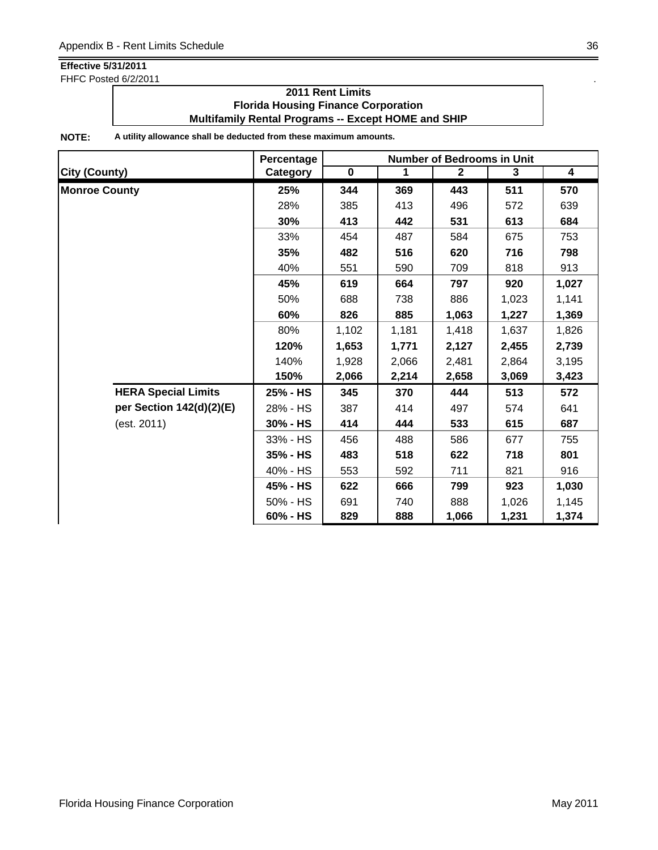FHFC Posted 6/2/2011

### **2011 Rent Limits Florida Housing Finance Corporation Multifamily Rental Programs -- Except HOME and SHIP**

|                            | Percentage | <b>Number of Bedrooms in Unit</b> |       |              |       |                         |  |
|----------------------------|------------|-----------------------------------|-------|--------------|-------|-------------------------|--|
| <b>City (County)</b>       | Category   | $\mathbf 0$                       | 1     | $\mathbf{2}$ | 3     | $\overline{\mathbf{4}}$ |  |
| <b>Monroe County</b>       | 25%        | 344                               | 369   | 443          | 511   | 570                     |  |
|                            | 28%        | 385                               | 413   | 496          | 572   | 639                     |  |
|                            | 30%        | 413                               | 442   | 531          | 613   | 684                     |  |
|                            | 33%        | 454                               | 487   | 584          | 675   | 753                     |  |
|                            | 35%        | 482                               | 516   | 620          | 716   | 798                     |  |
|                            | 40%        | 551                               | 590   | 709          | 818   | 913                     |  |
|                            | 45%        | 619                               | 664   | 797          | 920   | 1,027                   |  |
|                            | 50%        | 688                               | 738   | 886          | 1,023 | 1,141                   |  |
|                            | 60%        | 826                               | 885   | 1,063        | 1,227 | 1,369                   |  |
|                            | 80%        | 1,102                             | 1,181 | 1,418        | 1,637 | 1,826                   |  |
|                            | 120%       | 1,653                             | 1,771 | 2,127        | 2,455 | 2,739                   |  |
|                            | 140%       | 1,928                             | 2,066 | 2,481        | 2,864 | 3,195                   |  |
|                            | 150%       | 2,066                             | 2,214 | 2,658        | 3,069 | 3,423                   |  |
| <b>HERA Special Limits</b> | 25% - HS   | 345                               | 370   | 444          | 513   | 572                     |  |
| per Section 142(d)(2)(E)   | 28% - HS   | 387                               | 414   | 497          | 574   | 641                     |  |
| (est. 2011)                | 30% - HS   | 414                               | 444   | 533          | 615   | 687                     |  |
|                            | 33% - HS   | 456                               | 488   | 586          | 677   | 755                     |  |
|                            | 35% - HS   | 483                               | 518   | 622          | 718   | 801                     |  |
|                            | 40% - HS   | 553                               | 592   | 711          | 821   | 916                     |  |
|                            | 45% - HS   | 622                               | 666   | 799          | 923   | 1,030                   |  |
|                            | 50% - HS   | 691                               | 740   | 888          | 1,026 | 1,145                   |  |
|                            | 60% - HS   | 829                               | 888   | 1,066        | 1,231 | 1,374                   |  |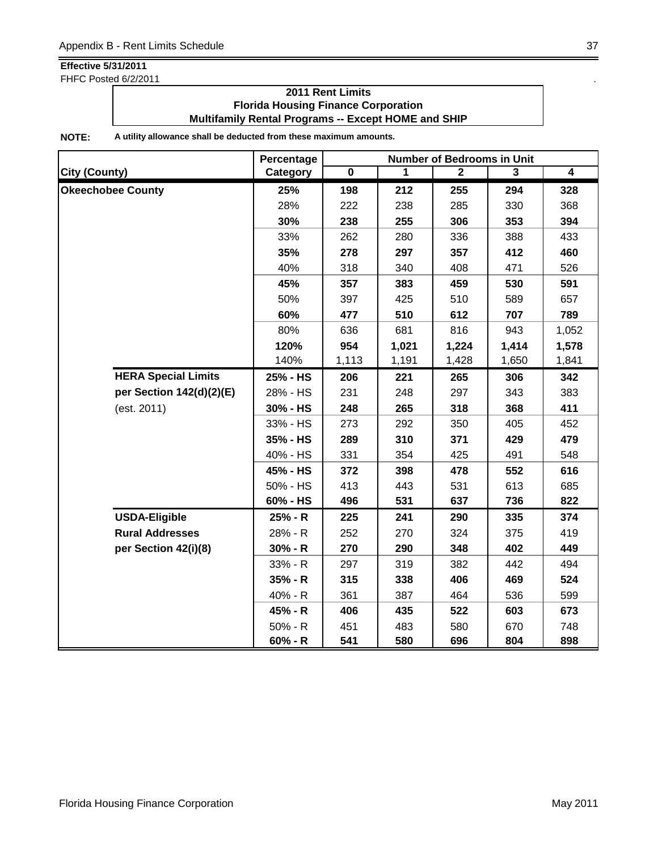FHFC Posted 6/2/2011 . The state of the state of the state of the state of the state of the state of the state of the state of the state of the state of the state of the state of the state of the state of the state of the

### **2011 Rent Limits Florida Housing Finance Corporation Multifamily Rental Programs -- Except HOME and SHIP**

|                            | Percentage | <b>Number of Bedrooms in Unit</b> |       |              |       |                |
|----------------------------|------------|-----------------------------------|-------|--------------|-------|----------------|
| <b>City (County)</b>       | Category   | $\overline{\mathbf{0}}$           | 1     | $\mathbf{2}$ | 3     | $\overline{4}$ |
| <b>Okeechobee County</b>   | 25%        | 198                               | 212   | 255          | 294   | 328            |
|                            | 28%        | 222                               | 238   | 285          | 330   | 368            |
|                            | 30%        | 238                               | 255   | 306          | 353   | 394            |
|                            | 33%        | 262                               | 280   | 336          | 388   | 433            |
|                            | 35%        | 278                               | 297   | 357          | 412   | 460            |
|                            | 40%        | 318                               | 340   | 408          | 471   | 526            |
|                            | 45%        | 357                               | 383   | 459          | 530   | 591            |
|                            | 50%        | 397                               | 425   | 510          | 589   | 657            |
|                            | 60%        | 477                               | 510   | 612          | 707   | 789            |
|                            | 80%        | 636                               | 681   | 816          | 943   | 1,052          |
|                            | 120%       | 954                               | 1,021 | 1,224        | 1,414 | 1,578          |
|                            | 140%       | 1,113                             | 1,191 | 1,428        | 1,650 | 1,841          |
| <b>HERA Special Limits</b> | 25% - HS   | 206                               | 221   | 265          | 306   | 342            |
| per Section 142(d)(2)(E)   | 28% - HS   | 231                               | 248   | 297          | 343   | 383            |
| (est. 2011)                | 30% - HS   | 248                               | 265   | 318          | 368   | 411            |
|                            | 33% - HS   | 273                               | 292   | 350          | 405   | 452            |
|                            | 35% - HS   | 289                               | 310   | 371          | 429   | 479            |
|                            | 40% - HS   | 331                               | 354   | 425          | 491   | 548            |
|                            | 45% - HS   | 372                               | 398   | 478          | 552   | 616            |
|                            | 50% - HS   | 413                               | 443   | 531          | 613   | 685            |
|                            | 60% - HS   | 496                               | 531   | 637          | 736   | 822            |
| <b>USDA-Eligible</b>       | 25% - R    | 225                               | 241   | 290          | 335   | 374            |
| <b>Rural Addresses</b>     | 28% - R    | 252                               | 270   | 324          | 375   | 419            |
| per Section 42(i)(8)       | $30% - R$  | 270                               | 290   | 348          | 402   | 449            |
|                            | 33% - R    | 297                               | 319   | 382          | 442   | 494            |
|                            | $35% - R$  | 315                               | 338   | 406          | 469   | 524            |
|                            | 40% - R    | 361                               | 387   | 464          | 536   | 599            |
|                            | 45% - R    | 406                               | 435   | 522          | 603   | 673            |
|                            | 50% - R    | 451                               | 483   | 580          | 670   | 748            |
|                            | $60% - R$  | 541                               | 580   | 696          | 804   | 898            |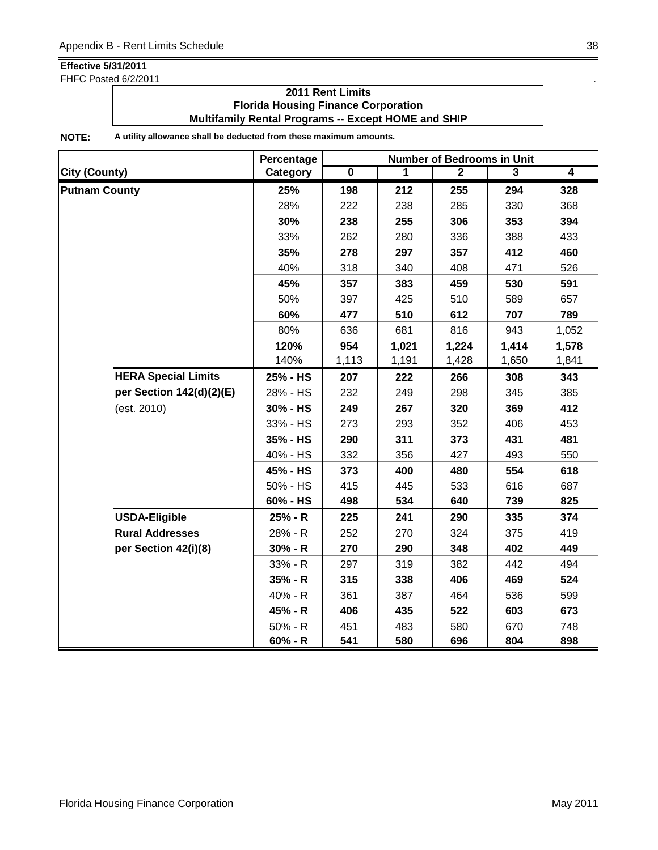FHFC Posted 6/2/2011 . The state of the state of the state of the state of the state of the state of the state of the state of the state of the state of the state of the state of the state of the state of the state of the

### **2011 Rent Limits Florida Housing Finance Corporation Multifamily Rental Programs -- Except HOME and SHIP**

|                            | Percentage | <b>Number of Bedrooms in Unit</b> |       |              |       |                |
|----------------------------|------------|-----------------------------------|-------|--------------|-------|----------------|
| City (County)              | Category   | $\overline{\mathbf{0}}$           | 1     | $\mathbf{2}$ | 3     | $\overline{4}$ |
| <b>Putnam County</b>       | 25%        | 198                               | 212   | 255          | 294   | 328            |
|                            | 28%        | 222                               | 238   | 285          | 330   | 368            |
|                            | 30%        | 238                               | 255   | 306          | 353   | 394            |
|                            | 33%        | 262                               | 280   | 336          | 388   | 433            |
|                            | 35%        | 278                               | 297   | 357          | 412   | 460            |
|                            | 40%        | 318                               | 340   | 408          | 471   | 526            |
|                            | 45%        | 357                               | 383   | 459          | 530   | 591            |
|                            | 50%        | 397                               | 425   | 510          | 589   | 657            |
|                            | 60%        | 477                               | 510   | 612          | 707   | 789            |
|                            | 80%        | 636                               | 681   | 816          | 943   | 1,052          |
|                            | 120%       | 954                               | 1,021 | 1,224        | 1,414 | 1,578          |
|                            | 140%       | 1,113                             | 1,191 | 1,428        | 1,650 | 1,841          |
| <b>HERA Special Limits</b> | 25% - HS   | 207                               | 222   | 266          | 308   | 343            |
| per Section 142(d)(2)(E)   | 28% - HS   | 232                               | 249   | 298          | 345   | 385            |
| (est. 2010)                | 30% - HS   | 249                               | 267   | 320          | 369   | 412            |
|                            | 33% - HS   | 273                               | 293   | 352          | 406   | 453            |
|                            | 35% - HS   | 290                               | 311   | 373          | 431   | 481            |
|                            | 40% - HS   | 332                               | 356   | 427          | 493   | 550            |
|                            | 45% - HS   | 373                               | 400   | 480          | 554   | 618            |
|                            | 50% - HS   | 415                               | 445   | 533          | 616   | 687            |
|                            | 60% - HS   | 498                               | 534   | 640          | 739   | 825            |
| <b>USDA-Eligible</b>       | 25% - R    | 225                               | 241   | 290          | 335   | 374            |
| <b>Rural Addresses</b>     | 28% - R    | 252                               | 270   | 324          | 375   | 419            |
| per Section 42(i)(8)       | $30% - R$  | 270                               | 290   | 348          | 402   | 449            |
|                            | 33% - R    | 297                               | 319   | 382          | 442   | 494            |
|                            | 35% - R    | 315                               | 338   | 406          | 469   | 524            |
|                            | 40% - R    | 361                               | 387   | 464          | 536   | 599            |
|                            | 45% - R    | 406                               | 435   | 522          | 603   | 673            |
|                            | $50% - R$  | 451                               | 483   | 580          | 670   | 748            |
|                            | $60% - R$  | 541                               | 580   | 696          | 804   | 898            |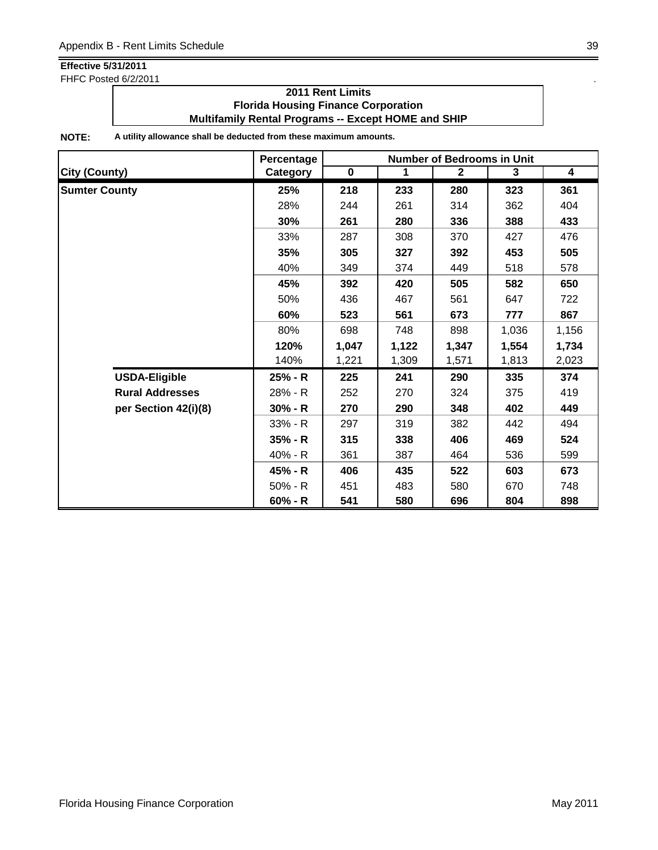FHFC Posted 6/2/2011 . The state of the state of the state of the state of the state of the state of the state of the state of the state of the state of the state of the state of the state of the state of the state of the

### **2011 Rent Limits Florida Housing Finance Corporation Multifamily Rental Programs -- Except HOME and SHIP**

|                        | Percentage | <b>Number of Bedrooms in Unit</b> |       |              |       |                         |
|------------------------|------------|-----------------------------------|-------|--------------|-------|-------------------------|
| <b>City (County)</b>   | Category   | $\mathbf 0$                       | 1     | $\mathbf{2}$ | 3     | $\overline{\mathbf{4}}$ |
| <b>Sumter County</b>   | 25%        | 218                               | 233   | 280          | 323   | 361                     |
|                        | 28%        | 244                               | 261   | 314          | 362   | 404                     |
|                        | 30%        | 261                               | 280   | 336          | 388   | 433                     |
|                        | 33%        | 287                               | 308   | 370          | 427   | 476                     |
|                        | 35%        | 305                               | 327   | 392          | 453   | 505                     |
|                        | 40%        | 349                               | 374   | 449          | 518   | 578                     |
|                        | 45%        | 392                               | 420   | 505          | 582   | 650                     |
|                        | 50%        | 436                               | 467   | 561          | 647   | 722                     |
|                        | 60%        | 523                               | 561   | 673          | 777   | 867                     |
|                        | 80%        | 698                               | 748   | 898          | 1,036 | 1,156                   |
|                        | 120%       | 1,047                             | 1,122 | 1,347        | 1,554 | 1,734                   |
|                        | 140%       | 1,221                             | 1,309 | 1,571        | 1,813 | 2,023                   |
| <b>USDA-Eligible</b>   | 25% - R    | 225                               | 241   | 290          | 335   | 374                     |
| <b>Rural Addresses</b> | 28% - R    | 252                               | 270   | 324          | 375   | 419                     |
| per Section 42(i)(8)   | $30% - R$  | 270                               | 290   | 348          | 402   | 449                     |
|                        | 33% - R    | 297                               | 319   | 382          | 442   | 494                     |
|                        | $35% - R$  | 315                               | 338   | 406          | 469   | 524                     |
|                        | 40% - R    | 361                               | 387   | 464          | 536   | 599                     |
|                        | 45% - R    | 406                               | 435   | 522          | 603   | 673                     |
|                        | $50% - R$  | 451                               | 483   | 580          | 670   | 748                     |
|                        | $60% - R$  | 541                               | 580   | 696          | 804   | 898                     |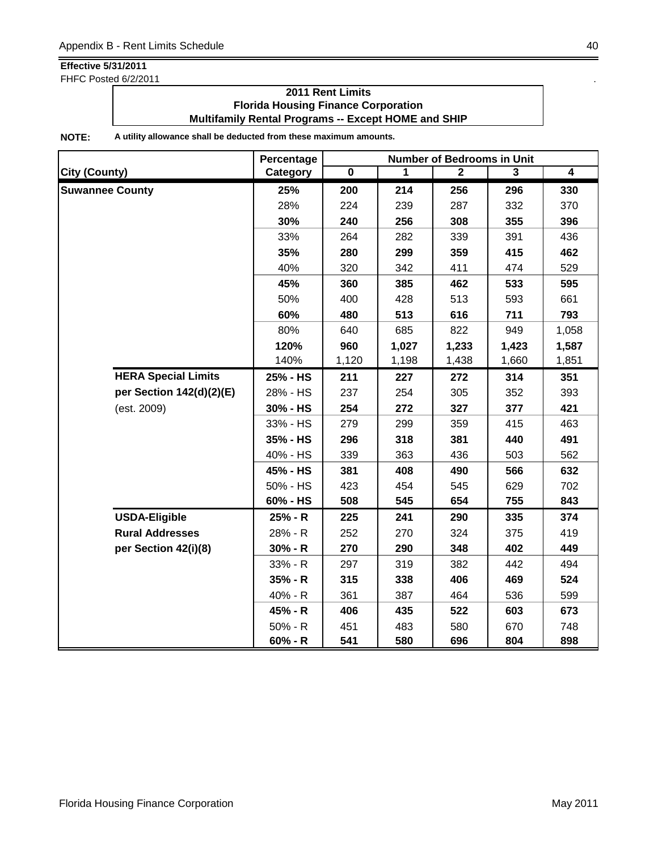FHFC Posted 6/2/2011 . The state of the state of the state of the state of the state of the state of the state of the state of the state of the state of the state of the state of the state of the state of the state of the

### **2011 Rent Limits Florida Housing Finance Corporation Multifamily Rental Programs -- Except HOME and SHIP**

|                            | Percentage | <b>Number of Bedrooms in Unit</b> |       |              |       |                         |
|----------------------------|------------|-----------------------------------|-------|--------------|-------|-------------------------|
| <b>City (County)</b>       | Category   | $\overline{\mathbf{0}}$           | 1     | $\mathbf{2}$ | 3     | $\overline{\mathbf{4}}$ |
| <b>Suwannee County</b>     | 25%        | 200                               | 214   | 256          | 296   | 330                     |
|                            | 28%        | 224                               | 239   | 287          | 332   | 370                     |
|                            | 30%        | 240                               | 256   | 308          | 355   | 396                     |
|                            | 33%        | 264                               | 282   | 339          | 391   | 436                     |
|                            | 35%        | 280                               | 299   | 359          | 415   | 462                     |
|                            | 40%        | 320                               | 342   | 411          | 474   | 529                     |
|                            | 45%        | 360                               | 385   | 462          | 533   | 595                     |
|                            | 50%        | 400                               | 428   | 513          | 593   | 661                     |
|                            | 60%        | 480                               | 513   | 616          | 711   | 793                     |
|                            | 80%        | 640                               | 685   | 822          | 949   | 1,058                   |
|                            | 120%       | 960                               | 1,027 | 1,233        | 1,423 | 1,587                   |
|                            | 140%       | 1,120                             | 1,198 | 1,438        | 1,660 | 1,851                   |
| <b>HERA Special Limits</b> | 25% - HS   | 211                               | 227   | 272          | 314   | 351                     |
| per Section 142(d)(2)(E)   | 28% - HS   | 237                               | 254   | 305          | 352   | 393                     |
| (est. 2009)                | 30% - HS   | 254                               | 272   | 327          | 377   | 421                     |
|                            | 33% - HS   | 279                               | 299   | 359          | 415   | 463                     |
|                            | 35% - HS   | 296                               | 318   | 381          | 440   | 491                     |
|                            | 40% - HS   | 339                               | 363   | 436          | 503   | 562                     |
|                            | 45% - HS   | 381                               | 408   | 490          | 566   | 632                     |
|                            | 50% - HS   | 423                               | 454   | 545          | 629   | 702                     |
|                            | 60% - HS   | 508                               | 545   | 654          | 755   | 843                     |
| <b>USDA-Eligible</b>       | 25% - R    | 225                               | 241   | 290          | 335   | 374                     |
| <b>Rural Addresses</b>     | 28% - R    | 252                               | 270   | 324          | 375   | 419                     |
| per Section 42(i)(8)       | $30% - R$  | 270                               | 290   | 348          | 402   | 449                     |
|                            | 33% - R    | 297                               | 319   | 382          | 442   | 494                     |
|                            | $35% - R$  | 315                               | 338   | 406          | 469   | 524                     |
|                            | 40% - R    | 361                               | 387   | 464          | 536   | 599                     |
|                            | 45% - R    | 406                               | 435   | 522          | 603   | 673                     |
|                            | $50% - R$  | 451                               | 483   | 580          | 670   | 748                     |
|                            | $60% - R$  | 541                               | 580   | 696          | 804   | 898                     |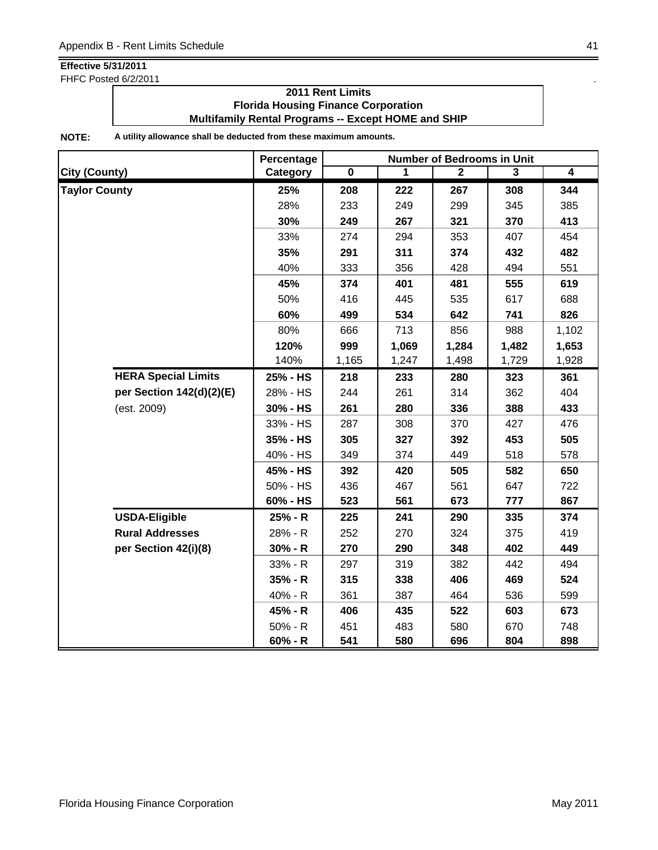FHFC Posted 6/2/2011 . The state of the state of the state of the state of the state of the state of the state of the state of the state of the state of the state of the state of the state of the state of the state of the

### **2011 Rent Limits Florida Housing Finance Corporation Multifamily Rental Programs -- Except HOME and SHIP**

|                      |                            | Percentage | <b>Number of Bedrooms in Unit</b> |       |                |                |                |
|----------------------|----------------------------|------------|-----------------------------------|-------|----------------|----------------|----------------|
| <b>City (County)</b> |                            | Category   | $\overline{\mathbf{0}}$           | 1     | $\overline{2}$ | $\overline{3}$ | $\overline{4}$ |
| <b>Taylor County</b> |                            | 25%        | 208                               | 222   | 267            | 308            | 344            |
|                      |                            | 28%        | 233                               | 249   | 299            | 345            | 385            |
|                      |                            | 30%        | 249                               | 267   | 321            | 370            | 413            |
|                      |                            | 33%        | 274                               | 294   | 353            | 407            | 454            |
|                      |                            | 35%        | 291                               | 311   | 374            | 432            | 482            |
|                      |                            | 40%        | 333                               | 356   | 428            | 494            | 551            |
|                      |                            | 45%        | 374                               | 401   | 481            | 555            | 619            |
|                      |                            | 50%        | 416                               | 445   | 535            | 617            | 688            |
|                      |                            | 60%        | 499                               | 534   | 642            | 741            | 826            |
|                      |                            | 80%        | 666                               | 713   | 856            | 988            | 1,102          |
|                      |                            | 120%       | 999                               | 1,069 | 1,284          | 1,482          | 1,653          |
|                      |                            | 140%       | 1,165                             | 1,247 | 1,498          | 1,729          | 1,928          |
|                      | <b>HERA Special Limits</b> | 25% - HS   | 218                               | 233   | 280            | 323            | 361            |
|                      | per Section 142(d)(2)(E)   | 28% - HS   | 244                               | 261   | 314            | 362            | 404            |
|                      | (est. 2009)                | 30% - HS   | 261                               | 280   | 336            | 388            | 433            |
|                      |                            | 33% - HS   | 287                               | 308   | 370            | 427            | 476            |
|                      |                            | 35% - HS   | 305                               | 327   | 392            | 453            | 505            |
|                      |                            | 40% - HS   | 349                               | 374   | 449            | 518            | 578            |
|                      |                            | 45% - HS   | 392                               | 420   | 505            | 582            | 650            |
|                      |                            | 50% - HS   | 436                               | 467   | 561            | 647            | 722            |
|                      |                            | 60% - HS   | 523                               | 561   | 673            | 777            | 867            |
|                      | <b>USDA-Eligible</b>       | 25% - R    | 225                               | 241   | 290            | 335            | 374            |
|                      | <b>Rural Addresses</b>     | 28% - R    | 252                               | 270   | 324            | 375            | 419            |
|                      | per Section 42(i)(8)       | $30% - R$  | 270                               | 290   | 348            | 402            | 449            |
|                      |                            | 33% - R    | 297                               | 319   | 382            | 442            | 494            |
|                      |                            | $35% - R$  | 315                               | 338   | 406            | 469            | 524            |
|                      |                            | 40% - R    | 361                               | 387   | 464            | 536            | 599            |
|                      |                            | 45% - R    | 406                               | 435   | 522            | 603            | 673            |
|                      |                            | $50% - R$  | 451                               | 483   | 580            | 670            | 748            |
|                      |                            | $60% - R$  | 541                               | 580   | 696            | 804            | 898            |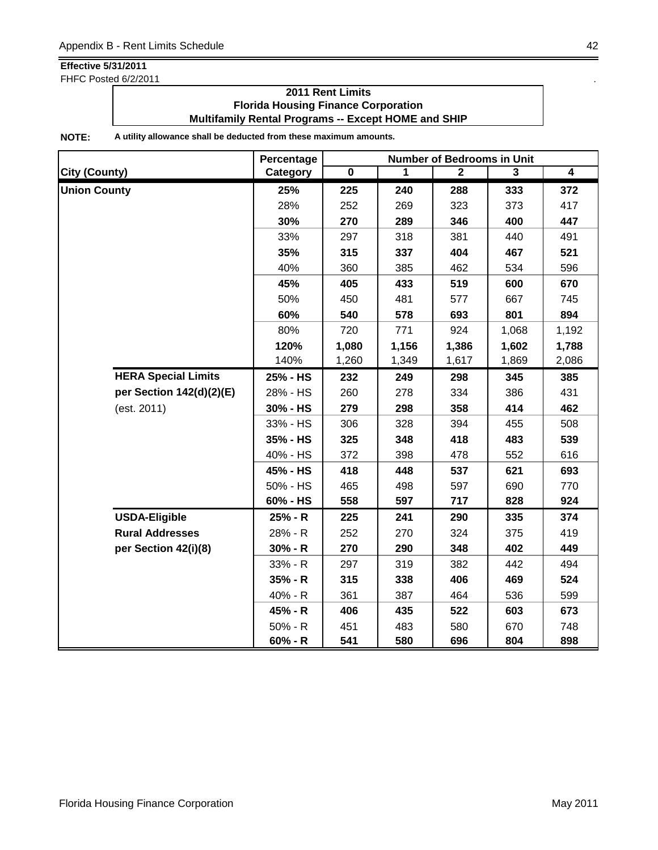FHFC Posted 6/2/2011 **.** The same state of the state of the state of the state of the state of the state of the state of the state of the state of the state of the state of the state of the state of the state of the state

### **2011 Rent Limits Florida Housing Finance Corporation Multifamily Rental Programs -- Except HOME and SHIP**

|                            | Percentage | <b>Number of Bedrooms in Unit</b> |       |                |                |                |
|----------------------------|------------|-----------------------------------|-------|----------------|----------------|----------------|
| <b>City (County)</b>       | Category   | $\overline{\mathbf{0}}$           | 1     | $\overline{2}$ | $\overline{3}$ | $\overline{4}$ |
| <b>Union County</b>        | 25%        | 225                               | 240   | 288            | 333            | 372            |
|                            | 28%        | 252                               | 269   | 323            | 373            | 417            |
|                            | 30%        | 270                               | 289   | 346            | 400            | 447            |
|                            | 33%        | 297                               | 318   | 381            | 440            | 491            |
|                            | 35%        | 315                               | 337   | 404            | 467            | 521            |
|                            | 40%        | 360                               | 385   | 462            | 534            | 596            |
|                            | 45%        | 405                               | 433   | 519            | 600            | 670            |
|                            | 50%        | 450                               | 481   | 577            | 667            | 745            |
|                            | 60%        | 540                               | 578   | 693            | 801            | 894            |
|                            | 80%        | 720                               | 771   | 924            | 1,068          | 1,192          |
|                            | 120%       | 1,080                             | 1,156 | 1,386          | 1,602          | 1,788          |
|                            | 140%       | 1,260                             | 1,349 | 1,617          | 1,869          | 2,086          |
| <b>HERA Special Limits</b> | 25% - HS   | 232                               | 249   | 298            | 345            | 385            |
| per Section 142(d)(2)(E)   | 28% - HS   | 260                               | 278   | 334            | 386            | 431            |
| (est. 2011)                | 30% - HS   | 279                               | 298   | 358            | 414            | 462            |
|                            | 33% - HS   | 306                               | 328   | 394            | 455            | 508            |
|                            | 35% - HS   | 325                               | 348   | 418            | 483            | 539            |
|                            | 40% - HS   | 372                               | 398   | 478            | 552            | 616            |
|                            | 45% - HS   | 418                               | 448   | 537            | 621            | 693            |
|                            | 50% - HS   | 465                               | 498   | 597            | 690            | 770            |
|                            | 60% - HS   | 558                               | 597   | 717            | 828            | 924            |
| <b>USDA-Eligible</b>       | 25% - R    | 225                               | 241   | 290            | 335            | 374            |
| <b>Rural Addresses</b>     | 28% - R    | 252                               | 270   | 324            | 375            | 419            |
| per Section 42(i)(8)       | $30% - R$  | 270                               | 290   | 348            | 402            | 449            |
|                            | 33% - R    | 297                               | 319   | 382            | 442            | 494            |
|                            | $35% - R$  | 315                               | 338   | 406            | 469            | 524            |
|                            | 40% - R    | 361                               | 387   | 464            | 536            | 599            |
|                            | 45% - R    | 406                               | 435   | 522            | 603            | 673            |
|                            | $50% - R$  | 451                               | 483   | 580            | 670            | 748            |
|                            | $60% - R$  | 541                               | 580   | 696            | 804            | 898            |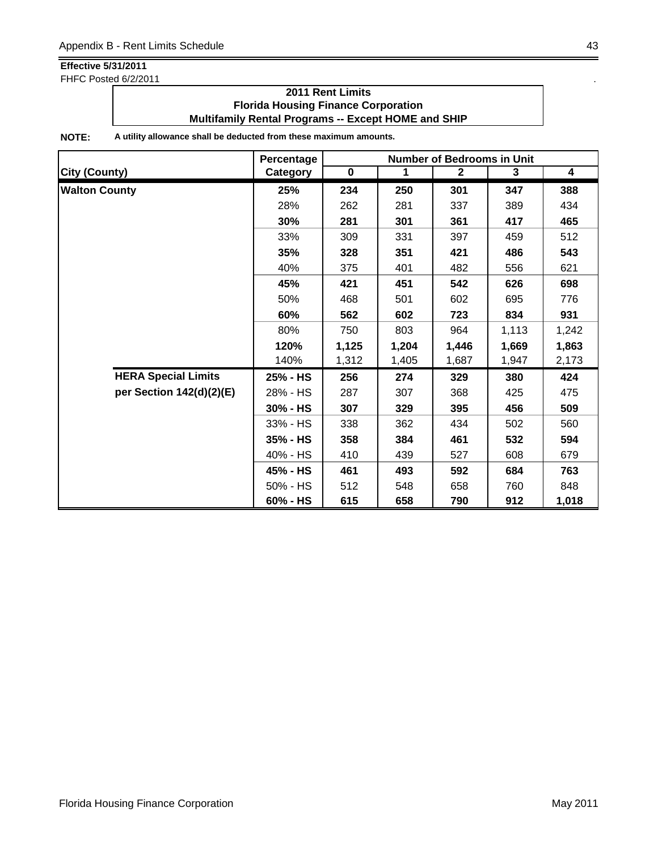FHFC Posted 6/2/2011 **.** The same state of the state of the state of the state of the state of the state of the state of the state of the state of the state of the state of the state of the state of the state of the state

### **2011 Rent Limits Florida Housing Finance Corporation Multifamily Rental Programs -- Except HOME and SHIP**

|                            | Percentage | <b>Number of Bedrooms in Unit</b> |       |              |       |                         |
|----------------------------|------------|-----------------------------------|-------|--------------|-------|-------------------------|
| <b>City (County)</b>       | Category   | $\mathbf 0$                       | 1     | $\mathbf{2}$ | 3     | $\overline{\mathbf{4}}$ |
| <b>Walton County</b>       | 25%        | 234                               | 250   | 301          | 347   | 388                     |
|                            | 28%        | 262                               | 281   | 337          | 389   | 434                     |
|                            | 30%        | 281                               | 301   | 361          | 417   | 465                     |
|                            | 33%        | 309                               | 331   | 397          | 459   | 512                     |
|                            | 35%        | 328                               | 351   | 421          | 486   | 543                     |
|                            | 40%        | 375                               | 401   | 482          | 556   | 621                     |
|                            | 45%        | 421                               | 451   | 542          | 626   | 698                     |
|                            | 50%        | 468                               | 501   | 602          | 695   | 776                     |
|                            | 60%        | 562                               | 602   | 723          | 834   | 931                     |
|                            | 80%        | 750                               | 803   | 964          | 1,113 | 1,242                   |
|                            | 120%       | 1,125                             | 1,204 | 1,446        | 1,669 | 1,863                   |
|                            | 140%       | 1,312                             | 1,405 | 1,687        | 1,947 | 2,173                   |
| <b>HERA Special Limits</b> | 25% - HS   | 256                               | 274   | 329          | 380   | 424                     |
| per Section 142(d)(2)(E)   | 28% - HS   | 287                               | 307   | 368          | 425   | 475                     |
|                            | 30% - HS   | 307                               | 329   | 395          | 456   | 509                     |
|                            | 33% - HS   | 338                               | 362   | 434          | 502   | 560                     |
|                            | $35% - HS$ | 358                               | 384   | 461          | 532   | 594                     |
|                            | 40% - HS   | 410                               | 439   | 527          | 608   | 679                     |
|                            | 45% - HS   | 461                               | 493   | 592          | 684   | 763                     |
|                            | 50% - HS   | 512                               | 548   | 658          | 760   | 848                     |
|                            | 60% - HS   | 615                               | 658   | 790          | 912   | 1,018                   |